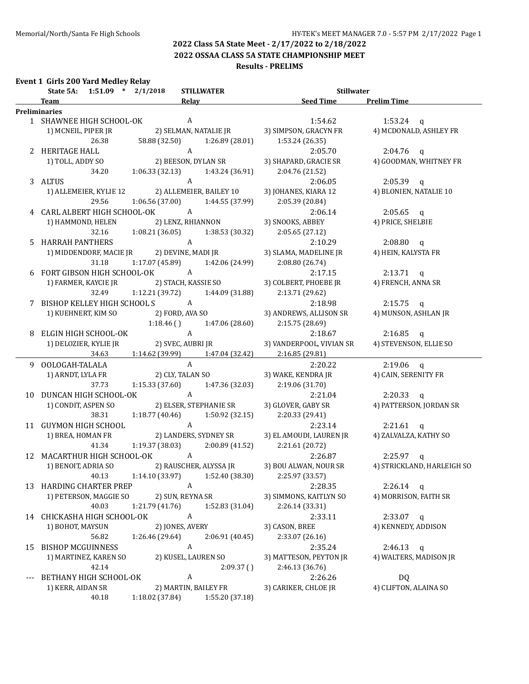**2022 OSSAA CLASS 5A STATE CHAMPIONSHIP MEET**

#### **Results - PRELIMS**

#### **Event 1 Girls 200 Yard Medley Relay**

| <b>Example 15 Seed Time</b> Prelim Time<br><b>Relay</b><br>Team<br><u> 1980 - Johann Barbara, martxa alemaniar a</u><br><b>Preliminaries</b><br>A<br>1 SHAWNEE HIGH SCHOOL-OK<br>1:54.62<br>1:53.24 $q$<br>2) SELMAN, NATALIE JR<br>4) MCDONALD, ASHLEY FR<br>1) MCNEIL, PIPER JR<br>3) SIMPSON, GRACYN FR<br>58.88 (32.50) 1:26.89 (28.01)<br>26.38<br>1:53.24(26.35)<br>A<br>2 HERITAGE HALL<br>2:05.70<br>$2:04.76$ q<br>2) BEESON, DYLAN SR<br>4) GOODMAN, WHITNEY FR<br>1) TOLL, ADDY SO<br>3) SHAPARD, GRACIE SR<br>$1:06.33(32.13)$ $1:43.24(36.91)$<br>34.20<br>2:04.76 (21.52)<br>$\mathbf{A}$<br>3 ALTUS<br>2:06.05<br>$2:05.39$ q<br>1) ALLEMEIER, KYLIE 12 2) ALLEMEIER, BAILEY 10<br>3) JOHANES, KIARA 12<br>4) BLONIEN, NATALIE 10<br>$1:06.56(37.00)$ $1:44.55(37.99)$<br>29.56<br>2:05.39 (20.84)<br>4 CARL ALBERT HIGH SCHOOL-OK A<br>2:06.14<br>$2:05.65$ q<br>2) LENZ, RHIANNON<br>3) SNOOKS, ABBEY<br>1) HAMMOND, HELEN<br>4) PRICE, SHELBIE<br>$1:08.21(36.05)$ $1:38.53(30.32)$<br>32.16<br>2:05.65(27.12)<br>5 HARRAH PANTHERS<br>2:10.29<br>$2:08.80$ q<br>3) SLAMA, MADELINE JR<br>4) HEIN, KALYSTA FR<br>31.18 1:17.07 (45.89) 1:42.06 (24.99)<br>2:08.80(26.74)<br>6 FORT GIBSON HIGH SCHOOL-OK A<br>2:17.15<br>$2:13.71$ q<br>2) STACH, KASSIE SO<br>3) COLBERT, PHOEBE JR<br>4) FRENCH, ANNA SR<br>1) FARMER, KAYCIE JR<br>32.49<br>$1:12.21(39.72)$ $1:44.09(31.88)$<br>2:13.71 (29.62)<br>7 BISHOP KELLEY HIGH SCHOOL SA<br>2:18.98<br>$2:15.75$ q<br>2) FORD, AVA SO<br>1) KUEHNERT, KIM SO<br>3) ANDREWS, ALLISON SR<br>4) MUNSON, ASHLAN JR<br>$1:18.46$ () $1:47.06$ (28.60)<br>2:15.75 (28.69)<br>$\mathbf{A}$<br>8 ELGIN HIGH SCHOOL-OK<br>2:18.67<br>$2:16.85$ q<br>2) SVEC, AUBRI JR<br>4) STEVENSON, ELLIE SO<br>1) DELOZIER, KYLIE JR<br>3) VANDERPOOL, VIVIAN SR<br>34.63<br>$1:14.62$ (39.99) $1:47.04$ (32.42)<br>2:16.85(29.81)<br>$\mathbf{A}$<br>9 OOLOGAH-TALALA<br>2:20.22<br>$2:19.06$ q<br>2) CLY, TALAN SO<br>1) ARNDT, LYLA FR<br>4) CAIN, SERENITY FR<br>3) WAKE, KENDRA JR<br>37.73<br>$1:15.33(37.60)$ $1:47.36(32.03)$<br>2:19.06(31.70)<br>A<br>10 DUNCAN HIGH SCHOOL-OK<br>2:21.04<br>$2:20.33$ q<br>1) CONDIT, ASPEN SO<br>2) ELSER, STEPHANIE SR<br>4) PATTERSON, JORDAN SR<br>3) GLOVER, GABY SR<br>38.31<br>1:18.77 (40.46)<br>1:50.92 (32.15)<br>2:20.33 (29.41)<br>A<br>11 GUYMON HIGH SCHOOL<br>2:23.14<br>$2:21.61$ q<br>2) LANDERS, SYDNEY SR<br>3) EL AMOUDI, LAUREN JR 4) ZALVALZA, KATHY SO<br>1) BREA, HOMAN FR<br>1:19.37 (38.03)<br>41.34<br>2:00.89 (41.52)<br>2:21.61 (20.72)<br>12 MACARTHUR HIGH SCHOOL-OK A<br>2:26.87<br>$2:25.97$ q<br>2) RAUSCHER, ALYSSA JR<br>4) STRICKLAND, HARLEIGH SO<br>1) BENOIT, ADRIA SO<br>3) BOU ALWAN, NOUR SR<br>40.13 1:14.10 (33.97) 1:52.40 (38.30) 2:25.97 (33.57)<br>13 HARDING CHARTER PREP<br>A<br>2:28.35<br>$2:26.14$ q<br>2) SUN, REYNA SR<br>1) PETERSON, MAGGIE SO<br>3) SIMMONS, KAITLYN SO<br>4) MORRISON, FAITH SR<br>40.03<br>1:21.79(41.76)<br>1:52.83 (31.04)<br>2:26.14 (33.31)<br>$\boldsymbol{A}$<br>14 CHICKASHA HIGH SCHOOL-OK<br>2:33.11<br>$2:33.07$ q<br>1) BOHOT, MAYSUN<br>2) JONES, AVERY<br>3) CASON, BREE<br>4) KENNEDY, ADDISON<br>56.82<br>1:26.46 (29.64)<br>2:06.91 (40.45)<br>2:33.07 (26.16)<br>$\boldsymbol{A}$<br><b>BISHOP MCGUINNESS</b><br>2:35.24<br>$2:46.13$ q<br>15<br>1) MARTINEZ, KAREN SO<br>2) KUSEL, LAUREN SO<br>3) MATTESON, PEYTON JR<br>4) WALTERS, MADISON JR<br>42.14<br>2:09.37()<br>2:46.13 (36.76)<br>A<br>BETHANY HIGH SCHOOL-OK<br><b>DQ</b><br>2:26.26<br>4) CLIFTON, ALAINA SO<br>2) MARTIN, BAILEY FR<br>3) CARIKER, CHLOE JR<br>1) KERR, AIDAN SR<br>40.18<br>1:18.02 (37.84)<br>1:55.20 (37.18) | State 5A: 1:51.09 * 2/1/2018<br><b>STILLWATER</b><br><b>Stillwater</b> |  |  |  |  |
|-----------------------------------------------------------------------------------------------------------------------------------------------------------------------------------------------------------------------------------------------------------------------------------------------------------------------------------------------------------------------------------------------------------------------------------------------------------------------------------------------------------------------------------------------------------------------------------------------------------------------------------------------------------------------------------------------------------------------------------------------------------------------------------------------------------------------------------------------------------------------------------------------------------------------------------------------------------------------------------------------------------------------------------------------------------------------------------------------------------------------------------------------------------------------------------------------------------------------------------------------------------------------------------------------------------------------------------------------------------------------------------------------------------------------------------------------------------------------------------------------------------------------------------------------------------------------------------------------------------------------------------------------------------------------------------------------------------------------------------------------------------------------------------------------------------------------------------------------------------------------------------------------------------------------------------------------------------------------------------------------------------------------------------------------------------------------------------------------------------------------------------------------------------------------------------------------------------------------------------------------------------------------------------------------------------------------------------------------------------------------------------------------------------------------------------------------------------------------------------------------------------------------------------------------------------------------------------------------------------------------------------------------------------------------------------------------------------------------------------------------------------------------------------------------------------------------------------------------------------------------------------------------------------------------------------------------------------------------------------------------------------------------------------------------------------------------------------------------------------------------------------------------------------------------------------------------------------------------------------------------------------------------------------------------------------------------------------------------------------------------------------------------------------------------------------------------------------------------------------------------------------------------------------------------------------------------------------------------------------------------------------------------------------------------------------|------------------------------------------------------------------------|--|--|--|--|
|                                                                                                                                                                                                                                                                                                                                                                                                                                                                                                                                                                                                                                                                                                                                                                                                                                                                                                                                                                                                                                                                                                                                                                                                                                                                                                                                                                                                                                                                                                                                                                                                                                                                                                                                                                                                                                                                                                                                                                                                                                                                                                                                                                                                                                                                                                                                                                                                                                                                                                                                                                                                                                                                                                                                                                                                                                                                                                                                                                                                                                                                                                                                                                                                                                                                                                                                                                                                                                                                                                                                                                                                                                                                                   |                                                                        |  |  |  |  |
|                                                                                                                                                                                                                                                                                                                                                                                                                                                                                                                                                                                                                                                                                                                                                                                                                                                                                                                                                                                                                                                                                                                                                                                                                                                                                                                                                                                                                                                                                                                                                                                                                                                                                                                                                                                                                                                                                                                                                                                                                                                                                                                                                                                                                                                                                                                                                                                                                                                                                                                                                                                                                                                                                                                                                                                                                                                                                                                                                                                                                                                                                                                                                                                                                                                                                                                                                                                                                                                                                                                                                                                                                                                                                   |                                                                        |  |  |  |  |
|                                                                                                                                                                                                                                                                                                                                                                                                                                                                                                                                                                                                                                                                                                                                                                                                                                                                                                                                                                                                                                                                                                                                                                                                                                                                                                                                                                                                                                                                                                                                                                                                                                                                                                                                                                                                                                                                                                                                                                                                                                                                                                                                                                                                                                                                                                                                                                                                                                                                                                                                                                                                                                                                                                                                                                                                                                                                                                                                                                                                                                                                                                                                                                                                                                                                                                                                                                                                                                                                                                                                                                                                                                                                                   |                                                                        |  |  |  |  |
|                                                                                                                                                                                                                                                                                                                                                                                                                                                                                                                                                                                                                                                                                                                                                                                                                                                                                                                                                                                                                                                                                                                                                                                                                                                                                                                                                                                                                                                                                                                                                                                                                                                                                                                                                                                                                                                                                                                                                                                                                                                                                                                                                                                                                                                                                                                                                                                                                                                                                                                                                                                                                                                                                                                                                                                                                                                                                                                                                                                                                                                                                                                                                                                                                                                                                                                                                                                                                                                                                                                                                                                                                                                                                   |                                                                        |  |  |  |  |
|                                                                                                                                                                                                                                                                                                                                                                                                                                                                                                                                                                                                                                                                                                                                                                                                                                                                                                                                                                                                                                                                                                                                                                                                                                                                                                                                                                                                                                                                                                                                                                                                                                                                                                                                                                                                                                                                                                                                                                                                                                                                                                                                                                                                                                                                                                                                                                                                                                                                                                                                                                                                                                                                                                                                                                                                                                                                                                                                                                                                                                                                                                                                                                                                                                                                                                                                                                                                                                                                                                                                                                                                                                                                                   |                                                                        |  |  |  |  |
|                                                                                                                                                                                                                                                                                                                                                                                                                                                                                                                                                                                                                                                                                                                                                                                                                                                                                                                                                                                                                                                                                                                                                                                                                                                                                                                                                                                                                                                                                                                                                                                                                                                                                                                                                                                                                                                                                                                                                                                                                                                                                                                                                                                                                                                                                                                                                                                                                                                                                                                                                                                                                                                                                                                                                                                                                                                                                                                                                                                                                                                                                                                                                                                                                                                                                                                                                                                                                                                                                                                                                                                                                                                                                   |                                                                        |  |  |  |  |
|                                                                                                                                                                                                                                                                                                                                                                                                                                                                                                                                                                                                                                                                                                                                                                                                                                                                                                                                                                                                                                                                                                                                                                                                                                                                                                                                                                                                                                                                                                                                                                                                                                                                                                                                                                                                                                                                                                                                                                                                                                                                                                                                                                                                                                                                                                                                                                                                                                                                                                                                                                                                                                                                                                                                                                                                                                                                                                                                                                                                                                                                                                                                                                                                                                                                                                                                                                                                                                                                                                                                                                                                                                                                                   |                                                                        |  |  |  |  |
|                                                                                                                                                                                                                                                                                                                                                                                                                                                                                                                                                                                                                                                                                                                                                                                                                                                                                                                                                                                                                                                                                                                                                                                                                                                                                                                                                                                                                                                                                                                                                                                                                                                                                                                                                                                                                                                                                                                                                                                                                                                                                                                                                                                                                                                                                                                                                                                                                                                                                                                                                                                                                                                                                                                                                                                                                                                                                                                                                                                                                                                                                                                                                                                                                                                                                                                                                                                                                                                                                                                                                                                                                                                                                   |                                                                        |  |  |  |  |
|                                                                                                                                                                                                                                                                                                                                                                                                                                                                                                                                                                                                                                                                                                                                                                                                                                                                                                                                                                                                                                                                                                                                                                                                                                                                                                                                                                                                                                                                                                                                                                                                                                                                                                                                                                                                                                                                                                                                                                                                                                                                                                                                                                                                                                                                                                                                                                                                                                                                                                                                                                                                                                                                                                                                                                                                                                                                                                                                                                                                                                                                                                                                                                                                                                                                                                                                                                                                                                                                                                                                                                                                                                                                                   |                                                                        |  |  |  |  |
|                                                                                                                                                                                                                                                                                                                                                                                                                                                                                                                                                                                                                                                                                                                                                                                                                                                                                                                                                                                                                                                                                                                                                                                                                                                                                                                                                                                                                                                                                                                                                                                                                                                                                                                                                                                                                                                                                                                                                                                                                                                                                                                                                                                                                                                                                                                                                                                                                                                                                                                                                                                                                                                                                                                                                                                                                                                                                                                                                                                                                                                                                                                                                                                                                                                                                                                                                                                                                                                                                                                                                                                                                                                                                   |                                                                        |  |  |  |  |
|                                                                                                                                                                                                                                                                                                                                                                                                                                                                                                                                                                                                                                                                                                                                                                                                                                                                                                                                                                                                                                                                                                                                                                                                                                                                                                                                                                                                                                                                                                                                                                                                                                                                                                                                                                                                                                                                                                                                                                                                                                                                                                                                                                                                                                                                                                                                                                                                                                                                                                                                                                                                                                                                                                                                                                                                                                                                                                                                                                                                                                                                                                                                                                                                                                                                                                                                                                                                                                                                                                                                                                                                                                                                                   |                                                                        |  |  |  |  |
|                                                                                                                                                                                                                                                                                                                                                                                                                                                                                                                                                                                                                                                                                                                                                                                                                                                                                                                                                                                                                                                                                                                                                                                                                                                                                                                                                                                                                                                                                                                                                                                                                                                                                                                                                                                                                                                                                                                                                                                                                                                                                                                                                                                                                                                                                                                                                                                                                                                                                                                                                                                                                                                                                                                                                                                                                                                                                                                                                                                                                                                                                                                                                                                                                                                                                                                                                                                                                                                                                                                                                                                                                                                                                   |                                                                        |  |  |  |  |
|                                                                                                                                                                                                                                                                                                                                                                                                                                                                                                                                                                                                                                                                                                                                                                                                                                                                                                                                                                                                                                                                                                                                                                                                                                                                                                                                                                                                                                                                                                                                                                                                                                                                                                                                                                                                                                                                                                                                                                                                                                                                                                                                                                                                                                                                                                                                                                                                                                                                                                                                                                                                                                                                                                                                                                                                                                                                                                                                                                                                                                                                                                                                                                                                                                                                                                                                                                                                                                                                                                                                                                                                                                                                                   |                                                                        |  |  |  |  |
|                                                                                                                                                                                                                                                                                                                                                                                                                                                                                                                                                                                                                                                                                                                                                                                                                                                                                                                                                                                                                                                                                                                                                                                                                                                                                                                                                                                                                                                                                                                                                                                                                                                                                                                                                                                                                                                                                                                                                                                                                                                                                                                                                                                                                                                                                                                                                                                                                                                                                                                                                                                                                                                                                                                                                                                                                                                                                                                                                                                                                                                                                                                                                                                                                                                                                                                                                                                                                                                                                                                                                                                                                                                                                   |                                                                        |  |  |  |  |
|                                                                                                                                                                                                                                                                                                                                                                                                                                                                                                                                                                                                                                                                                                                                                                                                                                                                                                                                                                                                                                                                                                                                                                                                                                                                                                                                                                                                                                                                                                                                                                                                                                                                                                                                                                                                                                                                                                                                                                                                                                                                                                                                                                                                                                                                                                                                                                                                                                                                                                                                                                                                                                                                                                                                                                                                                                                                                                                                                                                                                                                                                                                                                                                                                                                                                                                                                                                                                                                                                                                                                                                                                                                                                   |                                                                        |  |  |  |  |
|                                                                                                                                                                                                                                                                                                                                                                                                                                                                                                                                                                                                                                                                                                                                                                                                                                                                                                                                                                                                                                                                                                                                                                                                                                                                                                                                                                                                                                                                                                                                                                                                                                                                                                                                                                                                                                                                                                                                                                                                                                                                                                                                                                                                                                                                                                                                                                                                                                                                                                                                                                                                                                                                                                                                                                                                                                                                                                                                                                                                                                                                                                                                                                                                                                                                                                                                                                                                                                                                                                                                                                                                                                                                                   |                                                                        |  |  |  |  |
|                                                                                                                                                                                                                                                                                                                                                                                                                                                                                                                                                                                                                                                                                                                                                                                                                                                                                                                                                                                                                                                                                                                                                                                                                                                                                                                                                                                                                                                                                                                                                                                                                                                                                                                                                                                                                                                                                                                                                                                                                                                                                                                                                                                                                                                                                                                                                                                                                                                                                                                                                                                                                                                                                                                                                                                                                                                                                                                                                                                                                                                                                                                                                                                                                                                                                                                                                                                                                                                                                                                                                                                                                                                                                   |                                                                        |  |  |  |  |
|                                                                                                                                                                                                                                                                                                                                                                                                                                                                                                                                                                                                                                                                                                                                                                                                                                                                                                                                                                                                                                                                                                                                                                                                                                                                                                                                                                                                                                                                                                                                                                                                                                                                                                                                                                                                                                                                                                                                                                                                                                                                                                                                                                                                                                                                                                                                                                                                                                                                                                                                                                                                                                                                                                                                                                                                                                                                                                                                                                                                                                                                                                                                                                                                                                                                                                                                                                                                                                                                                                                                                                                                                                                                                   |                                                                        |  |  |  |  |
|                                                                                                                                                                                                                                                                                                                                                                                                                                                                                                                                                                                                                                                                                                                                                                                                                                                                                                                                                                                                                                                                                                                                                                                                                                                                                                                                                                                                                                                                                                                                                                                                                                                                                                                                                                                                                                                                                                                                                                                                                                                                                                                                                                                                                                                                                                                                                                                                                                                                                                                                                                                                                                                                                                                                                                                                                                                                                                                                                                                                                                                                                                                                                                                                                                                                                                                                                                                                                                                                                                                                                                                                                                                                                   |                                                                        |  |  |  |  |
|                                                                                                                                                                                                                                                                                                                                                                                                                                                                                                                                                                                                                                                                                                                                                                                                                                                                                                                                                                                                                                                                                                                                                                                                                                                                                                                                                                                                                                                                                                                                                                                                                                                                                                                                                                                                                                                                                                                                                                                                                                                                                                                                                                                                                                                                                                                                                                                                                                                                                                                                                                                                                                                                                                                                                                                                                                                                                                                                                                                                                                                                                                                                                                                                                                                                                                                                                                                                                                                                                                                                                                                                                                                                                   |                                                                        |  |  |  |  |
|                                                                                                                                                                                                                                                                                                                                                                                                                                                                                                                                                                                                                                                                                                                                                                                                                                                                                                                                                                                                                                                                                                                                                                                                                                                                                                                                                                                                                                                                                                                                                                                                                                                                                                                                                                                                                                                                                                                                                                                                                                                                                                                                                                                                                                                                                                                                                                                                                                                                                                                                                                                                                                                                                                                                                                                                                                                                                                                                                                                                                                                                                                                                                                                                                                                                                                                                                                                                                                                                                                                                                                                                                                                                                   |                                                                        |  |  |  |  |
|                                                                                                                                                                                                                                                                                                                                                                                                                                                                                                                                                                                                                                                                                                                                                                                                                                                                                                                                                                                                                                                                                                                                                                                                                                                                                                                                                                                                                                                                                                                                                                                                                                                                                                                                                                                                                                                                                                                                                                                                                                                                                                                                                                                                                                                                                                                                                                                                                                                                                                                                                                                                                                                                                                                                                                                                                                                                                                                                                                                                                                                                                                                                                                                                                                                                                                                                                                                                                                                                                                                                                                                                                                                                                   |                                                                        |  |  |  |  |
|                                                                                                                                                                                                                                                                                                                                                                                                                                                                                                                                                                                                                                                                                                                                                                                                                                                                                                                                                                                                                                                                                                                                                                                                                                                                                                                                                                                                                                                                                                                                                                                                                                                                                                                                                                                                                                                                                                                                                                                                                                                                                                                                                                                                                                                                                                                                                                                                                                                                                                                                                                                                                                                                                                                                                                                                                                                                                                                                                                                                                                                                                                                                                                                                                                                                                                                                                                                                                                                                                                                                                                                                                                                                                   |                                                                        |  |  |  |  |
|                                                                                                                                                                                                                                                                                                                                                                                                                                                                                                                                                                                                                                                                                                                                                                                                                                                                                                                                                                                                                                                                                                                                                                                                                                                                                                                                                                                                                                                                                                                                                                                                                                                                                                                                                                                                                                                                                                                                                                                                                                                                                                                                                                                                                                                                                                                                                                                                                                                                                                                                                                                                                                                                                                                                                                                                                                                                                                                                                                                                                                                                                                                                                                                                                                                                                                                                                                                                                                                                                                                                                                                                                                                                                   |                                                                        |  |  |  |  |
|                                                                                                                                                                                                                                                                                                                                                                                                                                                                                                                                                                                                                                                                                                                                                                                                                                                                                                                                                                                                                                                                                                                                                                                                                                                                                                                                                                                                                                                                                                                                                                                                                                                                                                                                                                                                                                                                                                                                                                                                                                                                                                                                                                                                                                                                                                                                                                                                                                                                                                                                                                                                                                                                                                                                                                                                                                                                                                                                                                                                                                                                                                                                                                                                                                                                                                                                                                                                                                                                                                                                                                                                                                                                                   |                                                                        |  |  |  |  |
|                                                                                                                                                                                                                                                                                                                                                                                                                                                                                                                                                                                                                                                                                                                                                                                                                                                                                                                                                                                                                                                                                                                                                                                                                                                                                                                                                                                                                                                                                                                                                                                                                                                                                                                                                                                                                                                                                                                                                                                                                                                                                                                                                                                                                                                                                                                                                                                                                                                                                                                                                                                                                                                                                                                                                                                                                                                                                                                                                                                                                                                                                                                                                                                                                                                                                                                                                                                                                                                                                                                                                                                                                                                                                   |                                                                        |  |  |  |  |
|                                                                                                                                                                                                                                                                                                                                                                                                                                                                                                                                                                                                                                                                                                                                                                                                                                                                                                                                                                                                                                                                                                                                                                                                                                                                                                                                                                                                                                                                                                                                                                                                                                                                                                                                                                                                                                                                                                                                                                                                                                                                                                                                                                                                                                                                                                                                                                                                                                                                                                                                                                                                                                                                                                                                                                                                                                                                                                                                                                                                                                                                                                                                                                                                                                                                                                                                                                                                                                                                                                                                                                                                                                                                                   |                                                                        |  |  |  |  |
|                                                                                                                                                                                                                                                                                                                                                                                                                                                                                                                                                                                                                                                                                                                                                                                                                                                                                                                                                                                                                                                                                                                                                                                                                                                                                                                                                                                                                                                                                                                                                                                                                                                                                                                                                                                                                                                                                                                                                                                                                                                                                                                                                                                                                                                                                                                                                                                                                                                                                                                                                                                                                                                                                                                                                                                                                                                                                                                                                                                                                                                                                                                                                                                                                                                                                                                                                                                                                                                                                                                                                                                                                                                                                   |                                                                        |  |  |  |  |
|                                                                                                                                                                                                                                                                                                                                                                                                                                                                                                                                                                                                                                                                                                                                                                                                                                                                                                                                                                                                                                                                                                                                                                                                                                                                                                                                                                                                                                                                                                                                                                                                                                                                                                                                                                                                                                                                                                                                                                                                                                                                                                                                                                                                                                                                                                                                                                                                                                                                                                                                                                                                                                                                                                                                                                                                                                                                                                                                                                                                                                                                                                                                                                                                                                                                                                                                                                                                                                                                                                                                                                                                                                                                                   |                                                                        |  |  |  |  |
|                                                                                                                                                                                                                                                                                                                                                                                                                                                                                                                                                                                                                                                                                                                                                                                                                                                                                                                                                                                                                                                                                                                                                                                                                                                                                                                                                                                                                                                                                                                                                                                                                                                                                                                                                                                                                                                                                                                                                                                                                                                                                                                                                                                                                                                                                                                                                                                                                                                                                                                                                                                                                                                                                                                                                                                                                                                                                                                                                                                                                                                                                                                                                                                                                                                                                                                                                                                                                                                                                                                                                                                                                                                                                   |                                                                        |  |  |  |  |
|                                                                                                                                                                                                                                                                                                                                                                                                                                                                                                                                                                                                                                                                                                                                                                                                                                                                                                                                                                                                                                                                                                                                                                                                                                                                                                                                                                                                                                                                                                                                                                                                                                                                                                                                                                                                                                                                                                                                                                                                                                                                                                                                                                                                                                                                                                                                                                                                                                                                                                                                                                                                                                                                                                                                                                                                                                                                                                                                                                                                                                                                                                                                                                                                                                                                                                                                                                                                                                                                                                                                                                                                                                                                                   |                                                                        |  |  |  |  |
|                                                                                                                                                                                                                                                                                                                                                                                                                                                                                                                                                                                                                                                                                                                                                                                                                                                                                                                                                                                                                                                                                                                                                                                                                                                                                                                                                                                                                                                                                                                                                                                                                                                                                                                                                                                                                                                                                                                                                                                                                                                                                                                                                                                                                                                                                                                                                                                                                                                                                                                                                                                                                                                                                                                                                                                                                                                                                                                                                                                                                                                                                                                                                                                                                                                                                                                                                                                                                                                                                                                                                                                                                                                                                   |                                                                        |  |  |  |  |
|                                                                                                                                                                                                                                                                                                                                                                                                                                                                                                                                                                                                                                                                                                                                                                                                                                                                                                                                                                                                                                                                                                                                                                                                                                                                                                                                                                                                                                                                                                                                                                                                                                                                                                                                                                                                                                                                                                                                                                                                                                                                                                                                                                                                                                                                                                                                                                                                                                                                                                                                                                                                                                                                                                                                                                                                                                                                                                                                                                                                                                                                                                                                                                                                                                                                                                                                                                                                                                                                                                                                                                                                                                                                                   |                                                                        |  |  |  |  |
|                                                                                                                                                                                                                                                                                                                                                                                                                                                                                                                                                                                                                                                                                                                                                                                                                                                                                                                                                                                                                                                                                                                                                                                                                                                                                                                                                                                                                                                                                                                                                                                                                                                                                                                                                                                                                                                                                                                                                                                                                                                                                                                                                                                                                                                                                                                                                                                                                                                                                                                                                                                                                                                                                                                                                                                                                                                                                                                                                                                                                                                                                                                                                                                                                                                                                                                                                                                                                                                                                                                                                                                                                                                                                   |                                                                        |  |  |  |  |
|                                                                                                                                                                                                                                                                                                                                                                                                                                                                                                                                                                                                                                                                                                                                                                                                                                                                                                                                                                                                                                                                                                                                                                                                                                                                                                                                                                                                                                                                                                                                                                                                                                                                                                                                                                                                                                                                                                                                                                                                                                                                                                                                                                                                                                                                                                                                                                                                                                                                                                                                                                                                                                                                                                                                                                                                                                                                                                                                                                                                                                                                                                                                                                                                                                                                                                                                                                                                                                                                                                                                                                                                                                                                                   |                                                                        |  |  |  |  |
|                                                                                                                                                                                                                                                                                                                                                                                                                                                                                                                                                                                                                                                                                                                                                                                                                                                                                                                                                                                                                                                                                                                                                                                                                                                                                                                                                                                                                                                                                                                                                                                                                                                                                                                                                                                                                                                                                                                                                                                                                                                                                                                                                                                                                                                                                                                                                                                                                                                                                                                                                                                                                                                                                                                                                                                                                                                                                                                                                                                                                                                                                                                                                                                                                                                                                                                                                                                                                                                                                                                                                                                                                                                                                   |                                                                        |  |  |  |  |
|                                                                                                                                                                                                                                                                                                                                                                                                                                                                                                                                                                                                                                                                                                                                                                                                                                                                                                                                                                                                                                                                                                                                                                                                                                                                                                                                                                                                                                                                                                                                                                                                                                                                                                                                                                                                                                                                                                                                                                                                                                                                                                                                                                                                                                                                                                                                                                                                                                                                                                                                                                                                                                                                                                                                                                                                                                                                                                                                                                                                                                                                                                                                                                                                                                                                                                                                                                                                                                                                                                                                                                                                                                                                                   |                                                                        |  |  |  |  |
|                                                                                                                                                                                                                                                                                                                                                                                                                                                                                                                                                                                                                                                                                                                                                                                                                                                                                                                                                                                                                                                                                                                                                                                                                                                                                                                                                                                                                                                                                                                                                                                                                                                                                                                                                                                                                                                                                                                                                                                                                                                                                                                                                                                                                                                                                                                                                                                                                                                                                                                                                                                                                                                                                                                                                                                                                                                                                                                                                                                                                                                                                                                                                                                                                                                                                                                                                                                                                                                                                                                                                                                                                                                                                   |                                                                        |  |  |  |  |
|                                                                                                                                                                                                                                                                                                                                                                                                                                                                                                                                                                                                                                                                                                                                                                                                                                                                                                                                                                                                                                                                                                                                                                                                                                                                                                                                                                                                                                                                                                                                                                                                                                                                                                                                                                                                                                                                                                                                                                                                                                                                                                                                                                                                                                                                                                                                                                                                                                                                                                                                                                                                                                                                                                                                                                                                                                                                                                                                                                                                                                                                                                                                                                                                                                                                                                                                                                                                                                                                                                                                                                                                                                                                                   |                                                                        |  |  |  |  |
|                                                                                                                                                                                                                                                                                                                                                                                                                                                                                                                                                                                                                                                                                                                                                                                                                                                                                                                                                                                                                                                                                                                                                                                                                                                                                                                                                                                                                                                                                                                                                                                                                                                                                                                                                                                                                                                                                                                                                                                                                                                                                                                                                                                                                                                                                                                                                                                                                                                                                                                                                                                                                                                                                                                                                                                                                                                                                                                                                                                                                                                                                                                                                                                                                                                                                                                                                                                                                                                                                                                                                                                                                                                                                   |                                                                        |  |  |  |  |
|                                                                                                                                                                                                                                                                                                                                                                                                                                                                                                                                                                                                                                                                                                                                                                                                                                                                                                                                                                                                                                                                                                                                                                                                                                                                                                                                                                                                                                                                                                                                                                                                                                                                                                                                                                                                                                                                                                                                                                                                                                                                                                                                                                                                                                                                                                                                                                                                                                                                                                                                                                                                                                                                                                                                                                                                                                                                                                                                                                                                                                                                                                                                                                                                                                                                                                                                                                                                                                                                                                                                                                                                                                                                                   |                                                                        |  |  |  |  |
|                                                                                                                                                                                                                                                                                                                                                                                                                                                                                                                                                                                                                                                                                                                                                                                                                                                                                                                                                                                                                                                                                                                                                                                                                                                                                                                                                                                                                                                                                                                                                                                                                                                                                                                                                                                                                                                                                                                                                                                                                                                                                                                                                                                                                                                                                                                                                                                                                                                                                                                                                                                                                                                                                                                                                                                                                                                                                                                                                                                                                                                                                                                                                                                                                                                                                                                                                                                                                                                                                                                                                                                                                                                                                   |                                                                        |  |  |  |  |
|                                                                                                                                                                                                                                                                                                                                                                                                                                                                                                                                                                                                                                                                                                                                                                                                                                                                                                                                                                                                                                                                                                                                                                                                                                                                                                                                                                                                                                                                                                                                                                                                                                                                                                                                                                                                                                                                                                                                                                                                                                                                                                                                                                                                                                                                                                                                                                                                                                                                                                                                                                                                                                                                                                                                                                                                                                                                                                                                                                                                                                                                                                                                                                                                                                                                                                                                                                                                                                                                                                                                                                                                                                                                                   |                                                                        |  |  |  |  |
|                                                                                                                                                                                                                                                                                                                                                                                                                                                                                                                                                                                                                                                                                                                                                                                                                                                                                                                                                                                                                                                                                                                                                                                                                                                                                                                                                                                                                                                                                                                                                                                                                                                                                                                                                                                                                                                                                                                                                                                                                                                                                                                                                                                                                                                                                                                                                                                                                                                                                                                                                                                                                                                                                                                                                                                                                                                                                                                                                                                                                                                                                                                                                                                                                                                                                                                                                                                                                                                                                                                                                                                                                                                                                   |                                                                        |  |  |  |  |
|                                                                                                                                                                                                                                                                                                                                                                                                                                                                                                                                                                                                                                                                                                                                                                                                                                                                                                                                                                                                                                                                                                                                                                                                                                                                                                                                                                                                                                                                                                                                                                                                                                                                                                                                                                                                                                                                                                                                                                                                                                                                                                                                                                                                                                                                                                                                                                                                                                                                                                                                                                                                                                                                                                                                                                                                                                                                                                                                                                                                                                                                                                                                                                                                                                                                                                                                                                                                                                                                                                                                                                                                                                                                                   |                                                                        |  |  |  |  |
|                                                                                                                                                                                                                                                                                                                                                                                                                                                                                                                                                                                                                                                                                                                                                                                                                                                                                                                                                                                                                                                                                                                                                                                                                                                                                                                                                                                                                                                                                                                                                                                                                                                                                                                                                                                                                                                                                                                                                                                                                                                                                                                                                                                                                                                                                                                                                                                                                                                                                                                                                                                                                                                                                                                                                                                                                                                                                                                                                                                                                                                                                                                                                                                                                                                                                                                                                                                                                                                                                                                                                                                                                                                                                   |                                                                        |  |  |  |  |
|                                                                                                                                                                                                                                                                                                                                                                                                                                                                                                                                                                                                                                                                                                                                                                                                                                                                                                                                                                                                                                                                                                                                                                                                                                                                                                                                                                                                                                                                                                                                                                                                                                                                                                                                                                                                                                                                                                                                                                                                                                                                                                                                                                                                                                                                                                                                                                                                                                                                                                                                                                                                                                                                                                                                                                                                                                                                                                                                                                                                                                                                                                                                                                                                                                                                                                                                                                                                                                                                                                                                                                                                                                                                                   |                                                                        |  |  |  |  |
|                                                                                                                                                                                                                                                                                                                                                                                                                                                                                                                                                                                                                                                                                                                                                                                                                                                                                                                                                                                                                                                                                                                                                                                                                                                                                                                                                                                                                                                                                                                                                                                                                                                                                                                                                                                                                                                                                                                                                                                                                                                                                                                                                                                                                                                                                                                                                                                                                                                                                                                                                                                                                                                                                                                                                                                                                                                                                                                                                                                                                                                                                                                                                                                                                                                                                                                                                                                                                                                                                                                                                                                                                                                                                   |                                                                        |  |  |  |  |
|                                                                                                                                                                                                                                                                                                                                                                                                                                                                                                                                                                                                                                                                                                                                                                                                                                                                                                                                                                                                                                                                                                                                                                                                                                                                                                                                                                                                                                                                                                                                                                                                                                                                                                                                                                                                                                                                                                                                                                                                                                                                                                                                                                                                                                                                                                                                                                                                                                                                                                                                                                                                                                                                                                                                                                                                                                                                                                                                                                                                                                                                                                                                                                                                                                                                                                                                                                                                                                                                                                                                                                                                                                                                                   |                                                                        |  |  |  |  |
|                                                                                                                                                                                                                                                                                                                                                                                                                                                                                                                                                                                                                                                                                                                                                                                                                                                                                                                                                                                                                                                                                                                                                                                                                                                                                                                                                                                                                                                                                                                                                                                                                                                                                                                                                                                                                                                                                                                                                                                                                                                                                                                                                                                                                                                                                                                                                                                                                                                                                                                                                                                                                                                                                                                                                                                                                                                                                                                                                                                                                                                                                                                                                                                                                                                                                                                                                                                                                                                                                                                                                                                                                                                                                   |                                                                        |  |  |  |  |
|                                                                                                                                                                                                                                                                                                                                                                                                                                                                                                                                                                                                                                                                                                                                                                                                                                                                                                                                                                                                                                                                                                                                                                                                                                                                                                                                                                                                                                                                                                                                                                                                                                                                                                                                                                                                                                                                                                                                                                                                                                                                                                                                                                                                                                                                                                                                                                                                                                                                                                                                                                                                                                                                                                                                                                                                                                                                                                                                                                                                                                                                                                                                                                                                                                                                                                                                                                                                                                                                                                                                                                                                                                                                                   |                                                                        |  |  |  |  |
|                                                                                                                                                                                                                                                                                                                                                                                                                                                                                                                                                                                                                                                                                                                                                                                                                                                                                                                                                                                                                                                                                                                                                                                                                                                                                                                                                                                                                                                                                                                                                                                                                                                                                                                                                                                                                                                                                                                                                                                                                                                                                                                                                                                                                                                                                                                                                                                                                                                                                                                                                                                                                                                                                                                                                                                                                                                                                                                                                                                                                                                                                                                                                                                                                                                                                                                                                                                                                                                                                                                                                                                                                                                                                   |                                                                        |  |  |  |  |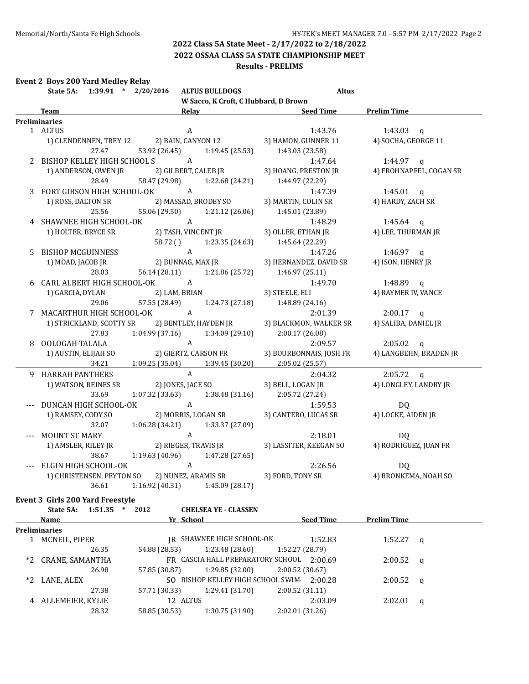**2022 OSSAA CLASS 5A STATE CHAMPIONSHIP MEET**

#### **Results - PRELIMS**

|  | <b>Event 2 Boys 200 Yard Medley Relay</b> |  |  |  |
|--|-------------------------------------------|--|--|--|
|--|-------------------------------------------|--|--|--|

| State 5A: 1:39.91 * 2/20/2016      | <b>ALTUS BULLDOGS</b>                          | <b>Altus</b>                                 |                         |
|------------------------------------|------------------------------------------------|----------------------------------------------|-------------------------|
|                                    | W Sacco, K Croft, C Hubbard, D Brown           |                                              |                         |
| <b>Team</b>                        |                                                | Relay Relay Seed Time Prelim Time            |                         |
| Preliminaries                      |                                                |                                              |                         |
| 1 ALTUS                            | $\mathbf{A}$                                   | 1:43.76                                      | 1:43.03 $q$             |
|                                    | 1) CLENDENNEN, TREY 12 2) BAIN, CANYON 12      | 3) HAMON, GUNNER 11                          | 4) SOCHA, GEORGE 11     |
| 27.47                              | 53.92 (26.45) 1:19.45 (25.53)                  | 1:43.03 (23.58)                              |                         |
| 2 BISHOP KELLEY HIGH SCHOOL SALE A |                                                | 1:47.64                                      | 1:44.97 $q$             |
| 1) ANDERSON, OWEN JR               |                                                |                                              |                         |
| 28.49                              | 58.47 (29.98) 1:22.68 (24.21) 1:44.97 (22.29)  |                                              |                         |
|                                    | 3 FORT GIBSON HIGH SCHOOL-OK A                 | 1:47.39                                      | 1:45.01 $q$             |
| 1) ROSS, DALTON SR                 | 2) MASSAD, BRODEY SO                           | 3) MARTIN, COLIN SR                          | 4) HARDY, ZACH SR       |
| 25.56                              | 55.06 (29.50) 1:21.12 (26.06) 1:45.01 (23.89)  |                                              |                         |
| 4 SHAWNEE HIGH SCHOOL-OK A         |                                                | 1:48.29                                      | $1:45.64$ q             |
|                                    |                                                | 3) OLLER, ETHAN JR                           | 4) LEE, THURMAN JR      |
|                                    | 58.72 () 1:23.35 (24.63) 1:45.64 (22.29)       |                                              |                         |
| 5 BISHOP MCGUINNESS                |                                                | 1:47.26                                      | $1:46.97$ q             |
| 1) MOAD, JACOB JR                  | A<br>2) BUNNAG, MAX JR                         | 3) HERNANDEZ, DAVID SR                       | 4) ISON, HENRY JR       |
| 28.03                              | 56.14 (28.11) 1:21.86 (25.72) 1:46.97 (25.11)  |                                              |                         |
| 6 CARL ALBERT HIGH SCHOOL-OK A     |                                                | 1:49.70                                      | 1:48.89 $q$             |
| 1) GARCIA, DYLAN                   | HOOL-OK A<br>2) LAM, BRIAN                     | 3) STEELE, ELI                               | 4) RAYMER IV, VANCE     |
| 29.06                              | 57.55 (28.49) 1:24.73 (27.18) 1:48.89 (24.16)  |                                              |                         |
| 7 MACARTHUR HIGH SCHOOL-OK A       |                                                | 2:01.39                                      | $2:00.17$ q             |
|                                    | 1) STRICKLAND, SCOTTY SR 2) BENTLEY, HAYDEN JR | 3) BLACKMON, WALKER SR                       | 4) SALIBA, DANIEL JR    |
| 27.83                              | 1:04.99 (37.16)<br>1:34.09 (29.10)             | 2:00.17(26.08)                               |                         |
|                                    |                                                |                                              |                         |
| 8 OOLOGAH-TALALA                   |                                                | 2:09.57                                      | $2:05.02$ q             |
|                                    |                                                | 3) BOURBONNAIS, JOSH FR                      | 4) LANGBEHN, BRADEN JR  |
|                                    | 34.21 1:09.25 (35.04) 1:39.45 (30.20)          | 2:05.02(25.57)                               |                         |
| 9 HARRAH PANTHERS                  | $\mathbf{A}$                                   | 2:04.32                                      | $2:05.72$ q             |
| 1) WATSON, REINES SR               | 2) JONES, JACE SO                              | 3) BELL, LOGAN JR                            | 4) LONGLEY, LANDRY JR   |
| 33.69                              | 1:07.32 (33.63)<br>1:38.48 (31.16)             | 2:05.72 (27.24)                              |                         |
| DUNCAN HIGH SCHOOL-OK              | $\overline{A}$                                 | 1:59.53                                      | DQ                      |
| 1) RAMSEY, CODY SO                 | 2) MORRIS, LOGAN SR                            | 3) CANTERO, LUCAS SR 4) LOCKE, AIDEN JR      |                         |
|                                    | 32.07 1:06.28 (34.21)<br>1:33.37 (27.09)       |                                              |                         |
| MOUNT ST MARY                      | $\mathbf{A}$                                   | 2:18.01                                      | DQ                      |
|                                    | 1) AMSLER, RILEY JR 2) RIEGER, TRAVIS JR       | 3) LASSITER, KEEGAN SO 4) RODRIGUEZ, JUAN FR |                         |
| 38.67                              | 1:19.63 (40.96)<br>1:47.28 (27.65)             |                                              |                         |
| --- ELGIN HIGH SCHOOL-OK           | A                                              | 2:26.56                                      | DQ                      |
|                                    | 1) CHRISTENSEN, PEYTON SO 2) NUNEZ, ARAMIS SR  | 3) FORD, TONY SR                             | 4) BRONKEMA, NOAH SO    |
| 36.61                              | 1:16.92(40.31)<br>1:45.09 (28.17)              |                                              |                         |
| Event 3 Girls 200 Yard Freestyle   |                                                |                                              |                         |
| State 5A:<br>$1:51.35$ * 2012      | <b>CHELSEA YE - CLASSEN</b>                    |                                              |                         |
| Name                               | Yr School                                      | <b>Seed Time</b>                             | <b>Prelim Time</b>      |
| <b>Preliminaries</b>               |                                                |                                              |                         |
| 1 MCNEIL, PIPER                    | JR SHAWNEE HIGH SCHOOL-OK                      | 1:52.83                                      | 1:52.27<br>$\mathbf{q}$ |
| 26.35                              | 54.88 (28.53)<br>1:23.48 (28.60)               | 1:52.27(28.79)                               |                         |
|                                    |                                                | FR CASCIA HALL PREPARATORY SCHOOL 2:00.69    |                         |
| *2 CRANE, SAMANTHA                 |                                                | 2:00.52 (30.67)                              | 2:00.52<br>$\alpha$     |
| 26.98                              | 57.85 (30.87)<br>1:29.85 (32.00)               |                                              |                         |
| *2 LANE, ALEX                      | SO BISHOP KELLEY HIGH SCHOOL SWIM              | 2:00.28                                      | $2:00.52$ q             |

27.38 57.71 (30.33) 1:29.41 (31.70) 2:00.52 (31.11)

28.32 58.85 (30.53) 1:30.75 (31.90) 2:02.01 (31.26)

4 ALLEMEIER, KYLIE 12 ALTUS 2:03.09 2:02.01 q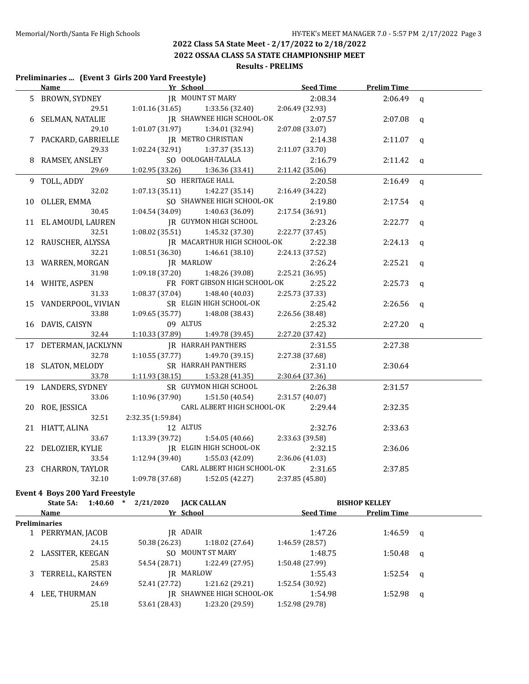**2022 OSSAA CLASS 5A STATE CHAMPIONSHIP MEET**

## **Results - PRELIMS**

#### **Preliminaries ... (Event 3 Girls 200 Yard Freestyle)**

| <u>Name</u>                     | Yr School                          | <b>Seed Time</b> | <b>Prelim Time</b> |              |
|---------------------------------|------------------------------------|------------------|--------------------|--------------|
| 5 BROWN, SYDNEY                 | <b>IR MOUNT ST MARY</b>            | 2:08.34          | $2:06.49$ q        |              |
| 29.51                           | $1:01.16(31.65)$ $1:33.56(32.40)$  | 2:06.49 (32.93)  |                    |              |
| 6 SELMAN, NATALIE               | JR SHAWNEE HIGH SCHOOL-OK          | 2:07.57          | 2:07.08            | q            |
| 29.10                           | 1:01.07 (31.97) 1:34.01 (32.94)    | 2:07.08 (33.07)  |                    |              |
| 7 PACKARD, GABRIELLE            | JR METRO CHRISTIAN                 | 2:14.38          | 2:11.07            | $\mathbf q$  |
| 29.33                           | $1:02.24(32.91)$ $1:37.37(35.13)$  | 2:11.07 (33.70)  |                    |              |
| 8 RAMSEY, ANSLEY                | SO OOLOGAH-TALALA                  | 2:16.79          | 2:11.42            | $\mathbf q$  |
| 29.69                           | $1:02.95(33.26)$ $1:36.36(33.41)$  | 2:11.42(35.06)   |                    |              |
| 9 TOLL, ADDY                    | SO HERITAGE HALL                   | 2:20.58          | 2:16.49            | $\mathbf q$  |
| 32.02                           | 1:07.13(35.11)<br>1:42.27 (35.14)  | 2:16.49 (34.22)  |                    |              |
| 10 OLLER, EMMA                  | SO SHAWNEE HIGH SCHOOL-OK          | 2:19.80          | 2:17.54            | $\mathbf q$  |
| 30.45                           | 1:04.54 (34.09)<br>1:40.63(36.09)  | 2:17.54 (36.91)  |                    |              |
| 11 EL AMOUDI, LAUREN            | JR GUYMON HIGH SCHOOL              | 2:23.26          | 2:22.77            | $\mathbf q$  |
| 32.51                           | 1:08.02(35.51)<br>1:45.32 (37.30)  | 2:22.77 (37.45)  |                    |              |
| 12 RAUSCHER, ALYSSA             | IR MACARTHUR HIGH SCHOOL-OK        | 2:22.38          | 2:24.13            | $\mathbf q$  |
| 32.21                           | 1:08.51 (36.30)<br>1:46.61 (38.10) | 2:24.13 (37.52)  |                    |              |
| 13 WARREN, MORGAN               | JR MARLOW                          | 2:26.24          | 2:25.21            | $\mathbf q$  |
| 31.98                           | $1:09.18(37.20)$ $1:48.26(39.08)$  | 2:25.21 (36.95)  |                    |              |
| 14 WHITE, ASPEN                 | FR FORT GIBSON HIGH SCHOOL-OK      | 2:25.22          | 2:25.73            | $\mathbf{q}$ |
| 31.33                           | 1:08.37 (37.04)<br>1:48.40 (40.03) | 2:25.73 (37.33)  |                    |              |
| 15 VANDERPOOL, VIVIAN           | SR ELGIN HIGH SCHOOL-OK            | 2:25.42          | 2:26.56            | q            |
| 33.88                           | 1:09.65(35.77)<br>1:48.08 (38.43)  | 2:26.56 (38.48)  |                    |              |
| 16 DAVIS, CAISYN                | 09 ALTUS                           | 2:25.32          | 2:27.20            | $\mathbf{q}$ |
| 32.44                           | 1:10.33(37.89)<br>1:49.78 (39.45)  | 2:27.20 (37.42)  |                    |              |
| 17 DETERMAN, JACKLYNN           | <b>IR HARRAH PANTHERS</b>          | 2:31.55          | 2:27.38            |              |
| 32.78                           | 1:10.55(37.77)<br>1:49.70 (39.15)  | 2:27.38 (37.68)  |                    |              |
| 18 SLATON, MELODY               | SR HARRAH PANTHERS                 | 2:31.10          | 2:30.64            |              |
| 33.78                           | $1:11.93(38.15)$ $1:53.28(41.35)$  | 2:30.64 (37.36)  |                    |              |
| 19 LANDERS, SYDNEY              | SR GUYMON HIGH SCHOOL              | 2:26.38          | 2:31.57            |              |
| 33.06                           | 1:10.96(37.90)<br>1:51.50 (40.54)  | 2:31.57 (40.07)  |                    |              |
| 20 ROE, JESSICA                 | CARL ALBERT HIGH SCHOOL-OK         | 2:29.44          | 2:32.35            |              |
| 32.51                           | 2:32.35 (1:59.84)                  |                  |                    |              |
| 21 HIATT, ALINA                 | 12 ALTUS                           | 2:32.76          | 2:33.63            |              |
| 33.67                           | 1:54.05 (40.66)<br>1:13.39 (39.72) | 2:33.63 (39.58)  |                    |              |
| 22 DELOZIER, KYLIE              | JR ELGIN HIGH SCHOOL-OK            | 2:32.15          | 2:36.06            |              |
| 33.54                           | 1:12.94 (39.40)<br>1:55.03 (42.09) | 2:36.06 (41.03)  |                    |              |
| 23 CHARRON, TAYLOR              | CARL ALBERT HIGH SCHOOL-OK         | 2:31.65          | 2:37.85            |              |
| 32.10                           | $1:09.78(37.68)$ $1:52.05(42.27)$  | 2:37.85 (45.80)  |                    |              |
| Event 4 Boys 200 Yard Freestyle |                                    |                  |                    |              |

|   | State 5A:            | 1:40.60 | $\ast$ | 2/21/2020     | <b>JACK CALLAN</b>        |                  | <b>BISHOP KELLEY</b> |  |
|---|----------------------|---------|--------|---------------|---------------------------|------------------|----------------------|--|
|   | Name                 |         |        |               | Yr School                 | <b>Seed Time</b> | <b>Prelim Time</b>   |  |
|   | <b>Preliminaries</b> |         |        |               |                           |                  |                      |  |
|   | 1 PERRYMAN, JACOB    |         |        |               | IR ADAIR                  | 1:47.26          | $1:46.59$ q          |  |
|   |                      | 24.15   |        | 50.38 (26.23) | 1:18.02(27.64)            | 1:46.59(28.57)   |                      |  |
|   | 2 LASSITER, KEEGAN   |         |        |               | SO MOUNT ST MARY          | 1:48.75          | $1:50.48$ q          |  |
|   |                      | 25.83   |        | 54.54 (28.71) | 1:22.49 (27.95)           | 1:50.48 (27.99)  |                      |  |
|   | TERRELL, KARSTEN     |         |        |               | IR MARLOW                 | 1:55.43          | 1:52.54 $q$          |  |
|   |                      | 24.69   |        | 52.41 (27.72) | 1:21.62(29.21)            | 1:52.54 (30.92)  |                      |  |
| 4 | LEE, THURMAN         |         |        |               | IR SHAWNEE HIGH SCHOOL-OK | 1:54.98          | 1:52.98 $q$          |  |
|   |                      | 25.18   |        | 53.61 (28.43) | 1:23.20 (29.59)           | 1:52.98 (29.78)  |                      |  |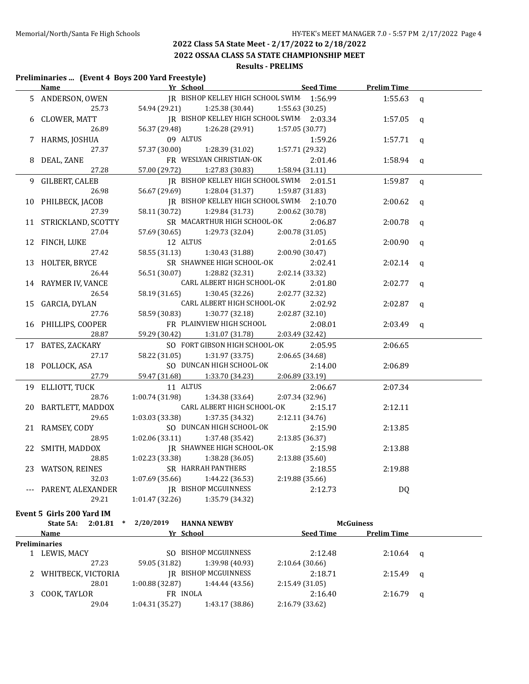**2022 OSSAA CLASS 5A STATE CHAMPIONSHIP MEET**

## **Results - PRELIMS**

#### **Preliminaries ... (Event 4 Boys 200 Yard Freestyle)**

|    | Name                           | <b>Example 12 Yr School</b>               | <u>Seed Time</u> | <b>Prelim Time</b> |              |
|----|--------------------------------|-------------------------------------------|------------------|--------------------|--------------|
|    | 5 ANDERSON, OWEN               | JR BISHOP KELLEY HIGH SCHOOL SWIM 1:56.99 |                  | 1:55.63            | $\mathsf{q}$ |
|    | 25.73                          | 54.94 (29.21)<br>1:25.38 (30.44)          | 1:55.63 (30.25)  |                    |              |
| 6  | CLOWER, MATT                   | JR BISHOP KELLEY HIGH SCHOOL SWIM 2:03.34 |                  | 1:57.05            | q            |
|    | 26.89                          | 1:26.28 (29.91)<br>56.37 (29.48)          | 1:57.05 (30.77)  |                    |              |
|    | 7 HARMS, JOSHUA                | 09 ALTUS                                  | 1:59.26          | 1:57.71 $q$        |              |
|    | 27.37                          | 57.37 (30.00)<br>1:28.39 (31.02)          | 1:57.71 (29.32)  |                    |              |
|    | DEAL, ZANE                     | FR WESLYAN CHRISTIAN-OK                   | 2:01.46          | 1:58.94 $q$        |              |
|    | 27.28                          | 57.00 (29.72)<br>1:27.83(30.83)           | 1:58.94 (31.11)  |                    |              |
| 9. | GILBERT, CALEB                 | IR BISHOP KELLEY HIGH SCHOOL SWIM 2:01.51 |                  | 1:59.87            | q            |
|    | 26.98                          | 56.67 (29.69)<br>1:28.04 (31.37)          | 1:59.87 (31.83)  |                    |              |
|    | 10 PHILBECK, JACOB             | JR BISHOP KELLEY HIGH SCHOOL SWIM 2:10.70 |                  | 2:00.62            | q            |
|    | 27.39                          | 58.11 (30.72)<br>1:29.84 (31.73)          | 2:00.62 (30.78)  |                    |              |
|    | 11 STRICKLAND, SCOTTY          | SR MACARTHUR HIGH SCHOOL-OK               | 2:06.87          | 2:00.78            | q            |
|    | 27.04                          | 1:29.73 (32.04)<br>57.69 (30.65)          | 2:00.78 (31.05)  |                    |              |
|    | 12 FINCH, LUKE                 | 12 ALTUS                                  | 2:01.65          | 2:00.90            | q            |
|    | 27.42                          | 58.55 (31.13)<br>1:30.43 (31.88)          | 2:00.90 (30.47)  |                    |              |
|    | 13 HOLTER, BRYCE               | SR SHAWNEE HIGH SCHOOL-OK                 | 2:02.41          | 2:02.14            | $\mathsf{q}$ |
|    | 26.44                          | 56.51 (30.07)<br>1:28.82 (32.31)          | 2:02.14 (33.32)  |                    |              |
|    | 14 RAYMER IV, VANCE            | CARL ALBERT HIGH SCHOOL-OK                | 2:01.80          | 2:02.77            |              |
|    | 26.54                          | 58.19 (31.65)<br>1:30.45(32.26)           | 2:02.77 (32.32)  |                    | $\mathsf{q}$ |
|    |                                | CARL ALBERT HIGH SCHOOL-OK                | 2:02.92          | 2:02.87            |              |
|    | 15 GARCIA, DYLAN<br>27.76      | 58.59 (30.83)<br>1:30.77 (32.18)          | 2:02.87 (32.10)  |                    | $\mathbf q$  |
|    | 16 PHILLIPS, COOPER            | FR PLAINVIEW HIGH SCHOOL                  | 2:08.01          | 2:03.49            |              |
|    | 28.87                          | 1:31.07 (31.78)<br>59.29 (30.42)          | 2:03.49 (32.42)  |                    | q            |
|    |                                | SO FORT GIBSON HIGH SCHOOL-OK             | 2:05.95          |                    |              |
|    | 17 BATES, ZACKARY<br>27.17     | 58.22 (31.05)<br>1:31.97 (33.75)          | 2:06.65 (34.68)  | 2:06.65            |              |
|    |                                | SO DUNCAN HIGH SCHOOL-OK                  |                  |                    |              |
|    | 18 POLLOCK, ASA<br>27.79       | 1:33.70 (34.23)                           | 2:14.00          | 2:06.89            |              |
|    |                                | 59.47 (31.68)<br>11 ALTUS                 | 2:06.89 (33.19)  |                    |              |
|    | 19 ELLIOTT, TUCK               |                                           | 2:06.67          | 2:07.34            |              |
|    | 28.76                          | 1:00.74 (31.98)<br>1:34.38 (33.64)        | 2:07.34 (32.96)  |                    |              |
|    | 20 BARTLETT, MADDOX            | CARL ALBERT HIGH SCHOOL-OK                | 2:15.17          | 2:12.11            |              |
|    | 29.65                          | 1:03.03 (33.38)<br>1:37.35 (34.32)        | 2:12.11 (34.76)  |                    |              |
|    | 21 RAMSEY, CODY                | SO DUNCAN HIGH SCHOOL-OK                  | 2:15.90          | 2:13.85            |              |
|    | 28.95                          | 1:02.06 (33.11)<br>1:37.48 (35.42)        | 2:13.85 (36.37)  |                    |              |
|    | 22 SMITH, MADDOX               | JR SHAWNEE HIGH SCHOOL-OK                 | 2:15.98          | 2:13.88            |              |
|    | 28.85                          | $1:02.23$ (33.38) $1:38.28$ (36.05)       | 2:13.88 (35.60)  |                    |              |
|    | 23 WATSON, REINES              | SR HARRAH PANTHERS                        | 2:18.55          | 2:19.88            |              |
|    | 32.03                          | 1:07.69(35.66)<br>1:44.22 (36.53)         | 2:19.88 (35.66)  |                    |              |
|    | PARENT, ALEXANDER              | <b>IR BISHOP MCGUINNESS</b>               | 2:12.73          | DQ                 |              |
|    | 29.21                          | 1:01.47 (32.26)<br>1:35.79 (34.32)        |                  |                    |              |
|    | Event 5 Girls 200 Yard IM      |                                           |                  |                    |              |
|    | State 5A:<br>2:01.81<br>$\ast$ | 2/20/2019<br><b>HANNA NEWBY</b>           |                  | <b>McGuiness</b>   |              |
|    | Name                           | Yr School                                 | <b>Seed Time</b> | <b>Prelim Time</b> |              |
|    | <b>Preliminaries</b>           |                                           |                  |                    |              |
|    | 1 LEWIS, MACY                  | SO BISHOP MCGUINNESS                      | 2:12.48          | 2:10.64            | q            |
|    | 27.23                          | 59.05 (31.82)<br>1:39.98 (40.93)          | 2:10.64 (30.66)  |                    |              |
| 2  | WHITBECK, VICTORIA             | <b>IR BISHOP MCGUINNESS</b>               | 2:18.71          | 2:15.49            | q            |
|    | 28.01                          | 1:00.88 (32.87)<br>1:44.44 (43.56)        | 2:15.49 (31.05)  |                    |              |
| 3  | COOK, TAYLOR                   | FR INOLA                                  | 2:16.40          | 2:16.79            | q            |
|    | 29.04                          | $1:04.31(35.27)$ $1:43.17(38.86)$         | 2:16.79 (33.62)  |                    |              |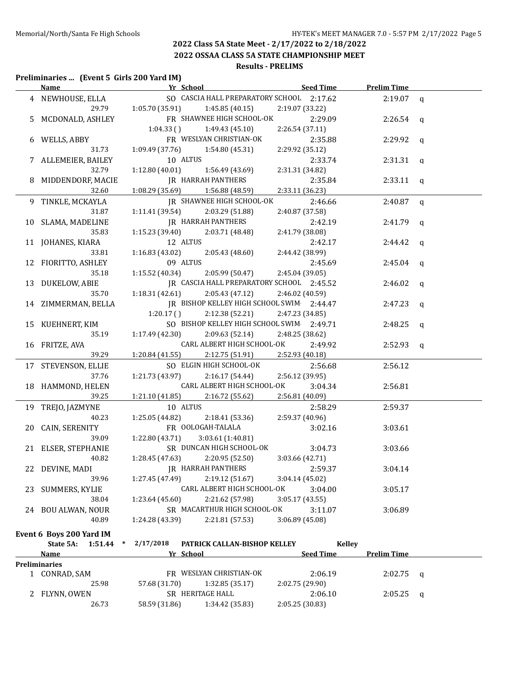#### **2022 Class 5A State Meet - 2/17/2022 to 2/18/2022 2022 OSSAA CLASS 5A STATE CHAMPIONSHIP MEET Results - PRELIMS**

#### **Preliminaries ... (Event 5 Girls 200 Yard IM)**

|    | <u>Name</u>                                             | <b>Example 20 Yr School Seed Time</b>                           |                            | <b>Prelim Time</b> |              |
|----|---------------------------------------------------------|-----------------------------------------------------------------|----------------------------|--------------------|--------------|
|    | 4 NEWHOUSE, ELLA                                        | SO CASCIA HALL PREPARATORY SCHOOL 2:17.62                       |                            | 2:19.07            | $\mathbf q$  |
|    |                                                         | 29.79 1:05.70 (35.91)<br>1:45.85 (40.15)                        | 2:19.07 (33.22)            |                    |              |
|    | MCDONALD, ASHLEY                                        | FR SHAWNEE HIGH SCHOOL-OK                                       | 2:29.09                    | 2:26.54            | q            |
|    |                                                         | 1:04.33(<br>1:49.43(45.10)                                      | 2:26.54 (37.11)            |                    |              |
|    | 6 WELLS, ABBY                                           | FR WESLYAN CHRISTIAN-OK                                         | 2:35.88                    | 2:29.92            | q            |
|    | 31.73                                                   | 1:09.49 (37.76)<br>1:54.80 (45.31)                              | 2:29.92 (35.12)            |                    |              |
|    | 7 ALLEMEIER, BAILEY                                     | 10 ALTUS                                                        | 2:33.74                    | $2:31.31$ q        |              |
|    | 32.79                                                   | 1:12.80(40.01)<br>1:56.49 (43.69)                               | 2:31.31 (34.82)            |                    |              |
|    | MIDDENDORF, MACIE                                       | <b>JR HARRAH PANTHERS</b>                                       | 2:35.84                    | $2:33.11$ q        |              |
|    | 32.60                                                   | $1:08.29(35.69)$ $1:56.88(48.59)$                               | 2:33.11 (36.23)            |                    |              |
| 9. | TINKLE, MCKAYLA                                         | JR SHAWNEE HIGH SCHOOL-OK                                       | 2:46.66                    | 2:40.87            | $\mathbf q$  |
|    | 31.87                                                   | 1:11.41(39.54)<br>2:03.29 (51.88)                               | 2:40.87 (37.58)            |                    |              |
|    | 10 SLAMA, MADELINE                                      | JR HARRAH PANTHERS                                              | 2:42.19                    | 2:41.79            | $\mathbf q$  |
|    | 35.83                                                   | 1:15.23 (39.40)<br>2:03.71 (48.48)                              | 2:41.79 (38.08)            |                    |              |
|    | 11 JOHANES, KIARA                                       | 12 ALTUS                                                        | 2:42.17                    | 2:44.42            | q            |
|    | 33.81                                                   | 1:16.83(43.02)<br>2:05.43 (48.60)                               | 2:44.42 (38.99)            |                    |              |
|    | 12 FIORITTO, ASHLEY                                     | 09 ALTUS                                                        | 2:45.69                    | 2:45.04            | $\mathbf{q}$ |
|    | 35.18                                                   | 1:15.52 (40.34)<br>2:05.99 (50.47)                              | 2:45.04 (39.05)            |                    |              |
| 13 | DUKELOW, ABIE                                           | JR CASCIA HALL PREPARATORY SCHOOL 2:45.52                       |                            | 2:46.02            | q            |
|    | 35.70                                                   | 1:18.31(42.61)<br>2:05.43(47.12)                                | 2:46.02 (40.59)            |                    |              |
|    | 14 ZIMMERMAN, BELLA                                     | JR BISHOP KELLEY HIGH SCHOOL SWIM 2:44.47                       |                            | 2:47.23            | q            |
|    |                                                         | 2:12.38 (52.21)<br>1:20.17(                                     | 2:47.23 (34.85)            |                    |              |
|    | 15 KUEHNERT, KIM                                        | SO BISHOP KELLEY HIGH SCHOOL SWIM 2:49.71                       |                            | 2:48.25            | q            |
|    | 35.19                                                   | 1:17.49 (42.30)<br>2:09.63 (52.14)                              | 2:48.25 (38.62)            |                    |              |
|    | 16 FRITZE, AVA                                          | CARL ALBERT HIGH SCHOOL-OK                                      | 2:49.92                    | $2:52.93$ q        |              |
|    | 39.29                                                   | 1:20.84 (41.55)<br>2:12.75 (51.91)                              | 2:52.93 (40.18)            |                    |              |
|    | 17 STEVENSON, ELLIE                                     | SO ELGIN HIGH SCHOOL-OK                                         | 2:56.68                    | 2:56.12            |              |
|    | 37.76                                                   | 1:21.73(43.97)<br>2:16.17 (54.44)<br>CARL ALBERT HIGH SCHOOL-OK | 2:56.12 (39.95)            |                    |              |
|    | 18 HAMMOND, HELEN<br>39.25                              | 2:16.72(55.62)<br>1:21.10 (41.85)                               | 3:04.34<br>2:56.81 (40.09) | 2:56.81            |              |
|    |                                                         | 10 ALTUS                                                        | 2:58.29                    | 2:59.37            |              |
| 19 | TREJO, JAZMYNE<br>40.23                                 | 1:25.05 (44.82)<br>2:18.41 (53.36)                              | 2:59.37 (40.96)            |                    |              |
| 20 | CAIN, SERENITY                                          | FR OOLOGAH-TALALA                                               | 3:02.16                    | 3:03.61            |              |
|    | 39.09                                                   | 1:22.80 (43.71)<br>3:03.61 (1:40.81)                            |                            |                    |              |
|    | 21 ELSER, STEPHANIE                                     | SR DUNCAN HIGH SCHOOL-OK                                        | 3:04.73                    | 3:03.66            |              |
|    | 40.82                                                   | 1:28.45 (47.63)<br>2:20.95 (52.50)                              | 3:03.66 (42.71)            |                    |              |
|    | 22 DEVINE, MADI                                         | JR HARRAH PANTHERS                                              | 2:59.37                    | 3:04.14            |              |
|    | 39.96                                                   | 2:19.12 (51.67)<br>1:27.45 (47.49)                              | 3:04.14(45.02)             |                    |              |
|    | 23 SUMMERS, KYLIE                                       | CARL ALBERT HIGH SCHOOL-OK                                      | 3:04.00                    | 3:05.17            |              |
|    | 38.04                                                   | 1:23.64 (45.60)<br>2:21.62 (57.98)                              | 3:05.17(43.55)             |                    |              |
|    | 24 BOU ALWAN, NOUR                                      | SR MACARTHUR HIGH SCHOOL-OK                                     | 3:11.07                    | 3:06.89            |              |
|    | 40.89                                                   | 1:24.28 (43.39)<br>2:21.81 (57.53)                              | 3:06.89 (45.08)            |                    |              |
|    |                                                         |                                                                 |                            |                    |              |
|    | Event 6 Boys 200 Yard IM<br>State 5A: 1:51.44<br>$\ast$ | 2/17/2018<br>PATRICK CALLAN-BISHOP KELLEY                       | <b>Kelley</b>              |                    |              |
|    | Name                                                    | Yr School                                                       | <b>Seed Time</b>           | <b>Prelim Time</b> |              |
|    | <b>Preliminaries</b>                                    |                                                                 |                            |                    |              |
|    | 1 CONRAD, SAM                                           | FR WESLYAN CHRISTIAN-OK                                         | 2:06.19                    | 2:02.75            | $\mathbf{q}$ |
|    | 25.98                                                   | 57.68 (31.70)<br>1:32.85 (35.17)                                | 2:02.75 (29.90)            |                    |              |
|    | 2 FLYNN, OWEN                                           | SR HERITAGE HALL                                                | 2:06.10                    | $2:05.25$ q        |              |
|    | 26.73                                                   | 58.59 (31.86) 1:34.42 (35.83)                                   | 2:05.25 (30.83)            |                    |              |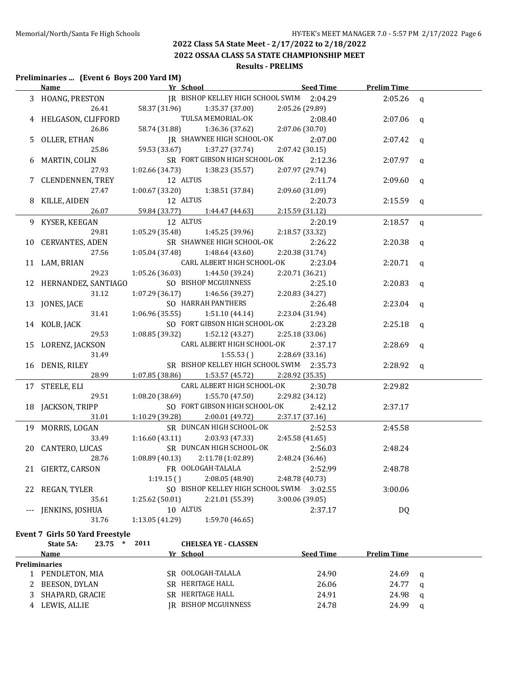**2022 OSSAA CLASS 5A STATE CHAMPIONSHIP MEET**

## **Results - PRELIMS**

#### **Preliminaries ... (Event 6 Boys 200 Yard IM)**

|                      | <b>Name</b>            | Yr School                                 | <b>Seed Time</b> | <b>Prelim Time</b> |              |
|----------------------|------------------------|-------------------------------------------|------------------|--------------------|--------------|
|                      | 3 HOANG, PRESTON       | JR BISHOP KELLEY HIGH SCHOOL SWIM 2:04.29 |                  | 2:05.26            | q            |
|                      | 26.41                  | 58.37 (31.96)<br>1:35.37 (37.00)          | 2:05.26 (29.89)  |                    |              |
|                      | 4 HELGASON, CLIFFORD   | TULSA MEMORIAL-OK                         | 2:08.40          | 2:07.06            | $\mathbf q$  |
|                      | 26.86                  | 58.74 (31.88)<br>1:36.36 (37.62)          | 2:07.06 (30.70)  |                    |              |
| 5.                   | OLLER, ETHAN           | JR SHAWNEE HIGH SCHOOL-OK                 | 2:07.00          | 2:07.42            | $\mathbf q$  |
|                      | 25.86                  | 59.53 (33.67)<br>1:37.27 (37.74)          | 2:07.42 (30.15)  |                    |              |
| 6                    | MARTIN, COLIN          | SR FORT GIBSON HIGH SCHOOL-OK             | 2:12.36          | 2:07.97            | $\mathbf q$  |
|                      | 27.93                  | 1:02.66 (34.73)<br>1:38.23 (35.57)        | 2:07.97 (29.74)  |                    |              |
| 7                    | CLENDENNEN, TREY       | 12 ALTUS                                  | 2:11.74          | 2:09.60            | $\mathbf q$  |
|                      | 27.47                  | 1:00.67(33.20)<br>1:38.51 (37.84)         | 2:09.60 (31.09)  |                    |              |
| 8                    | KILLE, AIDEN           | 12 ALTUS                                  | 2:20.73          | 2:15.59            | q            |
|                      | 26.07                  | 1:44.47 (44.63)<br>59.84 (33.77)          | 2:15.59 (31.12)  |                    |              |
|                      | 9 KYSER, KEEGAN        | 12 ALTUS                                  | 2:20.19          | 2:18.57            | $\mathsf{q}$ |
|                      | 29.81                  | 1:05.29 (35.48)<br>1:45.25 (39.96)        | 2:18.57 (33.32)  |                    |              |
| 10                   | CERVANTES, ADEN        | SR SHAWNEE HIGH SCHOOL-OK                 | 2:26.22          | 2:20.38            | $\mathbf q$  |
|                      | 27.56                  | 1:05.04(37.48)<br>1:48.64 (43.60)         | 2:20.38 (31.74)  |                    |              |
|                      | 11 LAM, BRIAN          | CARL ALBERT HIGH SCHOOL-OK                | 2:23.04          | 2:20.71            | $\mathbf q$  |
|                      | 29.23                  | 1:05.26(36.03)<br>1:44.50 (39.24)         | 2:20.71 (36.21)  |                    |              |
|                      | 12 HERNANDEZ, SANTIAGO | SO BISHOP MCGUINNESS                      | 2:25.10          | 2:20.83            | $\mathbf q$  |
|                      | 31.12                  | 1:07.29(36.17)<br>1:46.56 (39.27)         | 2:20.83 (34.27)  |                    |              |
| 13                   | JONES, JACE            | SO HARRAH PANTHERS                        | 2:26.48          | 2:23.04            | $\mathbf{q}$ |
|                      | 31.41                  | 1:06.96(35.55)<br>1:51.10 (44.14)         | 2:23.04 (31.94)  |                    |              |
|                      | 14 KOLB, JACK          | SO FORT GIBSON HIGH SCHOOL-OK             | 2:23.28          | 2:25.18            | q            |
|                      | 29.53                  | 1:08.85 (39.32)<br>1:52.12 (43.27)        | 2:25.18 (33.06)  |                    |              |
|                      | 15 LORENZ, JACKSON     | CARL ALBERT HIGH SCHOOL-OK                | 2:37.17          | 2:28.69            | $\mathbf q$  |
|                      | 31.49                  | 1:55.53()                                 | 2:28.69 (33.16)  |                    |              |
|                      | 16 DENIS, RILEY        | SR BISHOP KELLEY HIGH SCHOOL SWIM 2:35.73 |                  | 2:28.92            | $\mathbf q$  |
|                      | 28.99                  | 1:07.85 (38.86)<br>1:53.57 (45.72)        | 2:28.92 (35.35)  |                    |              |
|                      | 17 STEELE, ELI         | CARL ALBERT HIGH SCHOOL-OK                | 2:30.78          | 2:29.82            |              |
|                      | 29.51                  | 1:08.20 (38.69)<br>1:55.70 (47.50)        | 2:29.82 (34.12)  |                    |              |
|                      | 18 JACKSON, TRIPP      | SO FORT GIBSON HIGH SCHOOL-OK             | 2:42.12          | 2:37.17            |              |
|                      | 31.01                  | 1:10.29 (39.28)<br>2:00.01 (49.72)        | 2:37.17 (37.16)  |                    |              |
|                      | 19 MORRIS, LOGAN       | SR DUNCAN HIGH SCHOOL-OK                  | 2:52.53          | 2:45.58            |              |
|                      | 33.49                  | 1:16.60(43.11)<br>2:03.93 (47.33)         | 2:45.58 (41.65)  |                    |              |
|                      | 20 CANTERO, LUCAS      | SR DUNCAN HIGH SCHOOL-OK                  | 2:56.03          | 2:48.24            |              |
|                      | 28.76                  | 1:08.89(40.13)<br>2:11.78 (1:02.89)       | 2:48.24 (36.46)  |                    |              |
|                      | 21 GIERTZ, CARSON      | FR OOLOGAH-TALALA                         | 2:52.99          | 2:48.78            |              |
|                      |                        | 1:19.15(<br>2:08.05(48.90)                | 2:48.78 (40.73)  |                    |              |
|                      | 22 REGAN, TYLER        | SO BISHOP KELLEY HIGH SCHOOL SWIM         | 3:02.55          | 3:00.06            |              |
|                      | 35.61                  | 1:25.62(50.01)<br>2:21.01 (55.39)         | 3:00.06 (39.05)  |                    |              |
| $\scriptstyle\cdots$ | JENKINS, JOSHUA        | 10 ALTUS                                  | 2:37.17          | DQ                 |              |
|                      | 31.76                  | 1:13.05 (41.29)<br>1:59.70 (46.65)        |                  |                    |              |

#### **Event 7 Girls 50 Yard Freestyle**

|   | State 5A:            | 23.75 | ∗ | 2011 | <b>CHELSEA YE - CLASSEN</b> |                  |                    |     |
|---|----------------------|-------|---|------|-----------------------------|------------------|--------------------|-----|
|   | Name                 |       |   |      | Yr School                   | <b>Seed Time</b> | <b>Prelim Time</b> |     |
|   | <b>Preliminaries</b> |       |   |      |                             |                  |                    |     |
|   | PENDLETON, MIA       |       |   |      | SR OOLOGAH-TALALA           | 24.90            | 24.69              | - a |
|   | BEESON, DYLAN        |       |   |      | SR HERITAGE HALL            | 26.06            | 24.77              |     |
|   | SHAPARD, GRACIE      |       |   |      | SR HERITAGE HALL            | 24.91            | 24.98              | - a |
| 4 | LEWIS, ALLIE         |       |   |      | IR BISHOP MCGUINNESS        | 24.78            | 24.99              |     |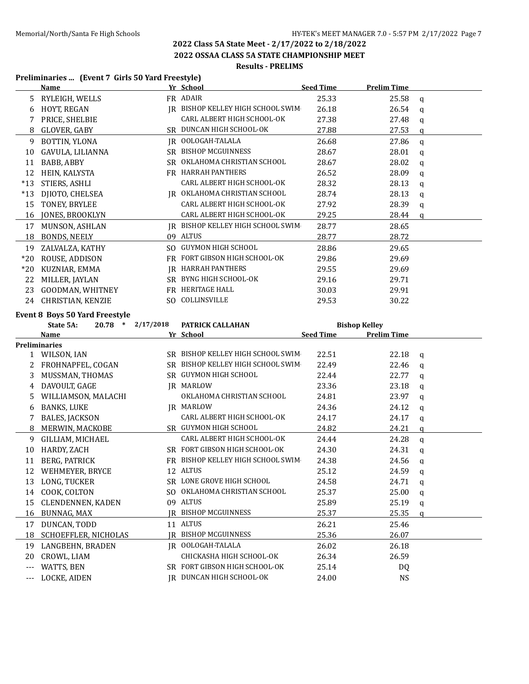**2022 OSSAA CLASS 5A STATE CHAMPIONSHIP MEET**

## **Results - PRELIMS**

#### **Preliminaries ... (Event 7 Girls 50 Yard Freestyle)**

|       | Name                     |     | Yr School                      | <b>Seed Time</b> | <b>Prelim Time</b> |   |
|-------|--------------------------|-----|--------------------------------|------------------|--------------------|---|
| 5.    | RYLEIGH, WELLS           |     | FR ADAIR                       | 25.33            | 25.58              | q |
| 6     | <b>HOYT, REGAN</b>       | IR  | BISHOP KELLEY HIGH SCHOOL SWIM | 26.18            | 26.54              | a |
|       | PRICE, SHELBIE           |     | CARL ALBERT HIGH SCHOOL-OK     | 27.38            | 27.48              | a |
| 8     | GLOVER, GABY             |     | SR DUNCAN HIGH SCHOOL-OK       | 27.88            | 27.53              | a |
| 9     | BOTTIN, YLONA            |     | JR OOLOGAH-TALALA              | 26.68            | 27.86              | a |
| 10    | GAVULA, LILIANNA         | SR  | <b>BISHOP MCGUINNESS</b>       | 28.67            | 28.01              | a |
| 11    | BABB, ABBY               | SR. | OKLAHOMA CHRISTIAN SCHOOL      | 28.67            | 28.02              | a |
| 12    | HEIN, KALYSTA            | FR. | HARRAH PANTHERS                | 26.52            | 28.09              | a |
| $*13$ | STIERS, ASHLI            |     | CARL ALBERT HIGH SCHOOL-OK     | 28.32            | 28.13              | a |
| $*13$ | DJIOTO, CHELSEA          | IR  | OKLAHOMA CHRISTIAN SCHOOL      | 28.74            | 28.13              | a |
| 15    | TONEY, BRYLEE            |     | CARL ALBERT HIGH SCHOOL-OK     | 27.92            | 28.39              | q |
| 16    | <b>JONES, BROOKLYN</b>   |     | CARL ALBERT HIGH SCHOOL-OK     | 29.25            | 28.44              | a |
| 17    | MUNSON, ASHLAN           | IR  | BISHOP KELLEY HIGH SCHOOL SWIM | 28.77            | 28.65              |   |
| 18    | <b>BONDS, NEELY</b>      | 09  | ALTUS                          | 28.77            | 28.72              |   |
| 19    | ZALVALZA, KATHY          | SO. | GUYMON HIGH SCHOOL             | 28.86            | 29.65              |   |
| $*20$ | ROUSE, ADDISON           | FR  | FORT GIBSON HIGH SCHOOL-OK     | 29.86            | 29.69              |   |
| $*20$ | KUZNIAR, EMMA            | IR  | <b>HARRAH PANTHERS</b>         | 29.55            | 29.69              |   |
| 22    | MILLER, JAYLAN           | SR  | BYNG HIGH SCHOOL-OK            | 29.16            | 29.71              |   |
| 23    | <b>GOODMAN, WHITNEY</b>  | FR. | HERITAGE HALL                  | 30.03            | 29.91              |   |
| 24    | <b>CHRISTIAN, KENZIE</b> | SO. | COLLINSVILLE                   | 29.53            | 30.22              |   |
|       |                          |     |                                |                  |                    |   |

#### **Event 8 Boys 50 Yard Freestyle**

|     | $20.78$ *<br>State 5A:   | 2/17/2018 | PATRICK CALLAHAN                  |                  | <b>Bishop Kelley</b> |              |
|-----|--------------------------|-----------|-----------------------------------|------------------|----------------------|--------------|
|     | <b>Name</b>              |           | Yr School                         | <b>Seed Time</b> | <b>Prelim Time</b>   |              |
|     | <b>Preliminaries</b>     |           |                                   |                  |                      |              |
|     | 1 WILSON, IAN            |           | SR BISHOP KELLEY HIGH SCHOOL SWIM | 22.51            | 22.18                | q            |
| 2   | FROHNAPFEL, COGAN        | SR.       | BISHOP KELLEY HIGH SCHOOL SWIM    | 22.49            | 22.46                | a            |
| 3   | MUSSMAN, THOMAS          |           | SR GUYMON HIGH SCHOOL             | 22.44            | 22.77                | q            |
| 4   | DAVOULT, GAGE            | IR        | MARLOW                            | 23.36            | 23.18                | a            |
| 5   | WILLIAMSON, MALACHI      |           | OKLAHOMA CHRISTIAN SCHOOL         | 24.81            | 23.97                | q            |
| 6   | <b>BANKS, LUKE</b>       |           | <b>IR MARLOW</b>                  | 24.36            | 24.12                | $\mathbf{q}$ |
|     | BALES, JACKSON           |           | CARL ALBERT HIGH SCHOOL-OK        | 24.17            | 24.17                | q            |
| 8   | MERWIN, MACKOBE          |           | SR GUYMON HIGH SCHOOL             | 24.82            | 24.21                | a            |
| 9   | GILLIAM, MICHAEL         |           | CARL ALBERT HIGH SCHOOL-OK        | 24.44            | 24.28                | $\mathbf{q}$ |
| 10  | HARDY, ZACH              |           | SR FORT GIBSON HIGH SCHOOL-OK     | 24.30            | 24.31                | a            |
| 11  | BERG, PATRICK            | <b>FR</b> | BISHOP KELLEY HIGH SCHOOL SWIM    | 24.38            | 24.56                | a            |
| 12  | WEHMEYER, BRYCE          | 12        | <b>ALTUS</b>                      | 25.12            | 24.59                | a            |
| 13  | LONG, TUCKER             |           | SR LONE GROVE HIGH SCHOOL         | 24.58            | 24.71                | a            |
| 14  | COOK, COLTON             | SO.       | OKLAHOMA CHRISTIAN SCHOOL         | 25.37            | 25.00                | q            |
| 15  | <b>CLENDENNEN, KADEN</b> | 09        | <b>ALTUS</b>                      | 25.89            | 25.19                | a            |
| 16  | BUNNAG, MAX              |           | IR BISHOP MCGUINNESS              | 25.37            | 25.35                | a            |
| 17  | DUNCAN, TODD             |           | 11 ALTUS                          | 26.21            | 25.46                |              |
| 18  | SCHOEFFLER, NICHOLAS     | IR-       | <b>BISHOP MCGUINNESS</b>          | 25.36            | 26.07                |              |
| 19  | LANGBEHN, BRADEN         |           | JR OOLOGAH-TALALA                 | 26.02            | 26.18                |              |
| 20  | CROWL, LIAM              |           | CHICKASHA HIGH SCHOOL-OK          | 26.34            | 26.59                |              |
| --- | WATTS, BEN               |           | SR FORT GIBSON HIGH SCHOOL-OK     | 25.14            | DQ.                  |              |
| --- | LOCKE, AIDEN             | IR        | DUNCAN HIGH SCHOOL-OK             | 24.00            | NS                   |              |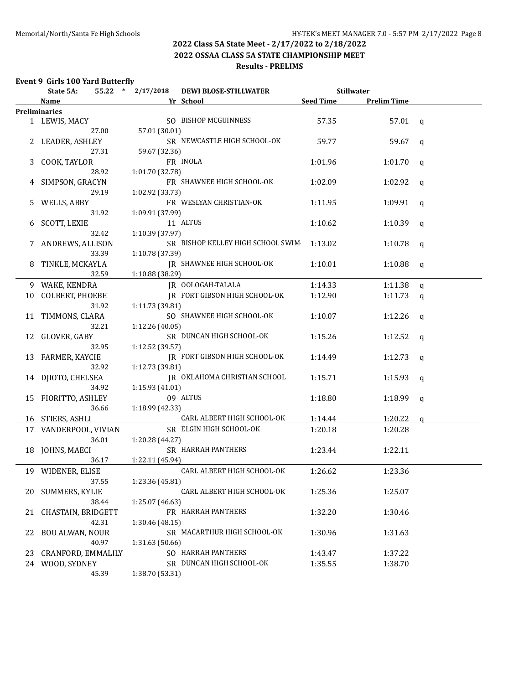#### **2022 Class 5A State Meet - 2/17/2022 to 2/18/2022 2022 OSSAA CLASS 5A STATE CHAMPIONSHIP MEET**

## **Results - PRELIMS**

#### **Event 9 Girls 100 Yard Butterfly**

|    | State 5A:              | 55.22 * 2/17/2018 | <b>DEWI BLOSE-STILLWATER</b>      |                  | <b>Stillwater</b>  |              |
|----|------------------------|-------------------|-----------------------------------|------------------|--------------------|--------------|
|    | Name                   |                   | Yr School                         | <b>Seed Time</b> | <b>Prelim Time</b> |              |
|    | <b>Preliminaries</b>   |                   |                                   |                  |                    |              |
|    | 1 LEWIS, MACY          |                   | SO BISHOP MCGUINNESS              | 57.35            | 57.01              | $\alpha$     |
|    | 27.00                  | 57.01 (30.01)     |                                   |                  |                    |              |
|    | 2 LEADER, ASHLEY       |                   | SR NEWCASTLE HIGH SCHOOL-OK       | 59.77            | 59.67              | q            |
|    | 27.31                  | 59.67 (32.36)     |                                   |                  |                    |              |
| 3  | COOK, TAYLOR           |                   | FR INOLA                          | 1:01.96          | 1:01.70            | q            |
|    | 28.92                  | 1:01.70 (32.78)   |                                   |                  |                    |              |
|    | 4 SIMPSON, GRACYN      |                   | FR SHAWNEE HIGH SCHOOL-OK         | 1:02.09          | 1:02.92            | q            |
|    | 29.19                  | 1:02.92 (33.73)   |                                   |                  |                    |              |
| 5. | WELLS, ABBY            |                   | FR WESLYAN CHRISTIAN-OK           | 1:11.95          | 1:09.91            | q            |
|    | 31.92                  | 1:09.91 (37.99)   |                                   |                  |                    |              |
| 6  | <b>SCOTT, LEXIE</b>    |                   | 11 ALTUS                          | 1:10.62          | 1:10.39            | q            |
|    | 32.42                  | 1:10.39 (37.97)   |                                   |                  |                    |              |
|    | 7 ANDREWS, ALLISON     |                   | SR BISHOP KELLEY HIGH SCHOOL SWIM | 1:13.02          | 1:10.78            | q            |
|    | 33.39                  | 1:10.78 (37.39)   |                                   |                  |                    |              |
| 8  | TINKLE, MCKAYLA        |                   | JR SHAWNEE HIGH SCHOOL-OK         | 1:10.01          | 1:10.88            | q            |
|    | 32.59                  | 1:10.88 (38.29)   |                                   |                  |                    |              |
|    | 9 WAKE, KENDRA         |                   | <b>IR OOLOGAH-TALALA</b>          | 1:14.33          | 1:11.38            | $\mathbf q$  |
|    | 10 COLBERT, PHOEBE     |                   | IR FORT GIBSON HIGH SCHOOL-OK     | 1:12.90          | 1:11.73            | $\mathbf{q}$ |
|    | 31.92                  | 1:11.73(39.81)    |                                   |                  |                    |              |
|    | 11 TIMMONS, CLARA      |                   | SO SHAWNEE HIGH SCHOOL-OK         | 1:10.07          | 1:12.26            | q            |
|    | 32.21                  | 1:12.26 (40.05)   |                                   |                  |                    |              |
|    | 12 GLOVER, GABY        |                   | SR DUNCAN HIGH SCHOOL-OK          | 1:15.26          | 1:12.52            | q            |
|    | 32.95                  | 1:12.52 (39.57)   |                                   |                  |                    |              |
|    | 13 FARMER, KAYCIE      |                   | JR FORT GIBSON HIGH SCHOOL-OK     | 1:14.49          | 1:12.73            | q            |
|    | 32.92                  | 1:12.73 (39.81)   |                                   |                  |                    |              |
|    | 14 DJIOTO, CHELSEA     |                   | IR OKLAHOMA CHRISTIAN SCHOOL      | 1:15.71          | 1:15.93            | q            |
|    | 34.92                  | 1:15.93(41.01)    |                                   |                  |                    |              |
|    | 15 FIORITTO, ASHLEY    |                   | 09 ALTUS                          | 1:18.80          | 1:18.99            | q            |
|    | 36.66                  | 1:18.99 (42.33)   |                                   |                  |                    |              |
|    | 16 STIERS, ASHLI       |                   | CARL ALBERT HIGH SCHOOL-OK        | 1:14.44          | 1:20.22            | a            |
|    | 17 VANDERPOOL, VIVIAN  |                   | SR ELGIN HIGH SCHOOL-OK           | 1:20.18          | 1:20.28            |              |
|    | 36.01                  | 1:20.28 (44.27)   |                                   |                  |                    |              |
|    | 18 JOHNS, MAECI        |                   | SR HARRAH PANTHERS                | 1:23.44          | 1:22.11            |              |
|    | 36.17                  | 1:22.11 (45.94)   |                                   |                  |                    |              |
|    | 19 WIDENER, ELISE      |                   | CARL ALBERT HIGH SCHOOL-OK        | 1:26.62          | 1:23.36            |              |
|    | 37.55                  | 1:23.36 (45.81)   |                                   |                  |                    |              |
|    | 20 SUMMERS, KYLIE      |                   | CARL ALBERT HIGH SCHOOL-OK        | 1:25.36          | 1:25.07            |              |
|    | 38.44                  | 1:25.07 (46.63)   |                                   |                  |                    |              |
| 21 | CHASTAIN, BRIDGETT     |                   | FR HARRAH PANTHERS                | 1:32.20          | 1:30.46            |              |
|    | 42.31                  | 1:30.46 (48.15)   |                                   |                  |                    |              |
| 22 | <b>BOU ALWAN, NOUR</b> |                   | SR MACARTHUR HIGH SCHOOL-OK       | 1:30.96          | 1:31.63            |              |
|    | 40.97                  | 1:31.63 (50.66)   |                                   |                  |                    |              |
| 23 | CRANFORD, EMMALILY     |                   | SO HARRAH PANTHERS                | 1:43.47          | 1:37.22            |              |
|    | 24 WOOD, SYDNEY        |                   | SR DUNCAN HIGH SCHOOL-OK          | 1:35.55          | 1:38.70            |              |
|    | 45.39                  | 1:38.70 (53.31)   |                                   |                  |                    |              |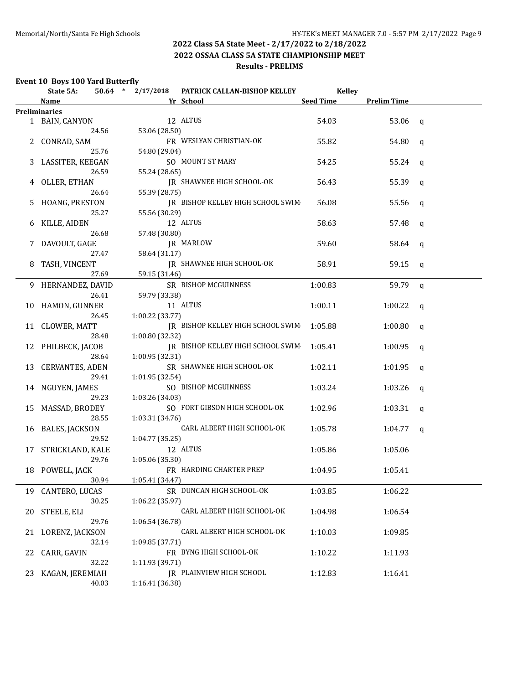**2022 OSSAA CLASS 5A STATE CHAMPIONSHIP MEET**

## **Results - PRELIMS**

### **Event 10 Boys 100 Yard Butterfly**

|    | State 5A:            |       | $50.64$ * 2/17/2018 | PATRICK CALLAN-BISHOP KELLEY      | <b>Kelley</b> |                    |             |  |
|----|----------------------|-------|---------------------|-----------------------------------|---------------|--------------------|-------------|--|
|    | Name                 |       |                     | Yr School                         | Seed Time     | <b>Prelim Time</b> |             |  |
|    | <b>Preliminaries</b> |       |                     |                                   |               |                    |             |  |
|    | 1 BAIN, CANYON       |       |                     | 12 ALTUS                          | 54.03         | 53.06              | q           |  |
|    |                      | 24.56 | 53.06 (28.50)       |                                   |               |                    |             |  |
|    | 2 CONRAD, SAM        |       |                     | FR WESLYAN CHRISTIAN-OK           | 55.82         | 54.80              | q           |  |
|    |                      | 25.76 | 54.80 (29.04)       |                                   |               |                    |             |  |
|    | 3 LASSITER, KEEGAN   |       |                     | SO MOUNT ST MARY                  | 54.25         | 55.24              | q           |  |
|    |                      | 26.59 | 55.24 (28.65)       |                                   |               |                    |             |  |
|    | 4 OLLER, ETHAN       |       |                     | IR SHAWNEE HIGH SCHOOL-OK         | 56.43         | 55.39              | q           |  |
|    |                      | 26.64 | 55.39 (28.75)       |                                   |               |                    |             |  |
| 5. | HOANG, PRESTON       |       |                     | IR BISHOP KELLEY HIGH SCHOOL SWIM | 56.08         | 55.56              | q           |  |
|    |                      | 25.27 | 55.56 (30.29)       |                                   |               |                    |             |  |
| 6  | KILLE, AIDEN         |       |                     | 12 ALTUS                          | 58.63         | 57.48              | q           |  |
|    |                      | 26.68 | 57.48 (30.80)       |                                   |               |                    |             |  |
| 7  | DAVOULT, GAGE        |       |                     | JR MARLOW                         | 59.60         | 58.64              | q           |  |
|    |                      | 27.47 | 58.64 (31.17)       |                                   |               |                    |             |  |
| 8  | TASH, VINCENT        |       |                     | JR SHAWNEE HIGH SCHOOL-OK         | 58.91         | 59.15              | q           |  |
|    |                      | 27.69 | 59.15 (31.46)       |                                   |               |                    |             |  |
|    | 9 HERNANDEZ, DAVID   |       |                     | SR BISHOP MCGUINNESS              | 1:00.83       | 59.79              | $\mathbf q$ |  |
|    |                      | 26.41 | 59.79 (33.38)       |                                   |               |                    |             |  |
|    | 10 HAMON, GUNNER     |       |                     | 11 ALTUS                          | 1:00.11       | 1:00.22            | q           |  |
|    |                      | 26.45 | 1:00.22 (33.77)     |                                   |               |                    |             |  |
|    | 11 CLOWER, MATT      |       |                     | IR BISHOP KELLEY HIGH SCHOOL SWIM | 1:05.88       | 1:00.80            | q           |  |
|    |                      | 28.48 | 1:00.80 (32.32)     |                                   |               |                    |             |  |
|    | 12 PHILBECK, JACOB   |       |                     | JR BISHOP KELLEY HIGH SCHOOL SWIM | 1:05.41       | 1:00.95            | q           |  |
|    |                      | 28.64 | 1:00.95 (32.31)     |                                   |               |                    |             |  |
|    | 13 CERVANTES, ADEN   |       |                     | SR SHAWNEE HIGH SCHOOL-OK         | 1:02.11       | 1:01.95            | q           |  |
|    |                      | 29.41 | 1:01.95 (32.54)     |                                   |               |                    |             |  |
|    | 14 NGUYEN, JAMES     |       |                     | SO BISHOP MCGUINNESS              | 1:03.24       | 1:03.26            | q           |  |
|    |                      | 29.23 | 1:03.26 (34.03)     |                                   |               |                    |             |  |
|    | 15 MASSAD, BRODEY    |       |                     | SO FORT GIBSON HIGH SCHOOL-OK     | 1:02.96       | 1:03.31            | q           |  |
|    |                      | 28.55 | 1:03.31 (34.76)     |                                   |               |                    |             |  |
|    | 16 BALES, JACKSON    |       |                     | CARL ALBERT HIGH SCHOOL-OK        | 1:05.78       | 1:04.77            | q           |  |
|    |                      | 29.52 | 1:04.77 (35.25)     |                                   |               |                    |             |  |
|    | 17 STRICKLAND, KALE  |       |                     | 12 ALTUS                          | 1:05.86       | 1:05.06            |             |  |
|    |                      | 29.76 | 1:05.06 (35.30)     |                                   |               |                    |             |  |
|    | 18 POWELL, JACK      |       |                     | FR HARDING CHARTER PREP           | 1:04.95       | 1:05.41            |             |  |
|    |                      | 30.94 | 1:05.41 (34.47)     |                                   |               |                    |             |  |
|    |                      |       |                     | SR DUNCAN HIGH SCHOOL-OK          |               | 1:06.22            |             |  |
|    | 19 CANTERO, LUCAS    |       |                     |                                   | 1:03.85       |                    |             |  |
|    |                      | 30.25 | 1:06.22 (35.97)     | CARL ALBERT HIGH SCHOOL-OK        |               |                    |             |  |
| 20 | STEELE, ELI          |       |                     |                                   | 1:04.98       | 1:06.54            |             |  |
|    |                      | 29.76 | 1:06.54 (36.78)     | CARL ALBERT HIGH SCHOOL-OK        |               |                    |             |  |
| 21 | LORENZ, JACKSON      |       |                     |                                   | 1:10.03       | 1:09.85            |             |  |
|    |                      | 32.14 | 1:09.85 (37.71)     |                                   |               |                    |             |  |
| 22 | CARR, GAVIN          |       |                     | FR BYNG HIGH SCHOOL-OK            | 1:10.22       | 1:11.93            |             |  |
|    |                      | 32.22 | 1:11.93 (39.71)     |                                   |               |                    |             |  |
| 23 | KAGAN, JEREMIAH      |       |                     | JR PLAINVIEW HIGH SCHOOL          | 1:12.83       | 1:16.41            |             |  |
|    |                      | 40.03 | 1:16.41 (36.38)     |                                   |               |                    |             |  |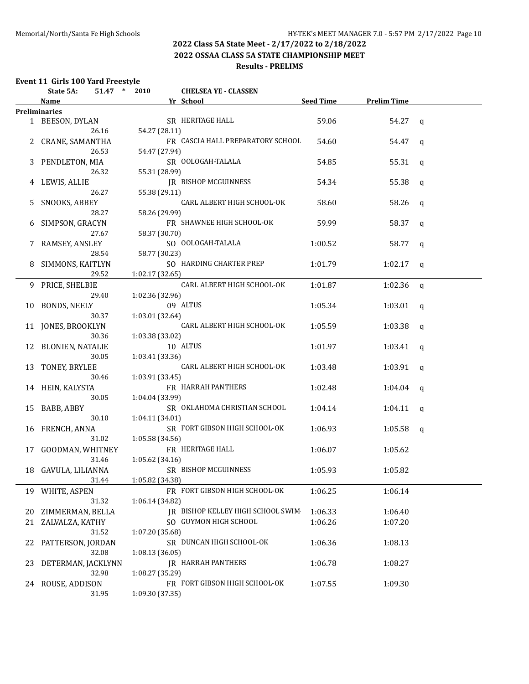## **2022 Class 5A State Meet - 2/17/2022 to 2/18/2022 2022 OSSAA CLASS 5A STATE CHAMPIONSHIP MEET**

## **Results - PRELIMS**

# **Event 11 Girls 100 Yard Freestyle<br>State 54: 51.47 \* 2010**

|    | State 5A:                                | 51.47 * 2010    | <b>CHELSEA YE - CLASSEN</b>                                                                                                                                                                                                         |         |                       |              |
|----|------------------------------------------|-----------------|-------------------------------------------------------------------------------------------------------------------------------------------------------------------------------------------------------------------------------------|---------|-----------------------|--------------|
|    | <b>Name</b>                              |                 | <b>Example 2018 School</b> Service School Service School Service School Service School Service School Service School Service School Service School Service School Service School Service School Service School Service School Servi |         | Seed Time Prelim Time |              |
|    | <b>Preliminaries</b>                     |                 |                                                                                                                                                                                                                                     |         |                       |              |
|    | 1 BEESON, DYLAN                          |                 | SR HERITAGE HALL                                                                                                                                                                                                                    | 59.06   | 54.27 q               |              |
|    | 26.16                                    | 54.27 (28.11)   |                                                                                                                                                                                                                                     |         |                       |              |
|    | 2 CRANE, SAMANTHA                        |                 | FR CASCIA HALL PREPARATORY SCHOOL                                                                                                                                                                                                   | 54.60   | 54.47 q               |              |
|    | 26.53                                    | 54.47 (27.94)   |                                                                                                                                                                                                                                     |         |                       |              |
|    | 3 PENDLETON, MIA                         |                 | SR OOLOGAH-TALALA                                                                                                                                                                                                                   | 54.85   | 55.31 $q$             |              |
|    | 26.32                                    | 55.31 (28.99)   |                                                                                                                                                                                                                                     |         |                       |              |
|    | 4 LEWIS, ALLIE                           |                 | JR BISHOP MCGUINNESS                                                                                                                                                                                                                | 54.34   | 55.38 $q$             |              |
|    | 26.27                                    | 55.38 (29.11)   |                                                                                                                                                                                                                                     |         |                       |              |
| 5  | SNOOKS, ABBEY                            |                 | CARL ALBERT HIGH SCHOOL-OK                                                                                                                                                                                                          | 58.60   | 58.26                 | $\mathbf{q}$ |
|    | 28.27                                    | 58.26 (29.99)   |                                                                                                                                                                                                                                     |         |                       |              |
|    | 6 SIMPSON, GRACYN                        |                 | FR SHAWNEE HIGH SCHOOL-OK                                                                                                                                                                                                           | 59.99   | 58.37                 | q            |
|    | 27.67                                    | 58.37 (30.70)   |                                                                                                                                                                                                                                     |         |                       |              |
|    | 7 RAMSEY, ANSLEY                         |                 | SO OOLOGAH-TALALA                                                                                                                                                                                                                   | 1:00.52 | 58.77 q               |              |
|    | 28.54                                    | 58.77 (30.23)   |                                                                                                                                                                                                                                     |         |                       |              |
|    | 8 SIMMONS, KAITLYN                       |                 | SO HARDING CHARTER PREP                                                                                                                                                                                                             | 1:01.79 | $1:02.17$ q           |              |
|    | 29.52                                    | 1:02.17 (32.65) |                                                                                                                                                                                                                                     |         |                       |              |
|    | 9 PRICE, SHELBIE                         |                 | CARL ALBERT HIGH SCHOOL-OK                                                                                                                                                                                                          | 1:01.87 | 1:02.36 q             |              |
|    | 29.40                                    | 1:02.36 (32.96) |                                                                                                                                                                                                                                     |         |                       |              |
|    | 10 BONDS, NEELY                          |                 | 09 ALTUS                                                                                                                                                                                                                            | 1:05.34 | $1:03.01$ q           |              |
|    | 30.37                                    | 1:03.01 (32.64) |                                                                                                                                                                                                                                     |         |                       |              |
|    | 11 JONES, BROOKLYN                       |                 | CARL ALBERT HIGH SCHOOL-OK                                                                                                                                                                                                          | 1:05.59 | $1:03.38$ q           |              |
|    | 30.36                                    | 1:03.38(33.02)  |                                                                                                                                                                                                                                     |         |                       |              |
|    | 12 BLONIEN, NATALIE                      |                 | 10 ALTUS                                                                                                                                                                                                                            | 1:01.97 | $1:03.41$ q           |              |
|    | 30.05                                    | 1:03.41 (33.36) |                                                                                                                                                                                                                                     |         |                       |              |
|    | 13 TONEY, BRYLEE                         |                 | CARL ALBERT HIGH SCHOOL-OK                                                                                                                                                                                                          | 1:03.48 | 1:03.91 $q$           |              |
|    | 30.46                                    | 1:03.91(33.45)  |                                                                                                                                                                                                                                     |         |                       |              |
|    | 14 HEIN, KALYSTA                         |                 | FR HARRAH PANTHERS                                                                                                                                                                                                                  | 1:02.48 | 1:04.04 $q$           |              |
|    | 30.05                                    | 1:04.04(33.99)  |                                                                                                                                                                                                                                     |         |                       |              |
|    | 15 BABB, ABBY                            |                 | SR OKLAHOMA CHRISTIAN SCHOOL                                                                                                                                                                                                        | 1:04.14 | $1:04.11$ q           |              |
|    | 30.10                                    | 1:04.11 (34.01) |                                                                                                                                                                                                                                     |         |                       |              |
|    | 16 FRENCH, ANNA                          |                 | SR FORT GIBSON HIGH SCHOOL-OK                                                                                                                                                                                                       | 1:06.93 | $1:05.58$ q           |              |
|    | 31.02                                    | 1:05.58(34.56)  |                                                                                                                                                                                                                                     |         |                       |              |
|    | 17 GOODMAN, WHITNEY                      |                 | FR HERITAGE HALL                                                                                                                                                                                                                    | 1:06.07 | 1:05.62               |              |
|    | 31.46                                    | 1:05.62(34.16)  |                                                                                                                                                                                                                                     |         |                       |              |
|    | 18 GAVULA, LILIANNA SR BISHOP MCGUINNESS |                 |                                                                                                                                                                                                                                     | 1:05.93 | 1:05.82               |              |
|    | 31.44                                    | 1:05.82 (34.38) |                                                                                                                                                                                                                                     |         |                       |              |
| 19 | WHITE, ASPEN                             |                 | FR FORT GIBSON HIGH SCHOOL-OK                                                                                                                                                                                                       | 1:06.25 | 1:06.14               |              |
|    | 31.32                                    | 1:06.14(34.82)  |                                                                                                                                                                                                                                     |         |                       |              |
| 20 | ZIMMERMAN, BELLA                         |                 | IR BISHOP KELLEY HIGH SCHOOL SWIM                                                                                                                                                                                                   | 1:06.33 | 1:06.40               |              |
| 21 | ZALVALZA, KATHY                          |                 | SO GUYMON HIGH SCHOOL                                                                                                                                                                                                               | 1:06.26 | 1:07.20               |              |
|    | 31.52                                    | 1:07.20 (35.68) |                                                                                                                                                                                                                                     |         |                       |              |
| 22 | PATTERSON, JORDAN                        |                 | SR DUNCAN HIGH SCHOOL-OK                                                                                                                                                                                                            | 1:06.36 | 1:08.13               |              |
|    | 32.08                                    | 1:08.13(36.05)  |                                                                                                                                                                                                                                     |         |                       |              |
| 23 | DETERMAN, JACKLYNN                       |                 | JR HARRAH PANTHERS                                                                                                                                                                                                                  | 1:06.78 | 1:08.27               |              |
|    | 32.98                                    | 1:08.27 (35.29) |                                                                                                                                                                                                                                     |         |                       |              |
| 24 | ROUSE, ADDISON                           |                 | FR FORT GIBSON HIGH SCHOOL-OK                                                                                                                                                                                                       | 1:07.55 | 1:09.30               |              |
|    | 31.95                                    | 1:09.30 (37.35) |                                                                                                                                                                                                                                     |         |                       |              |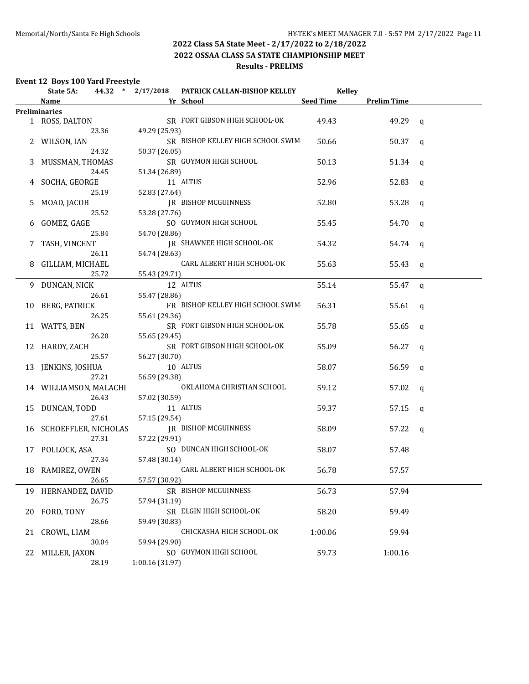#### **2022 Class 5A State Meet - 2/17/2022 to 2/18/2022 2022 OSSAA CLASS 5A STATE CHAMPIONSHIP MEET**

## **Results - PRELIMS**

#### **Event 12 Boys 100 Yard Freestyle**

|    | State 5A:               | 44.32 * 2/17/2018 | PATRICK CALLAN-BISHOP KELLEY      | <b>Kelley</b>    |                    |              |
|----|-------------------------|-------------------|-----------------------------------|------------------|--------------------|--------------|
|    | <b>Name</b>             |                   | Yr School                         | <b>Seed Time</b> | <b>Prelim Time</b> |              |
|    | Preliminaries           |                   |                                   |                  |                    |              |
|    | 1 ROSS, DALTON          |                   | SR FORT GIBSON HIGH SCHOOL-OK     | 49.43            | 49.29              | q            |
|    | 23.36                   | 49.29 (25.93)     |                                   |                  |                    |              |
|    | 2 WILSON, IAN           |                   | SR BISHOP KELLEY HIGH SCHOOL SWIM | 50.66            | 50.37              | q            |
|    | 24.32                   | 50.37 (26.05)     |                                   |                  |                    |              |
| 3  | MUSSMAN, THOMAS         |                   | SR GUYMON HIGH SCHOOL             | 50.13            | 51.34              | q            |
|    | 24.45                   | 51.34 (26.89)     |                                   |                  |                    |              |
|    | 4 SOCHA, GEORGE         |                   | 11 ALTUS                          | 52.96            | 52.83              | $\mathsf{q}$ |
|    | 25.19                   | 52.83 (27.64)     |                                   |                  |                    |              |
| 5  | MOAD, JACOB             |                   | <b>IR BISHOP MCGUINNESS</b>       | 52.80            | 53.28              | q            |
|    | 25.52                   | 53.28 (27.76)     |                                   |                  |                    |              |
| 6  | GOMEZ, GAGE             |                   | SO GUYMON HIGH SCHOOL             | 55.45            | 54.70              | q            |
|    | 25.84                   | 54.70 (28.86)     |                                   |                  |                    |              |
|    | 7 TASH, VINCENT         |                   | JR SHAWNEE HIGH SCHOOL-OK         | 54.32            | 54.74              | q            |
|    | 26.11                   | 54.74 (28.63)     |                                   |                  |                    |              |
|    | 8 GILLIAM, MICHAEL      |                   | CARL ALBERT HIGH SCHOOL-OK        | 55.63            | 55.43              | q            |
|    | 25.72                   | 55.43 (29.71)     |                                   |                  |                    |              |
|    | 9 DUNCAN, NICK          |                   | 12 ALTUS                          | 55.14            | 55.47              | q            |
|    | 26.61                   | 55.47 (28.86)     |                                   |                  |                    |              |
|    | 10 BERG, PATRICK        |                   | FR BISHOP KELLEY HIGH SCHOOL SWIM | 56.31            | 55.61              | q            |
|    | 26.25                   | 55.61 (29.36)     |                                   |                  |                    |              |
|    | 11 WATTS, BEN           |                   | SR FORT GIBSON HIGH SCHOOL-OK     | 55.78            | 55.65              | q            |
|    | 26.20                   | 55.65 (29.45)     |                                   |                  |                    |              |
|    | 12 HARDY, ZACH          |                   | SR FORT GIBSON HIGH SCHOOL-OK     | 55.09            | 56.27              | q            |
|    | 25.57                   | 56.27 (30.70)     |                                   |                  |                    |              |
|    | 13 JENKINS, JOSHUA      |                   | 10 ALTUS                          | 58.07            | 56.59              | q            |
|    | 27.21                   | 56.59 (29.38)     |                                   |                  |                    |              |
|    | 14 WILLIAMSON, MALACHI  |                   | OKLAHOMA CHRISTIAN SCHOOL         | 59.12            | 57.02              | q            |
|    | 26.43                   | 57.02 (30.59)     |                                   |                  |                    |              |
|    | 15 DUNCAN, TODD         |                   | 11 ALTUS                          | 59.37            | 57.15              | $\mathsf{q}$ |
|    | 27.61                   | 57.15 (29.54)     |                                   |                  |                    |              |
|    | 16 SCHOEFFLER, NICHOLAS |                   | <b>IR BISHOP MCGUINNESS</b>       | 58.09            | 57.22              | q            |
|    | 27.31                   | 57.22 (29.91)     |                                   |                  |                    |              |
|    | 17 POLLOCK, ASA         |                   | SO DUNCAN HIGH SCHOOL-OK          | 58.07            | 57.48              |              |
|    | 27.34                   | 57.48 (30.14)     |                                   |                  |                    |              |
|    | 18 RAMIREZ, OWEN        |                   | CARL ALBERT HIGH SCHOOL-OK        | 56.78            | 57.57              |              |
|    | 26.65                   | 57.57 (30.92)     |                                   |                  |                    |              |
|    | 19 HERNANDEZ, DAVID     |                   | SR BISHOP MCGUINNESS              | 56.73            | 57.94              |              |
|    | 26.75                   | 57.94 (31.19)     |                                   |                  |                    |              |
| 20 | FORD, TONY              |                   | SR ELGIN HIGH SCHOOL-OK           | 58.20            | 59.49              |              |
|    | 28.66                   |                   |                                   |                  |                    |              |
| 21 |                         | 59.49 (30.83)     | CHICKASHA HIGH SCHOOL-OK          | 1:00.06          | 59.94              |              |
|    | CROWL, LIAM<br>30.04    | 59.94 (29.90)     |                                   |                  |                    |              |
| 22 |                         |                   | SO GUYMON HIGH SCHOOL             | 59.73            | 1:00.16            |              |
|    | MILLER, JAXON<br>28.19  | 1:00.16 (31.97)   |                                   |                  |                    |              |
|    |                         |                   |                                   |                  |                    |              |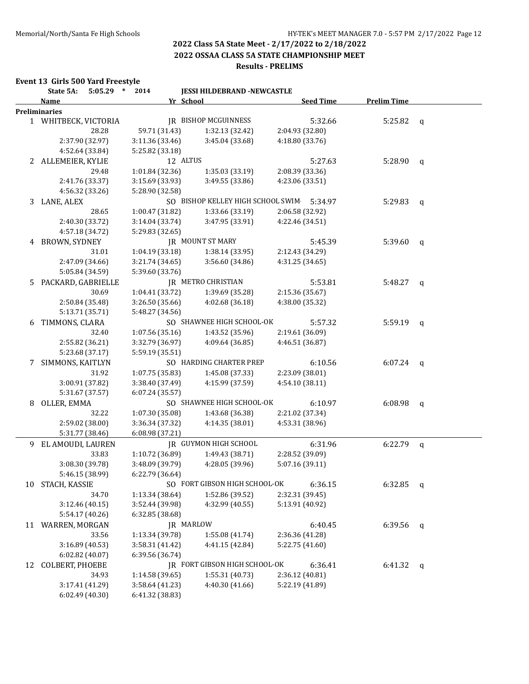**2022 OSSAA CLASS 5A STATE CHAMPIONSHIP MEET**

## **Results - PRELIMS**

#### **Event 13 Girls 500 Yard Freestyle**

|    | State 5A:<br>$5:05.29$ * | 2014            | <b>JESSI HILDEBRAND -NEWCASTLE</b> |                  |                    |   |
|----|--------------------------|-----------------|------------------------------------|------------------|--------------------|---|
|    | Name                     |                 | Yr School                          | <b>Seed Time</b> | <b>Prelim Time</b> |   |
|    | <b>Preliminaries</b>     |                 |                                    |                  |                    |   |
|    | 1 WHITBECK, VICTORIA     |                 | <b>JR BISHOP MCGUINNESS</b>        | 5:32.66          | 5:25.82            | q |
|    | 28.28                    | 59.71 (31.43)   | 1:32.13 (32.42)                    | 2:04.93 (32.80)  |                    |   |
|    | 2:37.90 (32.97)          | 3:11.36 (33.46) | 3:45.04 (33.68)                    | 4:18.80 (33.76)  |                    |   |
|    | 4:52.64 (33.84)          | 5:25.82 (33.18) |                                    |                  |                    |   |
|    | 2 ALLEMEIER, KYLIE       |                 | 12 ALTUS                           | 5:27.63          | 5:28.90            | q |
|    | 29.48                    | 1:01.84 (32.36) | 1:35.03 (33.19)                    | 2:08.39 (33.36)  |                    |   |
|    | 2:41.76 (33.37)          | 3:15.69 (33.93) | 3:49.55 (33.86)                    | 4:23.06 (33.51)  |                    |   |
|    | 4:56.32 (33.26)          | 5:28.90 (32.58) |                                    |                  |                    |   |
|    | 3 LANE, ALEX             |                 | SO BISHOP KELLEY HIGH SCHOOL SWIM  | 5:34.97          | 5:29.83            | q |
|    | 28.65                    | 1:00.47 (31.82) | 1:33.66 (33.19)                    | 2:06.58 (32.92)  |                    |   |
|    | 2:40.30 (33.72)          | 3:14.04 (33.74) | 3:47.95 (33.91)                    | 4:22.46 (34.51)  |                    |   |
|    | 4:57.18 (34.72)          | 5:29.83 (32.65) |                                    |                  |                    |   |
| 4  | BROWN, SYDNEY            |                 | <b>JR MOUNT ST MARY</b>            | 5:45.39          | 5:39.60            | q |
|    | 31.01                    | 1:04.19 (33.18) | 1:38.14 (33.95)                    | 2:12.43 (34.29)  |                    |   |
|    | 2:47.09 (34.66)          | 3:21.74 (34.65) | 3:56.60 (34.86)                    | 4:31.25 (34.65)  |                    |   |
|    | 5:05.84 (34.59)          | 5:39.60 (33.76) |                                    |                  |                    |   |
| 5. | PACKARD, GABRIELLE       |                 | <b>IR METRO CHRISTIAN</b>          | 5:53.81          | 5:48.27            | q |
|    | 30.69                    | 1:04.41 (33.72) | 1:39.69 (35.28)                    | 2:15.36 (35.67)  |                    |   |
|    | 2:50.84 (35.48)          | 3:26.50 (35.66) | 4:02.68 (36.18)                    | 4:38.00 (35.32)  |                    |   |
|    | 5:13.71 (35.71)          | 5:48.27 (34.56) |                                    |                  |                    |   |
| 6  | TIMMONS, CLARA           |                 | SO SHAWNEE HIGH SCHOOL-OK          | 5:57.32          | $5:59.19$ q        |   |
|    | 32.40                    | 1:07.56 (35.16) | 1:43.52 (35.96)                    | 2:19.61 (36.09)  |                    |   |
|    | 2:55.82 (36.21)          | 3:32.79 (36.97) | 4:09.64 (36.85)                    | 4:46.51 (36.87)  |                    |   |
|    | 5:23.68 (37.17)          | 5:59.19 (35.51) |                                    |                  |                    |   |
| 7  | SIMMONS, KAITLYN         |                 | SO HARDING CHARTER PREP            | 6:10.56          | $6:07.24$ q        |   |
|    | 31.92                    | 1:07.75 (35.83) | 1:45.08 (37.33)                    | 2:23.09 (38.01)  |                    |   |
|    | 3:00.91 (37.82)          | 3:38.40 (37.49) | 4:15.99 (37.59)                    | 4:54.10 (38.11)  |                    |   |
|    | 5:31.67 (37.57)          | 6:07.24 (35.57) |                                    |                  |                    |   |
| 8  | OLLER, EMMA              |                 | SO SHAWNEE HIGH SCHOOL-OK          | 6:10.97          | $6:08.98$ q        |   |
|    | 32.22                    | 1:07.30 (35.08) | 1:43.68 (36.38)                    | 2:21.02 (37.34)  |                    |   |
|    | 2:59.02 (38.00)          | 3:36.34 (37.32) | 4:14.35 (38.01)                    | 4:53.31 (38.96)  |                    |   |
|    | 5:31.77 (38.46)          |                 |                                    |                  |                    |   |
|    |                          | 6:08.98 (37.21) |                                    |                  |                    |   |
| 9  | EL AMOUDI, LAUREN        |                 | JR GUYMON HIGH SCHOOL              | 6:31.96          | 6:22.79            | q |
|    | 33.83                    | 1:10.72 (36.89) | 1:49.43 (38.71)                    | 2:28.52 (39.09)  |                    |   |
|    | 3:08.30 (39.78)          | 3:48.09 (39.79) | 4:28.05 (39.96)                    | 5:07.16 (39.11)  |                    |   |
|    | 5:46.15 (38.99)          | 6:22.79 (36.64) |                                    |                  |                    |   |
|    | 10 STACH, KASSIE         |                 | SO FORT GIBSON HIGH SCHOOL-OK      | 6:36.15          | 6:32.85            | q |
|    | 34.70                    | 1:13.34 (38.64) | 1:52.86 (39.52)                    | 2:32.31 (39.45)  |                    |   |
|    | 3:12.46 (40.15)          | 3:52.44 (39.98) | 4:32.99 (40.55)                    | 5:13.91 (40.92)  |                    |   |
|    | 5:54.17 (40.26)          | 6:32.85(38.68)  |                                    |                  |                    |   |
| 11 | WARREN, MORGAN           |                 | JR MARLOW                          | 6:40.45          | 6:39.56 $q$        |   |
|    | 33.56                    | 1:13.34 (39.78) | 1:55.08(41.74)                     | 2:36.36 (41.28)  |                    |   |
|    | 3:16.89 (40.53)          | 3:58.31 (41.42) | 4:41.15 (42.84)                    | 5:22.75 (41.60)  |                    |   |
|    | 6:02.82 (40.07)          | 6:39.56 (36.74) |                                    |                  |                    |   |
| 12 | COLBERT, PHOEBE          |                 | JR FORT GIBSON HIGH SCHOOL-OK      | 6:36.41          | $6:41.32$ q        |   |
|    | 34.93                    | 1:14.58 (39.65) | 1:55.31 (40.73)                    | 2:36.12 (40.81)  |                    |   |
|    | 3:17.41 (41.29)          | 3:58.64 (41.23) | 4:40.30 (41.66)                    | 5:22.19 (41.89)  |                    |   |
|    | 6:02.49 (40.30)          | 6:41.32 (38.83) |                                    |                  |                    |   |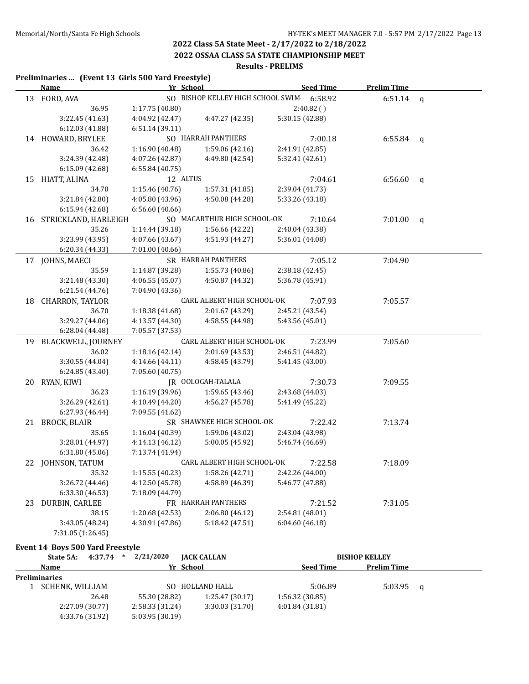**2022 OSSAA CLASS 5A STATE CHAMPIONSHIP MEET**

#### **Results - PRELIMS**

#### **Preliminaries ... (Event 13 Girls 500 Yard Freestyle)**

|    | <u>Name</u>             | Yr School       |                                           |                 | <b>Seed Time</b> | <b>Prelim Time</b> |              |
|----|-------------------------|-----------------|-------------------------------------------|-----------------|------------------|--------------------|--------------|
|    | 13 FORD, AVA            |                 | SO BISHOP KELLEY HIGH SCHOOL SWIM 6:58.92 |                 |                  | 6:51.14            | $\mathbf q$  |
|    | 36.95                   | 1:17.75 (40.80) |                                           |                 | $2:40.82$ ()     |                    |              |
|    | 3:22.45 (41.63)         | 4:04.92 (42.47) | 4:47.27 (42.35)                           | 5:30.15 (42.88) |                  |                    |              |
|    | 6:12.03 (41.88)         | 6:51.14(39.11)  |                                           |                 |                  |                    |              |
|    | 14 HOWARD, BRYLEE       |                 | SO HARRAH PANTHERS                        |                 | 7:00.18          | 6:55.84            | $\mathbf{q}$ |
|    | 36.42                   | 1:16.90 (40.48) | 1:59.06 (42.16)                           | 2:41.91 (42.85) |                  |                    |              |
|    | 3:24.39 (42.48)         | 4:07.26 (42.87) | 4:49.80 (42.54)                           | 5:32.41 (42.61) |                  |                    |              |
|    | 6:15.09 (42.68)         | 6:55.84(40.75)  |                                           |                 |                  |                    |              |
|    | 15 HIATT, ALINA         | 12 ALTUS        |                                           |                 | 7:04.61          | 6:56.60            | q            |
|    | 34.70                   | 1:15.46 (40.76) | 1:57.31 (41.85)                           | 2:39.04 (41.73) |                  |                    |              |
|    | 3:21.84 (42.80)         | 4:05.80 (43.96) | 4:50.08 (44.28)                           | 5:33.26 (43.18) |                  |                    |              |
|    | 6:15.94 (42.68)         | 6:56.60 (40.66) |                                           |                 |                  |                    |              |
|    | 16 STRICKLAND, HARLEIGH |                 | SO MACARTHUR HIGH SCHOOL-OK               |                 | 7:10.64          | 7:01.00            | q            |
|    | 35.26                   | 1:14.44 (39.18) | 1:56.66 (42.22)                           | 2:40.04 (43.38) |                  |                    |              |
|    | 3:23.99 (43.95)         | 4:07.66 (43.67) | 4:51.93 (44.27)                           | 5:36.01 (44.08) |                  |                    |              |
|    | 6:20.34 (44.33)         | 7:01.00 (40.66) |                                           |                 |                  |                    |              |
|    | 17 JOHNS, MAECI         |                 | SR HARRAH PANTHERS                        |                 | 7:05.12          | 7:04.90            |              |
|    | 35.59                   | 1:14.87 (39.28) | 1:55.73(40.86)                            | 2:38.18 (42.45) |                  |                    |              |
|    | 3:21.48 (43.30)         | 4:06.55(45.07)  | 4:50.87 (44.32)                           | 5:36.78 (45.91) |                  |                    |              |
|    | 6:21.54 (44.76)         | 7:04.90 (43.36) |                                           |                 |                  |                    |              |
|    | 18 CHARRON, TAYLOR      |                 | CARL ALBERT HIGH SCHOOL-OK                |                 | 7:07.93          | 7:05.57            |              |
|    | 36.70                   | 1:18.38 (41.68) | 2:01.67 (43.29)                           | 2:45.21 (43.54) |                  |                    |              |
|    | 3:29.27 (44.06)         | 4:13.57 (44.30) | 4:58.55 (44.98)                           | 5:43.56 (45.01) |                  |                    |              |
|    | 6:28.04 (44.48)         | 7:05.57 (37.53) |                                           |                 |                  |                    |              |
|    | 19 BLACKWELL, JOURNEY   |                 | CARL ALBERT HIGH SCHOOL-OK                |                 | 7:23.99          | 7:05.60            |              |
|    | 36.02                   | 1:18.16 (42.14) | 2:01.69 (43.53)                           | 2:46.51 (44.82) |                  |                    |              |
|    | 3:30.55 (44.04)         | 4:14.66 (44.11) | 4:58.45 (43.79)                           | 5:41.45 (43.00) |                  |                    |              |
|    | 6:24.85 (43.40)         | 7:05.60 (40.75) |                                           |                 |                  |                    |              |
|    | 20 RYAN, KIWI           |                 | JR OOLOGAH-TALALA                         |                 | 7:30.73          | 7:09.55            |              |
|    | 36.23                   | 1:16.19 (39.96) | 1:59.65 (43.46)                           | 2:43.68 (44.03) |                  |                    |              |
|    | 3:26.29 (42.61)         | 4:10.49 (44.20) | 4:56.27 (45.78)                           | 5:41.49 (45.22) |                  |                    |              |
|    | 6:27.93 (46.44)         | 7:09.55 (41.62) |                                           |                 |                  |                    |              |
|    | 21 BROCK, BLAIR         |                 | SR SHAWNEE HIGH SCHOOL-OK                 |                 | 7:22.42          | 7:13.74            |              |
|    | 35.65                   | 1:16.04 (40.39) | 1:59.06 (43.02)                           | 2:43.04 (43.98) |                  |                    |              |
|    | 3:28.01 (44.97)         | 4:14.13 (46.12) | 5:00.05 (45.92)                           | 5:46.74 (46.69) |                  |                    |              |
|    | 6:31.80 (45.06)         | 7:13.74 (41.94) |                                           |                 |                  |                    |              |
|    | 22 JOHNSON, TATUM       |                 | CARL ALBERT HIGH SCHOOL-OK                |                 | 7:22.58          | 7:18.09            |              |
|    | 35.32                   | 1:15.55 (40.23) | 1:58.26 (42.71)                           | 2:42.26 (44.00) |                  |                    |              |
|    | 3:26.72 (44.46)         | 4:12.50 (45.78) | 4:58.89 (46.39)                           | 5:46.77 (47.88) |                  |                    |              |
|    | 6:33.30 (46.53)         | 7:18.09 (44.79) |                                           |                 |                  |                    |              |
| 23 | DURBIN, CARLEE          |                 | FR HARRAH PANTHERS                        |                 | 7:21.52          | 7:31.05            |              |
|    | 38.15                   | 1:20.68 (42.53) | 2:06.80 (46.12)                           | 2:54.81 (48.01) |                  |                    |              |
|    | 3:43.05 (48.24)         | 4:30.91 (47.86) | 5:18.42(47.51)                            | 6:04.60 (46.18) |                  |                    |              |
|    | 7:31.05 (1:26.45)       |                 |                                           |                 |                  |                    |              |

#### **Event 14 Boys 500 Yard Freestyle**

| State 5A:            | $4:37.74$ *     | 2/21/2020       | <b>JACK CALLAN</b> |                  | <b>BISHOP KELLEY</b> |   |  |
|----------------------|-----------------|-----------------|--------------------|------------------|----------------------|---|--|
| Name                 |                 |                 | Yr School          | <b>Seed Time</b> | <b>Prelim Time</b>   |   |  |
| <b>Preliminaries</b> |                 |                 |                    |                  |                      |   |  |
| SCHENK, WILLIAM      |                 |                 | SO HOLLAND HALL    | 5:06.89          | 5:03.95              | a |  |
|                      | 26.48           | 55.30 (28.82)   | 1:25.47(30.17)     | 1:56.32(30.85)   |                      |   |  |
|                      | 2:27.09 (30.77) | 2:58.33 (31.24) | 3:30.03(31.70)     | 4:01.84(31.81)   |                      |   |  |
|                      | 4:33.76 (31.92) | 5:03.95(30.19)  |                    |                  |                      |   |  |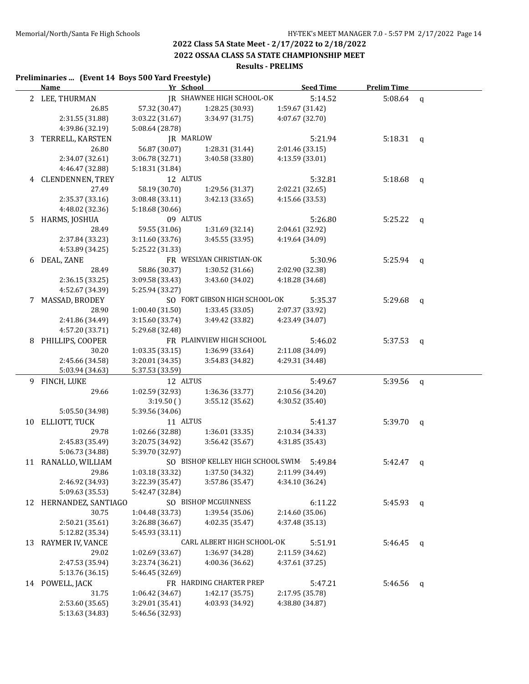**2022 OSSAA CLASS 5A STATE CHAMPIONSHIP MEET**

#### **Results - PRELIMS**

#### **Preliminaries ... (Event 14 Boys 500 Yard Freestyle)**

|    | <b>Name</b>               | Yr School                         |                                    | <b>Seed Time</b>                   | <b>Prelim Time</b> |              |
|----|---------------------------|-----------------------------------|------------------------------------|------------------------------------|--------------------|--------------|
|    | 2 LEE, THURMAN            |                                   | <b>IR SHAWNEE HIGH SCHOOL-OK</b>   | 5:14.52                            | 5:08.64            | $\mathbf q$  |
|    | 26.85                     | 57.32 (30.47)                     | 1:28.25 (30.93)                    | 1:59.67 (31.42)                    |                    |              |
|    | 2:31.55 (31.88)           | 3:03.22 (31.67)                   | 3:34.97 (31.75)                    | 4:07.67 (32.70)                    |                    |              |
|    | 4:39.86 (32.19)           | 5:08.64 (28.78)                   |                                    |                                    |                    |              |
| 3  | TERRELL, KARSTEN          |                                   | JR MARLOW                          | 5:21.94                            | 5:18.31            | q            |
|    | 26.80                     | 56.87 (30.07)                     | 1:28.31 (31.44)                    | 2:01.46 (33.15)                    |                    |              |
|    | 2:34.07 (32.61)           | 3:06.78 (32.71)                   | 3:40.58 (33.80)                    | 4:13.59 (33.01)                    |                    |              |
|    | 4:46.47 (32.88)           | 5:18.31 (31.84)                   |                                    |                                    |                    |              |
|    | 4 CLENDENNEN, TREY        | 12 ALTUS                          |                                    | 5:32.81                            | 5:18.68            | $\mathbf{q}$ |
|    | 27.49                     | 58.19 (30.70)                     | 1:29.56 (31.37)                    | 2:02.21 (32.65)                    |                    |              |
|    | 2:35.37 (33.16)           | 3:08.48 (33.11)                   | 3:42.13 (33.65)                    | 4:15.66 (33.53)                    |                    |              |
|    | 4:48.02 (32.36)           | 5:18.68 (30.66)                   |                                    |                                    |                    |              |
| 5  | HARMS, JOSHUA             | 09 ALTUS                          |                                    | 5:26.80                            | 5:25.22            | $\mathbf{q}$ |
|    | 28.49                     | 59.55 (31.06)                     | 1:31.69 (32.14)                    | 2:04.61 (32.92)                    |                    |              |
|    | 2:37.84 (33.23)           | 3:11.60(33.76)                    | 3:45.55 (33.95)                    | 4:19.64 (34.09)                    |                    |              |
|    | 4:53.89 (34.25)           | 5:25.22 (31.33)                   |                                    |                                    |                    |              |
| 6  | DEAL, ZANE                |                                   | FR WESLYAN CHRISTIAN-OK            | 5:30.96                            | 5:25.94            | $\mathbf{q}$ |
|    | 28.49                     | 58.86 (30.37)                     | 1:30.52 (31.66)                    | 2:02.90 (32.38)                    |                    |              |
|    | 2:36.15(33.25)            | 3:09.58 (33.43)                   | 3:43.60 (34.02)                    | 4:18.28 (34.68)                    |                    |              |
|    | 4:52.67 (34.39)           | 5:25.94 (33.27)                   |                                    |                                    |                    |              |
| 7  | MASSAD, BRODEY            |                                   | SO FORT GIBSON HIGH SCHOOL-OK      | 5:35.37                            | 5:29.68            | q            |
|    | 28.90                     | 1:00.40(31.50)                    | 1:33.45 (33.05)                    | 2:07.37 (33.92)                    |                    |              |
|    | 2:41.86 (34.49)           | 3:15.60 (33.74)                   | 3:49.42 (33.82)                    | 4:23.49 (34.07)                    |                    |              |
|    | 4:57.20 (33.71)           | 5:29.68 (32.48)                   |                                    |                                    |                    |              |
| 8  | PHILLIPS, COOPER<br>30.20 |                                   | FR PLAINVIEW HIGH SCHOOL           | 5:46.02                            | 5:37.53            | q            |
|    | 2:45.66 (34.58)           | 1:03.35(33.15)<br>3:20.01 (34.35) | 1:36.99 (33.64)<br>3:54.83 (34.82) | 2:11.08 (34.09)<br>4:29.31 (34.48) |                    |              |
|    | 5:03.94 (34.63)           | 5:37.53 (33.59)                   |                                    |                                    |                    |              |
|    | 9 FINCH, LUKE             | 12 ALTUS                          |                                    | 5:49.67                            | 5:39.56            | q            |
|    | 29.66                     | 1:02.59 (32.93)                   | 1:36.36 (33.77)                    | 2:10.56 (34.20)                    |                    |              |
|    |                           | 3:19.50()                         | 3:55.12 (35.62)                    | 4:30.52 (35.40)                    |                    |              |
|    | 5:05.50 (34.98)           | 5:39.56 (34.06)                   |                                    |                                    |                    |              |
| 10 | ELLIOTT, TUCK             | 11 ALTUS                          |                                    | 5:41.37                            | 5:39.70            | q            |
|    | 29.78                     | 1:02.66 (32.88)                   | 1:36.01 (33.35)                    | 2:10.34 (34.33)                    |                    |              |
|    | 2:45.83 (35.49)           | 3:20.75 (34.92)                   | 3:56.42 (35.67)                    | 4:31.85 (35.43)                    |                    |              |
|    | 5:06.73 (34.88)           | 5:39.70 (32.97)                   |                                    |                                    |                    |              |
|    | 11 RANALLO, WILLIAM       |                                   | SO BISHOP KELLEY HIGH SCHOOL SWIM  | 5:49.84                            | 5:42.47            | q            |
|    | 29.86                     | 1:03.18 (33.32)                   | 1:37.50 (34.32)                    | 2:11.99 (34.49)                    |                    |              |
|    | 2:46.92 (34.93)           | 3:22.39 (35.47)                   | 3:57.86 (35.47)                    | 4:34.10 (36.24)                    |                    |              |
|    | 5:09.63 (35.53)           | 5:42.47 (32.84)                   |                                    |                                    |                    |              |
|    | 12 HERNANDEZ, SANTIAGO    |                                   | SO BISHOP MCGUINNESS               | 6:11.22                            | 5:45.93            | q            |
|    | 30.75                     | 1:04.48 (33.73)                   | 1:39.54 (35.06)                    | 2:14.60 (35.06)                    |                    |              |
|    | 2:50.21 (35.61)           | 3:26.88 (36.67)                   | 4:02.35 (35.47)                    | 4:37.48 (35.13)                    |                    |              |
|    | 5:12.82 (35.34)           | 5:45.93 (33.11)                   |                                    |                                    |                    |              |
| 13 | RAYMER IV, VANCE          |                                   | CARL ALBERT HIGH SCHOOL-OK         | 5:51.91                            | 5:46.45            | q            |
|    | 29.02                     | 1:02.69 (33.67)                   | 1:36.97 (34.28)                    | 2:11.59 (34.62)                    |                    |              |
|    | 2:47.53 (35.94)           | 3:23.74 (36.21)                   | 4:00.36 (36.62)                    | 4:37.61 (37.25)                    |                    |              |
|    | 5:13.76 (36.15)           | 5:46.45 (32.69)                   |                                    |                                    |                    |              |
|    | 14 POWELL, JACK           |                                   | FR HARDING CHARTER PREP            | 5:47.21                            | 5:46.56            | $\mathbf{q}$ |
|    | 31.75                     | 1:06.42 (34.67)                   | 1:42.17 (35.75)                    | 2:17.95 (35.78)                    |                    |              |
|    | 2:53.60 (35.65)           | 3:29.01 (35.41)                   | 4:03.93 (34.92)                    | 4:38.80 (34.87)                    |                    |              |
|    | 5:13.63 (34.83)           | 5:46.56 (32.93)                   |                                    |                                    |                    |              |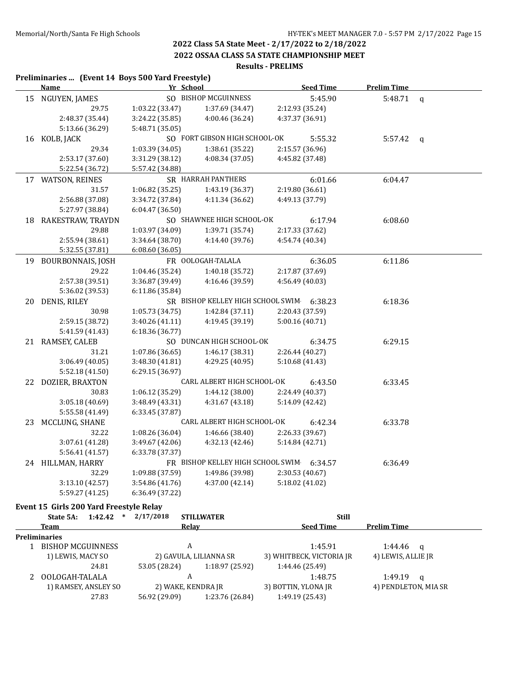**2022 OSSAA CLASS 5A STATE CHAMPIONSHIP MEET**

#### **Results - PRELIMS**

#### **Preliminaries ... (Event 14 Boys 500 Yard Freestyle) Name Yr School Seed Time Prelim Time** 15 NGUYEN, JAMES SO BISHOP MCGUINNESS 5:45.90 5:48.71 q 29.75 1:03.22 (33.47) 1:37.69 (34.47) 2:12.93 (35.24) 2:48.37 (35.44) 3:24.22 (35.85) 4:00.46 (36.24) 4:37.37 (36.91) 5:13.66 (36.29) 5:48.71 (35.05) 16 KOLB, JACK SO FORT GIBSON HIGH SCHOOL-OK 5:55.32 5:57.42 q 29.34 1:03.39 (34.05) 1:38.61 (35.22) 2:15.57 (36.96) 2:53.17 (37.60) 3:31.29 (38.12) 4:08.34 (37.05) 4:45.82 (37.48) 5:22.54 (36.72) 5:57.42 (34.88) 17 WATSON, REINES SR HARRAH PANTHERS 6:01.66 6:04.47 31.57 1:06.82 (35.25) 1:43.19 (36.37) 2:19.80 (36.61) 2:56.88 (37.08) 3:34.72 (37.84) 4:11.34 (36.62) 4:49.13 (37.79) 5:27.97 (38.84) 6:04.47 (36.50) 18 RAKESTRAW, TRAYDN SO SHAWNEE HIGH SCHOOL-OK 6:17.94 6:08.60 29.88 1:03.97 (34.09) 1:39.71 (35.74) 2:17.33 (37.62) 2:55.94 (38.61) 3:34.64 (38.70) 4:14.40 (39.76) 4:54.74 (40.34) 5:32.55 (37.81) 6:08.60 (36.05) 19 BOURBONNAIS, JOSH FR OOLOGAH-TALALA 6:36.05 6:11.86 29.22 1:04.46 (35.24) 1:40.18 (35.72) 2:17.87 (37.69) 2:57.38 (39.51) 3:36.87 (39.49) 4:16.46 (39.59) 4:56.49 (40.03) 5:36.02 (39.53) 6:11.86 (35.84) 20 DENIS, RILEY SR BISHOP KELLEY HIGH SCHOOL SWIM 6:38.23 6:18.36 30.98 1:05.73 (34.75) 1:42.84 (37.11) 2:20.43 (37.59) 2:59.15 (38.72) 3:40.26 (41.11) 4:19.45 (39.19) 5:00.16 (40.71) 5:41.59 (41.43) 6:18.36 (36.77) 21 RAMSEY, CALEB SO DUNCAN HIGH SCHOOL-OK 6:34.75 6:29.15 31.21 1:07.86 (36.65) 1:46.17 (38.31) 2:26.44 (40.27) 3:06.49 (40.05) 3:48.30 (41.81) 4:29.25 (40.95) 5:10.68 (41.43) 5:52.18 (41.50) 6:29.15 (36.97) 22 DOZIER, BRAXTON CARL ALBERT HIGH SCHOOL-OK 6:43.50 6:33.45 30.83 1:06.12 (35.29) 1:44.12 (38.00) 2:24.49 (40.37) 3:05.18 (40.69) 3:48.49 (43.31) 4:31.67 (43.18) 5:14.09 (42.42) 5:55.58 (41.49) 6:33.45 (37.87) 23 MCCLUNG, SHANE CARL ALBERT HIGH SCHOOL-OK 6:42.34 6:33.78 32.22 1:08.26 (36.04) 1:46.66 (38.40) 2:26.33 (39.67) 3:07.61 (41.28) 3:49.67 (42.06) 4:32.13 (42.46) 5:14.84 (42.71) 5:56.41 (41.57) 6:33.78 (37.37) 24 HILLMAN, HARRY FR BISHOP KELLEY HIGH SCHOOL SWIM 6:34.57 6:36.49 32.29 1:09.88 (37.59) 1:49.86 (39.98) 2:30.53 (40.67) 3:13.10 (42.57) 3:54.86 (41.76) 4:37.00 (42.14) 5:18.02 (41.02) 5:59.27 (41.25) 6:36.49 (37.22)

#### **Event 15 Girls 200 Yard Freestyle Relay**

| 1:42.42<br>State 5A:<br>* | 2/17/2018<br><b>STILLWATER</b>   | <b>Still</b>                                   |  |
|---------------------------|----------------------------------|------------------------------------------------|--|
| <b>Team</b>               | <b>Relav</b>                     | <b>Prelim Time</b><br><b>Seed Time</b>         |  |
| <b>Preliminaries</b>      |                                  |                                                |  |
| <b>BISHOP MCGUINNESS</b>  | А                                | 1:45.91<br>1:44.46<br>a                        |  |
| 1) LEWIS, MACY SO         | 2) GAVULA, LILIANNA SR           | 3) WHITBECK, VICTORIA JR<br>4) LEWIS, ALLIE JR |  |
| 24.81                     | 1:18.97 (25.92)<br>53.05 (28.24) | 1:44.46 (25.49)                                |  |
| OOLOGAH-TALALA            | A                                | 1:48.75<br>1:49.19<br>a                        |  |
| 1) RAMSEY, ANSLEY SO      | 2) WAKE, KENDRA JR               | 4) PENDLETON, MIA SR<br>3) BOTTIN, YLONA JR    |  |
| 27.83                     | 1:23.76 (26.84)<br>56.92 (29.09) | 1:49.19 (25.43)                                |  |
|                           |                                  |                                                |  |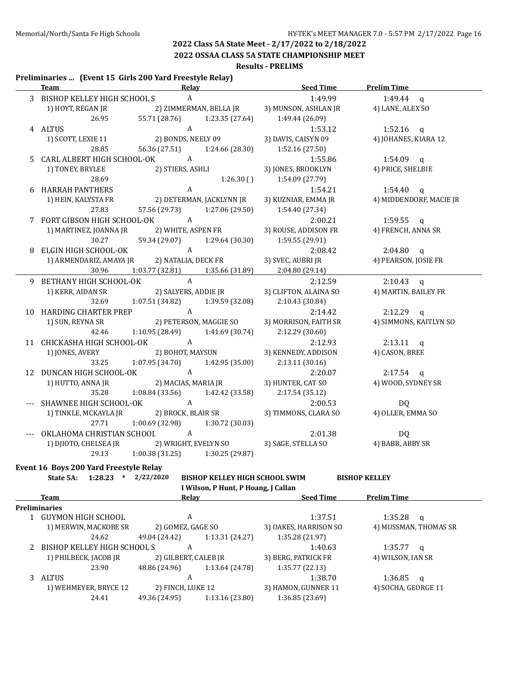**2022 OSSAA CLASS 5A STATE CHAMPIONSHIP MEET**

#### **Results - PRELIMS**

#### **Preliminaries ... (Event 15 Girls 200 Yard Freestyle Relay)**

| <b>Team</b>                                 | Relay                               |                        | <b>Seed Time</b>      | <b>Prelim Time</b>      |
|---------------------------------------------|-------------------------------------|------------------------|-----------------------|-------------------------|
| 3 BISHOP KELLEY HIGH SCHOOL S               | $\mathbf{A}$                        |                        | 1:49.99               | $1:49.44$ q             |
| 1) HOYT, REGAN JR                           | 2) ZIMMERMAN, BELLA JR              |                        | 3) MUNSON, ASHLAN JR  | 4) LANE, ALEX SO        |
| 26.95                                       | 55.71 (28.76)                       | 1:23.35 (27.64)        | 1:49.44 (26.09)       |                         |
| 4 ALTUS                                     | A                                   |                        | 1:53.12               | 1:52.16 $q$             |
| 1) SCOTT, LEXIE 11                          |                                     | 2) BONDS, NEELY 09     | 3) DAVIS, CAISYN 09   | 4) JOHANES, KIARA 12    |
| 28.85                                       | 56.36 (27.51) 1:24.66 (28.30)       |                        | 1:52.16 (27.50)       |                         |
| 5 CARL ALBERT HIGH SCHOOL-OK                | A                                   |                        | 1:55.86               | 1:54.09 q               |
| 1) TONEY, BRYLEE                            |                                     | 2) STIERS, ASHLI       | 3) JONES, BROOKLYN    | 4) PRICE, SHELBIE       |
| 28.69                                       |                                     | 1:26.30(               | 1:54.09 (27.79)       |                         |
| 6 HARRAH PANTHERS                           | $\mathbf{A}$                        |                        | 1:54.21               | $1:54.40$ q             |
| 1) HEIN, KALYSTA FR                         | 2) DETERMAN, JACKLYNN JR            |                        | 3) KUZNIAR, EMMA JR   | 4) MIDDENDORF, MACIE JR |
| 27.83                                       | 57.56 (29.73) 1:27.06 (29.50)       |                        | 1:54.40 (27.34)       |                         |
| 7 FORT GIBSON HIGH SCHOOL-OK A              |                                     |                        | 2:00.21               | $1:59.55$ q             |
| 1) MARTINEZ, JOANNA JR                      |                                     | 2) WHITE, ASPEN FR     | 3) ROUSE, ADDISON FR  | 4) FRENCH, ANNA SR      |
| 30.27                                       | 59.34 (29.07)                       | 1:29.64 (30.30)        | 1:59.55 (29.91)       |                         |
| 8 ELGIN HIGH SCHOOL-OK                      | A                                   |                        | 2:08.42               | $2:04.80$ q             |
| 1) ARMENDARIZ, AMAYA JR 2) NATALIA, DECK FR |                                     |                        | 3) SVEC, AUBRI JR     | 4) PEARSON, JOSIE FR    |
| 30.96                                       | 1:03.77 (32.81) 1:35.66 (31.89)     |                        | 2:04.80 (29.14)       |                         |
| 9 BETHANY HIGH SCHOOL-OK                    | $\mathbf{A}$                        |                        | 2:12.59               | $2:10.43$ q             |
| 1) KERR, AIDAN SR                           |                                     | 2) SALYERS, ADDIE JR   | 3) CLIFTON, ALAINA SO | 4) MARTIN, BAILEY FR    |
| 32.69                                       | 1:07.51 (34.82)                     | 1:39.59 (32.08)        | 2:10.43(30.84)        |                         |
| 10 HARDING CHARTER PREP                     | $\mathbf{A}$                        |                        | 2:14.42               | $2:12.29$ q             |
| 1) SUN, REYNA SR                            |                                     | 2) PETERSON, MAGGIE SO | 3) MORRISON, FAITH SR | 4) SIMMONS, KAITLYN SO  |
| 42.46                                       | 1:10.95 (28.49)                     | 1:41.69 (30.74)        | 2:12.29(30.60)        |                         |
| 11 CHICKASHA HIGH SCHOOL-OK A               |                                     |                        | 2:12.93               | $2:13.11$ q             |
| 1) JONES, AVERY                             |                                     | 2) BOHOT, MAYSUN       | 3) KENNEDY, ADDISON   | 4) CASON, BREE          |
| 33.25                                       | 1:07.95 (34.70)                     | 1:42.95 (35.00)        | 2:13.11(30.16)        |                         |
| 12 DUNCAN HIGH SCHOOL-OK                    | $\mathbf{A}$                        |                        | 2:20.07               | $2:17.54$ q             |
| 1) HUTTO, ANNA JR                           | 2) MACIAS, MARIA JR                 |                        | 3) HUNTER, CAT SO     | 4) WOOD, SYDNEY SR      |
| 35.28                                       | $1:08.84(33.56)$ $1:42.42(33.58)$   |                        | 2:17.54(35.12)        |                         |
| SHAWNEE HIGH SCHOOL-OK A                    |                                     |                        | 2:00.53               | DQ                      |
| 1) TINKLE, MCKAYLA JR                       |                                     | 2) BROCK, BLAIR SR     | 3) TIMMONS, CLARA SO  | 4) OLLER, EMMA SO       |
| 27.71                                       | $1:00.69$ (32.98) $1:30.72$ (30.03) |                        |                       |                         |
| OKLAHOMA CHRISTIAN SCHOOL A                 |                                     |                        | 2:01.38               | DQ                      |
| 1) DJIOTO, CHELSEA JR                       | 2) WRIGHT, EVELYN SO                |                        | 3) SAGE, STELLA SO    | 4) BABB, ABBY SR        |
| 29.13                                       | 1:00.38 (31.25) 1:30.25 (29.87)     |                        |                       |                         |

#### **Event 16 Boys 200 Yard Freestyle Relay**

| State 5A: |  | $1:28.23$ * $2/22/2020$ | <b>BISHOP KELLEY HIGH SCHOOL SWIM</b> | <b>BISHOP KELLEY</b> |
|-----------|--|-------------------------|---------------------------------------|----------------------|
|           |  |                         | I Wilson, P Hunt, P Hoang, J Callan   |                      |

| Team                        | Relay                |                 | <b>Seed Time</b>      | <b>Prelim Time</b>    |
|-----------------------------|----------------------|-----------------|-----------------------|-----------------------|
| <b>Preliminaries</b>        |                      |                 |                       |                       |
| GUYMON HIGH SCHOOL          | A                    |                 | 1:37.51               | 1:35.28<br>a          |
| 1) MERWIN, MACKOBE SR       | 2) GOMEZ, GAGE SO    |                 | 3) OAKES, HARRISON SO | 4) MUSSMAN, THOMAS SR |
| 24.62                       | 49.04 (24.42)        | 1:13.31(24.27)  | 1:35.28 (21.97)       |                       |
| BISHOP KELLEY HIGH SCHOOL S | A                    |                 | 1:40.63               | 1:35.77<br>a          |
| 1) PHILBECK, JACOB JR       | 2) GILBERT, CALEB JR |                 | 3) BERG, PATRICK FR   | 4) WILSON, IAN SR     |
| 23.90                       | 48.86 (24.96)        | 1:13.64 (24.78) | 1:35.77 (22.13)       |                       |
| <b>ALTUS</b>                | A                    |                 | 1:38.70               | 1:36.85<br>a          |
| 1) WEHMEYER, BRYCE 12       | 2) FINCH, LUKE 12    |                 | 3) HAMON, GUNNER 11   | 4) SOCHA, GEORGE 11   |
| 24.41                       | 49.36 (24.95)        | 1:13.16(23.80)  | 1:36.85 (23.69)       |                       |
|                             |                      |                 |                       |                       |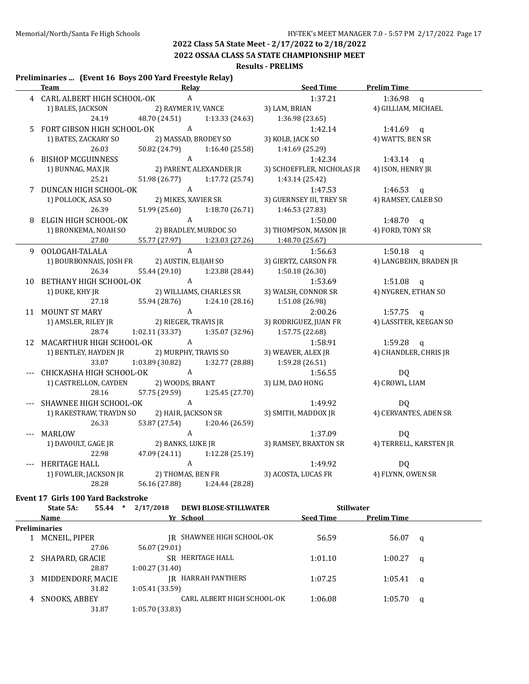**2022 OSSAA CLASS 5A STATE CHAMPIONSHIP MEET**

#### **Results - PRELIMS**

#### **Preliminaries ... (Event 16 Boys 200 Yard Freestyle Relay)**

| <b>Team</b>                                  | Relay                         |                 | Seed Time                                    | <b>Prelim Time</b>     |
|----------------------------------------------|-------------------------------|-----------------|----------------------------------------------|------------------------|
| 4 CARL ALBERT HIGH SCHOOL-OK                 | A                             |                 | 1:37.21                                      | $1:36.98$ q            |
| 1) BALES, JACKSON                            | 2) RAYMER IV, VANCE           |                 | 3) LAM, BRIAN                                | 4) GILLIAM, MICHAEL    |
| 24.19                                        | 48.70 (24.51)                 | 1:13.33 (24.63) | 1:36.98 (23.65)                              |                        |
| 5 FORT GIBSON HIGH SCHOOL-OK A               |                               |                 | 1:42.14                                      | 1:41.69 $q$            |
| 1) BATES, ZACKARY SO                         | 2) MASSAD, BRODEY SO          |                 | 3) KOLB, JACK SO                             | 4) WATTS, BEN SR       |
| 26.03                                        | 50.82 (24.79)                 | 1:16.40 (25.58) | 1:41.69 (25.29)                              |                        |
| 6 BISHOP MCGUINNESS                          | $\mathbf{A}$                  |                 | 1:42.34                                      | 1:43.14 $q$            |
| 1) BUNNAG, MAX JR                            | 2) PARENT, ALEXANDER JR       |                 | 3) SCHOEFFLER, NICHOLAS JR                   | 4) ISON, HENRY JR      |
| 25.21                                        | 51.98 (26.77) 1:17.72 (25.74) |                 | 1:43.14 (25.42)                              |                        |
| 7 DUNCAN HIGH SCHOOL-OK A                    |                               |                 | 1:47.53                                      | 1:46.53 $q$            |
| 1) POLLOCK, ASA SO                           | 2) MIKES, XAVIER SR           |                 | 3) GUERNSEY III, TREY SR                     | 4) RAMSEY, CALEB SO    |
| 26.39                                        | 51.99 (25.60) 1:18.70 (26.71) |                 | 1:46.53 (27.83)                              |                        |
| 8 ELGIN HIGH SCHOOL-OK                       |                               |                 | 1:50.00                                      | 1:48.70 $q$            |
|                                              |                               |                 | 3) THOMPSON, MASON JR                        | 4) FORD, TONY SR       |
| 27.80                                        | 55.77 (27.97) 1:23.03 (27.26) |                 | 1:48.70 (25.67)                              |                        |
| 9 OOLOGAH-TALALA                             | $\mathsf{A}$                  |                 | 1:56.63                                      | $1:50.18$ q            |
| 1) BOURBONNAIS, JOSH FR 2) AUSTIN, ELIJAH SO |                               |                 | 3) GIERTZ, CARSON FR                         | 4) LANGBEHN, BRADEN JR |
| 26.34                                        | 55.44 (29.10) 1:23.88 (28.44) |                 | 1:50.18 (26.30)                              |                        |
| 10 BETHANY HIGH SCHOOL-OK A                  |                               |                 | 1:53.69                                      | 1:51.08 $q$            |
| 1) DUKE, KHY JR 2) WILLIAMS, CHARLES SR      |                               |                 | 3) WALSH, CONNOR SR                          | 4) NYGREN, ETHAN SO    |
| 27.18                                        | 55.94 (28.76) 1:24.10 (28.16) |                 | 1:51.08 (26.98)                              |                        |
| 11 MOUNT ST MARY                             |                               |                 | 2:00.26                                      | $1:57.75$ q            |
|                                              |                               |                 | 3) RODRIGUEZ, JUAN FR 4) LASSITER, KEEGAN SO |                        |
| 28.74                                        | 1:02.11 (33.37)               | 1:35.07 (32.96) | 1:57.75(22.68)                               |                        |
| 12 MACARTHUR HIGH SCHOOL-OK A                |                               |                 | 1:58.91                                      | $1:59.28$ q            |
| 1) BENTLEY, HAYDEN JR 2) MURPHY, TRAVIS SO   |                               |                 | 3) WEAVER, ALEX JR                           | 4) CHANDLER, CHRIS JR  |
| 33.07                                        | 1:03.89 (30.82)               | 1:32.77 (28.88) | 1:59.28 (26.51)                              |                        |
| CHICKASHA HIGH SCHOOL-OK A                   |                               |                 | 1:56.55                                      | DQ                     |
| 1) CASTRELLON, CAYDEN 2) WOODS, BRANT        |                               |                 | 3) LIM, DAO HONG                             | 4) CROWL, LIAM         |
| 28.16                                        | 57.75 (29.59) 1:25.45 (27.70) |                 |                                              |                        |
| SHAWNEE HIGH SCHOOL-OK A                     |                               |                 | 1:49.92                                      | D <sub>0</sub>         |
| 1) RAKESTRAW, TRAYDN SO                      | 2) HAIR, JACKSON SR           |                 | 3) SMITH, MADDOX JR 4) CERVANTES, ADEN SR    |                        |
| 26.33                                        | 53.87 (27.54)                 | 1:20.46 (26.59) |                                              |                        |
| --- MARLOW                                   | $\mathbf{A}$                  |                 | 1:37.09                                      | D <sub>0</sub>         |
| 1) DAVOULT, GAGE JR                          | 2) BANKS, LUKE JR             |                 | 3) RAMSEY, BRAXTON SR 4) TERRELL, KARSTEN JR |                        |
| 22.98                                        | 47.09 (24.11) 1:12.28 (25.19) |                 |                                              |                        |
| --- HERITAGE HALL                            | $\overline{A}$                |                 | 1:49.92                                      | DQ                     |
| 1) FOWLER, JACKSON JR 2) THOMAS, BEN FR      |                               |                 | 3) ACOSTA, LUCAS FR 4) FLYNN, OWEN SR        |                        |
|                                              | 56.16 (27.88) 1:24.44 (28.28) |                 |                                              |                        |

| Name                 | Yr School                  | <b>Seed Time</b> | <b>Prelim Time</b> |              |
|----------------------|----------------------------|------------------|--------------------|--------------|
| <b>Preliminaries</b> |                            |                  |                    |              |
| 1 MCNEIL, PIPER      | IR SHAWNEE HIGH SCHOOL-OK  | 56.59            | 56.07              | a            |
| 27.06                | 56.07 (29.01)              |                  |                    |              |
| 2 SHAPARD, GRACIE    | SR HERITAGE HALL           | 1:01.10          | 1:00.27            | a            |
| 28.87                | 1:00.27(31.40)             |                  |                    |              |
| 3 MIDDENDORF, MACIE  | IR HARRAH PANTHERS         | 1:07.25          | 1:05.41            | $\mathbf{q}$ |
| 31.82                | 1:05.41(33.59)             |                  |                    |              |
| 4 SNOOKS, ABBEY      | CARL ALBERT HIGH SCHOOL-OK | 1:06.08          | 1:05.70            | q            |
| 31.87                | 1:05.70 (33.83)            |                  |                    |              |
|                      |                            |                  |                    |              |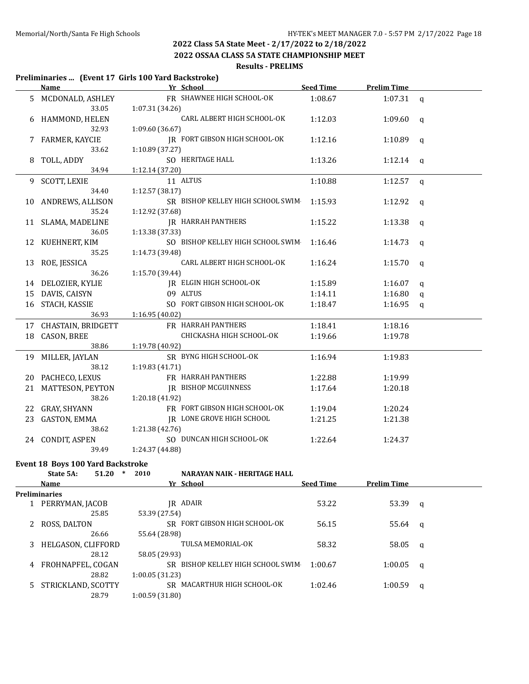**2022 OSSAA CLASS 5A STATE CHAMPIONSHIP MEET**

#### **Results - PRELIMS**

#### **Preliminaries ... (Event 17 Girls 100 Yard Backstroke)**

|    | <b>Name</b>           | Yr School                         | <b>Seed Time</b> | <b>Prelim Time</b> |              |
|----|-----------------------|-----------------------------------|------------------|--------------------|--------------|
| 5. | MCDONALD, ASHLEY      | FR SHAWNEE HIGH SCHOOL-OK         | 1:08.67          | 1:07.31            | $\mathsf{q}$ |
|    | 33.05                 | 1:07.31 (34.26)                   |                  |                    |              |
| 6  | HAMMOND, HELEN        | CARL ALBERT HIGH SCHOOL-OK        | 1:12.03          | 1:09.60            | q            |
|    | 32.93                 | 1:09.60 (36.67)                   |                  |                    |              |
|    | 7 FARMER, KAYCIE      | JR FORT GIBSON HIGH SCHOOL-OK     | 1:12.16          | 1:10.89            | q            |
|    | 33.62                 | 1:10.89 (37.27)                   |                  |                    |              |
| 8  | TOLL, ADDY            | SO HERITAGE HALL                  | 1:13.26          | 1:12.14            | q            |
|    | 34.94                 | 1:12.14 (37.20)                   |                  |                    |              |
|    | 9 SCOTT, LEXIE        | 11 ALTUS                          | 1:10.88          | 1:12.57            | $\mathsf{q}$ |
|    | 34.40                 | 1:12.57(38.17)                    |                  |                    |              |
| 10 | ANDREWS, ALLISON      | SR BISHOP KELLEY HIGH SCHOOL SWIM | 1:15.93          | 1:12.92            | $\mathsf{q}$ |
|    | 35.24                 | 1:12.92 (37.68)                   |                  |                    |              |
|    | 11 SLAMA, MADELINE    | <b>JR HARRAH PANTHERS</b>         | 1:15.22          | 1:13.38            | $\mathsf{q}$ |
|    | 36.05                 | 1:13.38 (37.33)                   |                  |                    |              |
|    | 12 KUEHNERT, KIM      | SO BISHOP KELLEY HIGH SCHOOL SWIM | 1:16.46          | 1:14.73            | q            |
|    | 35.25                 | 1:14.73 (39.48)                   |                  |                    |              |
|    | 13 ROE, JESSICA       | CARL ALBERT HIGH SCHOOL-OK        | 1:16.24          | 1:15.70            | q            |
|    | 36.26                 | 1:15.70 (39.44)                   |                  |                    |              |
|    | 14 DELOZIER, KYLIE    | IR ELGIN HIGH SCHOOL-OK           | 1:15.89          | 1:16.07            | q            |
| 15 | DAVIS, CAISYN         | 09 ALTUS                          | 1:14.11          | 1:16.80            | $\mathsf{q}$ |
| 16 | STACH, KASSIE         | SO FORT GIBSON HIGH SCHOOL-OK     | 1:18.47          | 1:16.95            | $\mathsf{q}$ |
|    | 36.93                 | 1:16.95(40.02)                    |                  |                    |              |
|    | 17 CHASTAIN, BRIDGETT | FR HARRAH PANTHERS                | 1:18.41          | 1:18.16            |              |
| 18 | CASON, BREE           | CHICKASHA HIGH SCHOOL-OK          | 1:19.66          | 1:19.78            |              |
|    | 38.86                 | 1:19.78 (40.92)                   |                  |                    |              |
| 19 | MILLER, JAYLAN        | SR BYNG HIGH SCHOOL-OK            | 1:16.94          | 1:19.83            |              |
|    | 38.12                 | 1:19.83 (41.71)                   |                  |                    |              |
| 20 | PACHECO, LEXUS        | FR HARRAH PANTHERS                | 1:22.88          | 1:19.99            |              |
| 21 | MATTESON, PEYTON      | <b>IR BISHOP MCGUINNESS</b>       | 1:17.64          | 1:20.18            |              |
|    | 38.26                 | 1:20.18 (41.92)                   |                  |                    |              |
| 22 | GRAY, SHYANN          | FR FORT GIBSON HIGH SCHOOL-OK     | 1:19.04          | 1:20.24            |              |
| 23 | GASTON, EMMA          | JR LONE GROVE HIGH SCHOOL         | 1:21.25          | 1:21.38            |              |
|    | 38.62                 | 1:21.38 (42.76)                   |                  |                    |              |
|    | 24 CONDIT, ASPEN      | SO DUNCAN HIGH SCHOOL-OK          | 1:22.64          | 1:24.37            |              |
|    | 39.49                 | 1:24.37 (44.88)                   |                  |                    |              |

# **Event 18 Boys 100 Yard Backstroke**<br>**State 54:** 51.20  $*$  2010

|   | State 5A:            | 51.20 | 2010           | NARAYAN NAIK - HERITAGE HALL   |                  |                    |              |
|---|----------------------|-------|----------------|--------------------------------|------------------|--------------------|--------------|
|   | <b>Name</b>          |       |                | Yr School                      | <b>Seed Time</b> | <b>Prelim Time</b> |              |
|   | <b>Preliminaries</b> |       |                |                                |                  |                    |              |
|   | PERRYMAN, JACOB      |       |                | IR ADAIR                       | 53.22            | 53.39              | q            |
|   |                      | 25.85 | 53.39 (27.54)  |                                |                  |                    |              |
|   | ROSS, DALTON         |       |                | SR FORT GIBSON HIGH SCHOOL-OK  | 56.15            | 55.64              | $\mathbf{q}$ |
|   |                      | 26.66 | 55.64 (28.98)  |                                |                  |                    |              |
| 3 | HELGASON, CLIFFORD   |       |                | TULSA MEMORIAL-OK              | 58.32            | 58.05              | q            |
|   |                      | 28.12 | 58.05 (29.93)  |                                |                  |                    |              |
| 4 | FROHNAPFEL, COGAN    |       | SR.            | BISHOP KELLEY HIGH SCHOOL SWIM | 1:00.67          | 1:00.05            | a            |
|   |                      | 28.82 | 1:00.05(31.23) |                                |                  |                    |              |
|   | STRICKLAND, SCOTTY   |       | SR.            | MACARTHUR HIGH SCHOOL-OK       | 1:02.46          | 1:00.59            | a            |
|   |                      | 28.79 | 1:00.59(31.80) |                                |                  |                    |              |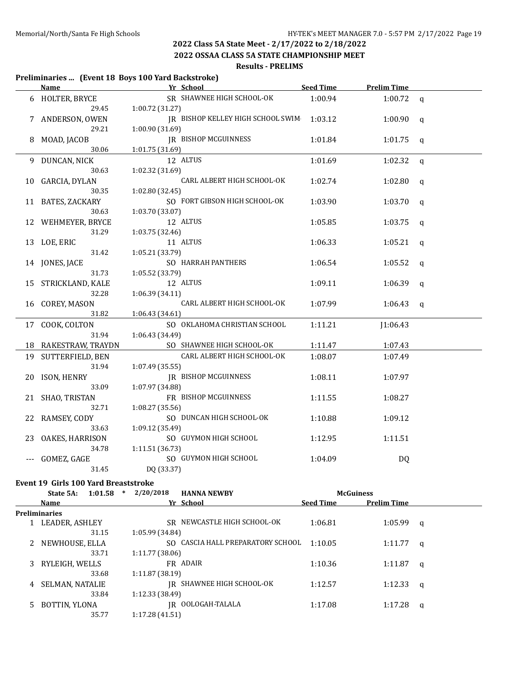**2022 OSSAA CLASS 5A STATE CHAMPIONSHIP MEET**

#### **Results - PRELIMS**

#### **Preliminaries ... (Event 18 Boys 100 Yard Backstroke)**

|          | Name and the same state of the state of the state of the state of the state of the state of the state of the state of the state of the state of the state of the state of the state of the state of the state of the state of | <u>Vr School</u>                                        | Seed Time | <b>Prelim Time</b>          |                |
|----------|-------------------------------------------------------------------------------------------------------------------------------------------------------------------------------------------------------------------------------|---------------------------------------------------------|-----------|-----------------------------|----------------|
|          | 6 HOLTER, BRYCE                                                                                                                                                                                                               | SR SHAWNEE HIGH SCHOOL-OK                               | 1:00.94   | $1:00.72$ q                 |                |
|          | 29.45                                                                                                                                                                                                                         | 1:00.72 (31.27)                                         |           |                             |                |
|          | 7 ANDERSON, OWEN                                                                                                                                                                                                              | JR BISHOP KELLEY HIGH SCHOOL SWIM 1:03.12               |           | 1:00.90                     | $\mathbf{q}$   |
|          | 29.21                                                                                                                                                                                                                         | 1:00.90 (31.69)                                         |           |                             |                |
| 8        | MOAD, JACOB                                                                                                                                                                                                                   | <b>IR BISHOP MCGUINNESS</b>                             | 1:01.84   | 1:01.75                     | $\mathsf{q}$   |
|          | 30.06                                                                                                                                                                                                                         | 1:01.75 (31.69)                                         |           |                             |                |
|          | 9 DUNCAN, NICK                                                                                                                                                                                                                | 12 ALTUS                                                | 1:01.69   | 1:02.32                     | $\mathfrak{q}$ |
|          | 30.63                                                                                                                                                                                                                         | 1:02.32 (31.69)                                         |           |                             |                |
|          | 10 GARCIA, DYLAN                                                                                                                                                                                                              | CARL ALBERT HIGH SCHOOL-OK                              | 1:02.74   | 1:02.80                     | q              |
|          | 30.35                                                                                                                                                                                                                         | 1:02.80 (32.45)                                         |           |                             |                |
|          | 11 BATES, ZACKARY                                                                                                                                                                                                             | SO FORT GIBSON HIGH SCHOOL-OK                           | 1:03.90   | 1:03.70                     | $\mathsf{q}$   |
|          | 30.63                                                                                                                                                                                                                         | 1:03.70 (33.07)                                         |           |                             |                |
|          | 12 WEHMEYER, BRYCE                                                                                                                                                                                                            | 12 ALTUS                                                | 1:05.85   | 1:03.75                     | $\mathsf{q}$   |
|          | 31.29                                                                                                                                                                                                                         | 1:03.75 (32.46)                                         |           |                             |                |
|          | 13 LOE, ERIC                                                                                                                                                                                                                  | 11 ALTUS                                                | 1:06.33   | 1:05.21                     | q              |
|          | 31.42                                                                                                                                                                                                                         | 1:05.21 (33.79)                                         |           |                             |                |
|          | 14 JONES, JACE                                                                                                                                                                                                                | SO HARRAH PANTHERS                                      | 1:06.54   | 1:05.52                     | q              |
|          | 31.73                                                                                                                                                                                                                         | 1:05.52 (33.79)                                         |           |                             |                |
|          | 15 STRICKLAND, KALE                                                                                                                                                                                                           | 12 ALTUS                                                | 1:09.11   | 1:06.39                     | $\mathsf{q}$   |
|          | 32.28                                                                                                                                                                                                                         | 1:06.39 (34.11)                                         |           |                             |                |
|          | 16 COREY, MASON                                                                                                                                                                                                               | CARL ALBERT HIGH SCHOOL-OK                              | 1:07.99   | 1:06.43                     | $\mathsf{q}$   |
|          | 31.82                                                                                                                                                                                                                         | 1:06.43 (34.61)                                         |           |                             |                |
|          | 17 COOK, COLTON                                                                                                                                                                                                               | SO OKLAHOMA CHRISTIAN SCHOOL                            | 1:11.21   | J1:06.43                    |                |
|          | 31.94                                                                                                                                                                                                                         | 1:06.43 (34.49)                                         |           |                             |                |
|          | 18 RAKESTRAW, TRAYDN                                                                                                                                                                                                          | SO SHAWNEE HIGH SCHOOL-OK                               | 1:11.47   | 1:07.43                     |                |
|          | 19 SUTTERFIELD, BEN                                                                                                                                                                                                           | CARL ALBERT HIGH SCHOOL-OK                              | 1:08.07   | 1:07.49                     |                |
|          | 31.94                                                                                                                                                                                                                         | 1:07.49 (35.55)                                         |           |                             |                |
| 20       | ISON, HENRY                                                                                                                                                                                                                   | <b>IR BISHOP MCGUINNESS</b>                             | 1:08.11   | 1:07.97                     |                |
|          | 33.09                                                                                                                                                                                                                         | 1:07.97 (34.88)                                         |           |                             |                |
|          | 21 SHAO, TRISTAN                                                                                                                                                                                                              | FR BISHOP MCGUINNESS                                    | 1:11.55   | 1:08.27                     |                |
|          | 32.71                                                                                                                                                                                                                         | 1:08.27 (35.56)                                         |           |                             |                |
| 22       | RAMSEY, CODY                                                                                                                                                                                                                  | SO DUNCAN HIGH SCHOOL-OK                                | 1:10.88   | 1:09.12                     |                |
|          | 33.63                                                                                                                                                                                                                         | 1:09.12 (35.49)                                         |           |                             |                |
| 23       | OAKES, HARRISON                                                                                                                                                                                                               | SO GUYMON HIGH SCHOOL                                   | 1:12.95   | 1:11.51                     |                |
|          | 34.78                                                                                                                                                                                                                         | 1:11.51 (36.73)                                         |           |                             |                |
| $\cdots$ | GOMEZ, GAGE                                                                                                                                                                                                                   | SO GUYMON HIGH SCHOOL                                   | 1:04.09   | DQ                          |                |
|          | 31.45                                                                                                                                                                                                                         | DQ (33.37)                                              |           |                             |                |
|          | Event 19 Girls 100 Yard Breaststroke                                                                                                                                                                                          |                                                         |           |                             |                |
|          |                                                                                                                                                                                                                               | $C_{\text{total}} = 4.04 \times 2/20/2018$ ITANNA NEMPV |           | $M_0$ $C$ $\cdots$ $\cdots$ |                |

|    | State 5A:       | 1:01.58 | $\ast$ | 2/20/2018       | <b>HANNA NEWBY</b>                |                  | <b>McGuiness</b>   |          |
|----|-----------------|---------|--------|-----------------|-----------------------------------|------------------|--------------------|----------|
|    | Name            |         |        |                 | Yr School                         | <b>Seed Time</b> | <b>Prelim Time</b> |          |
|    | Preliminaries   |         |        |                 |                                   |                  |                    |          |
|    | LEADER, ASHLEY  |         |        |                 | SR NEWCASTLE HIGH SCHOOL-OK       | 1:06.81          | 1:05.99            | $\alpha$ |
|    |                 | 31.15   |        | 1:05.99 (34.84) |                                   |                  |                    |          |
|    | NEWHOUSE, ELLA  |         |        |                 | SO CASCIA HALL PREPARATORY SCHOOL | 1:10.05          | 1:11.77            | <b>a</b> |
|    |                 | 33.71   |        | 1:11.77(38.06)  |                                   |                  |                    |          |
| 3  | RYLEIGH, WELLS  |         |        |                 | FR ADAIR                          | 1:10.36          | 1:11.87            | - a      |
|    |                 | 33.68   |        | 1:11.87(38.19)  |                                   |                  |                    |          |
| 4  | SELMAN, NATALIE |         |        |                 | IR SHAWNEE HIGH SCHOOL-OK         | 1:12.57          | 1:12.33            | - q      |
|    |                 | 33.84   |        | 1:12.33(38.49)  |                                   |                  |                    |          |
| 5. | BOTTIN, YLONA   |         |        |                 | IR OOLOGAH-TALALA                 | 1:17.08          | 1:17.28            | q        |
|    |                 | 35.77   |        | 1:17.28(41.51)  |                                   |                  |                    |          |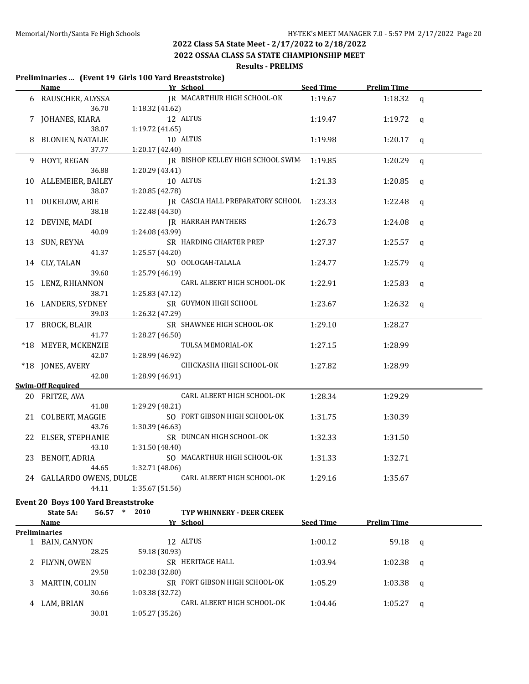**2022 OSSAA CLASS 5A STATE CHAMPIONSHIP MEET**

#### **Results - PRELIMS**

#### **Preliminaries ... (Event 19 Girls 100 Yard Breaststroke) Name Yr School Seed Time Prelim Time** 6 RAUSCHER, ALYSSA JR MACARTHUR HIGH SCHOOL-OK 1:19.67 1:18.32 q 36.70 1:18.32 (41.62) 7 JOHANES, KIARA 12 ALTUS 1:19.47 1:19.72 q 38.07 1:19.72 (41.65) 8 BLONIEN, NATALIE 10 ALTUS 1:19.98 1:20.17 q 37.77 1:20.17 (42.40) 9 HOYT, REGAN JR BISHOP KELLEY HIGH SCHOOL SWIM 1:19.85 1:20.29 q 36.88 1:20.29 (43.41) 10 ALLEMEIER, BAILEY 10 ALTUS 1:21.33 1:20.85 q 38.07 1:20.85 (42.78) 11 DUKELOW, ABIE JR CASCIA HALL PREPARATORY SCHOOL 1:23.33 1:22.48 q 38.18 1:22.48 (44.30) 12 DEVINE, MADI **IR HARRAH PANTHERS** 1:26.73 1:24.08 q 40.09 1:24.08 (43.99) 13 SUN, REYNA SR HARDING CHARTER PREP 1:27.37 1:25.57 q 41.37 1:25.57 (44.20) 14 CLY, TALAN SO OOLOGAH-TALALA 1:24.77 1:25.79 q 39.60 1:25.79 (46.19) 15 LENZ, RHIANNON CARL ALBERT HIGH SCHOOL-OK 1:22.91 1:25.83 q 38.71 1:25.83 (47.12) 16 LANDERS, SYDNEY SR GUYMON HIGH SCHOOL 1:23.67 1:26.32 q 39.03 1:26.32 (47.29) 17 BROCK, BLAIR SR SHAWNEE HIGH SCHOOL-OK 1:29.10 1:28.27 41.77 1:28.27 (46.50) \*18 MEYER, MCKENZIE TULSA MEMORIAL-OK 1:27.15 1:28.99 42.07 1:28.99 (46.92) \*18 JONES, AVERY CHICKASHA HIGH SCHOOL-OK 1:27.82 1:28.99 42.08 1:28.99 (46.91) **Swim-Off Required** 20 FRITZE, AVA CARL ALBERT HIGH SCHOOL-OK 1:28.34 1:29.29 41.08 1:29.29 (48.21) 21 COLBERT, MAGGIE SO FORT GIBSON HIGH SCHOOL-OK 1:31.75 1:30.39 43.76 1:30.39 (46.63) 22 ELSER, STEPHANIE SR DUNCAN HIGH SCHOOL-OK 1:32.33 1:31.50 43.10 1:31.50 (48.40) 23 BENOIT, ADRIA SO MACARTHUR HIGH SCHOOL-OK 1:31.33 1:32.71 44.65 1:32.71 (48.06) 24 GALLARDO OWENS, DULCE CARL ALBERT HIGH SCHOOL-OK 1:29.16 1:35.67 44.11 1:35.67 (51.56) **Event 20 Boys 100 Yard Breaststroke State 5A: 56.57 \* 2010 TYP WHINNERY - DEER CREEK Name Seed Time Prelim Time Prelim Time Seed Time Prelim Time Preliminaries** 1 BAIN, CANYON 12 ALTUS 1:00.12 59.18 q 28.25 59.18 (30.93) 2 FLYNN, OWEN SR HERITAGE HALL 1:03.94 1:02.38 q 29.58 1:02.38 (32.80) 3 MARTIN, COLIN SR FORT GIBSON HIGH SCHOOL-OK 1:05.29 1:03.38 q

4 LAM, BRIAN CARL ALBERT HIGH SCHOOL-OK 1:04.46 1:05.27 q

30.66 1:03.38 (32.72)

30.01 1:05.27 (35.26)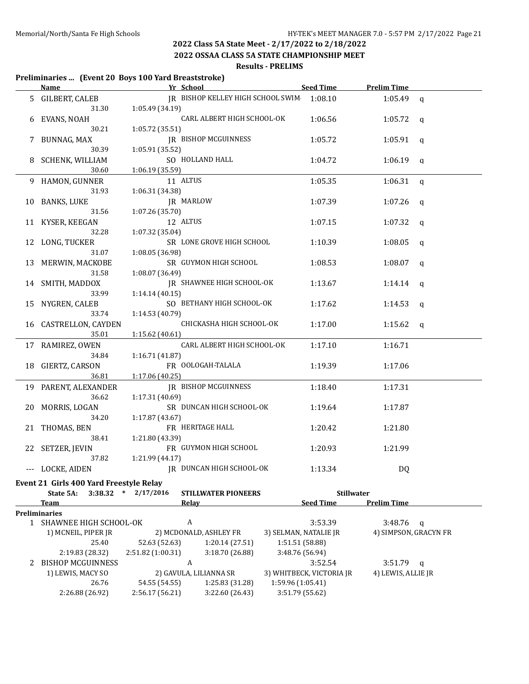**2022 OSSAA CLASS 5A STATE CHAMPIONSHIP MEET**

#### **Results - PRELIMS**

#### **Preliminaries ... (Event 20 Boys 100 Yard Breaststroke)**

|    | Name and the same state of the state of the state of the state of the state of the state of the state of the state of the state of the state of the state of the state of the state of the state of the state of the state of |                         | <b>Example 18 Yr School</b>               | Seed Time Prelim Time    |                       |             |
|----|-------------------------------------------------------------------------------------------------------------------------------------------------------------------------------------------------------------------------------|-------------------------|-------------------------------------------|--------------------------|-----------------------|-------------|
|    | <b>GILBERT, CALEB</b>                                                                                                                                                                                                         |                         | JR BISHOP KELLEY HIGH SCHOOL SWIM 1:08.10 |                          | $1:05.49$ q           |             |
|    | 31.30                                                                                                                                                                                                                         | 1:05.49 (34.19)         |                                           |                          |                       |             |
|    | EVANS, NOAH                                                                                                                                                                                                                   |                         | CARL ALBERT HIGH SCHOOL-OK                | 1:06.56                  | 1:05.72               | q           |
|    | 30.21                                                                                                                                                                                                                         | 1:05.72 (35.51)         |                                           |                          |                       |             |
|    | BUNNAG, MAX                                                                                                                                                                                                                   |                         | JR BISHOP MCGUINNESS                      | 1:05.72                  | 1:05.91               | q           |
|    | 30.39                                                                                                                                                                                                                         | 1:05.91 (35.52)         |                                           |                          |                       |             |
|    | SCHENK, WILLIAM                                                                                                                                                                                                               |                         | SO HOLLAND HALL                           | 1:04.72                  | 1:06.19               | q           |
|    | 30.60                                                                                                                                                                                                                         | 1:06.19(35.59)          |                                           |                          |                       |             |
| 9  | HAMON, GUNNER                                                                                                                                                                                                                 |                         | 11 ALTUS                                  | 1:05.35                  | 1:06.31               | $\mathbf q$ |
|    | 31.93                                                                                                                                                                                                                         | 1:06.31 (34.38)         |                                           |                          |                       |             |
| 10 | <b>BANKS, LUKE</b>                                                                                                                                                                                                            |                         | JR MARLOW                                 | 1:07.39                  | 1:07.26               | q           |
|    | 31.56                                                                                                                                                                                                                         | 1:07.26 (35.70)         |                                           |                          |                       |             |
|    | KYSER, KEEGAN                                                                                                                                                                                                                 |                         | 12 ALTUS                                  | 1:07.15                  | 1:07.32               | q           |
|    | 32.28                                                                                                                                                                                                                         | 1:07.32 (35.04)         |                                           |                          |                       |             |
| 12 | LONG, TUCKER                                                                                                                                                                                                                  |                         | SR LONE GROVE HIGH SCHOOL                 | 1:10.39                  | 1:08.05               | q           |
|    | 31.07                                                                                                                                                                                                                         | 1:08.05 (36.98)         |                                           |                          |                       |             |
| 13 | MERWIN, MACKOBE                                                                                                                                                                                                               |                         | SR GUYMON HIGH SCHOOL                     | 1:08.53                  | 1:08.07               | q           |
|    | 31.58                                                                                                                                                                                                                         | 1:08.07 (36.49)         |                                           |                          |                       |             |
|    | SMITH, MADDOX                                                                                                                                                                                                                 |                         | JR SHAWNEE HIGH SCHOOL-OK                 | 1:13.67                  | 1:14.14               | q           |
|    | 33.99                                                                                                                                                                                                                         | 1:14.14(40.15)          |                                           |                          |                       |             |
| 15 | NYGREN, CALEB                                                                                                                                                                                                                 |                         | SO BETHANY HIGH SCHOOL-OK                 | 1:17.62                  | 1:14.53               | q           |
|    | 33.74                                                                                                                                                                                                                         | 1:14.53 (40.79)         |                                           |                          |                       |             |
| 16 | CASTRELLON, CAYDEN                                                                                                                                                                                                            |                         | CHICKASHA HIGH SCHOOL-OK                  | 1:17.00                  | 1:15.62               |             |
|    | 35.01                                                                                                                                                                                                                         | 1:15.62 (40.61)         |                                           |                          |                       | q           |
|    | 17 RAMIREZ, OWEN                                                                                                                                                                                                              |                         | CARL ALBERT HIGH SCHOOL-OK                | 1:17.10                  | 1:16.71               |             |
|    | 34.84                                                                                                                                                                                                                         |                         |                                           |                          |                       |             |
|    |                                                                                                                                                                                                                               | 1:16.71 (41.87)         | FR OOLOGAH-TALALA                         |                          |                       |             |
| 18 | GIERTZ, CARSON<br>36.81                                                                                                                                                                                                       |                         |                                           | 1:19.39                  | 1:17.06               |             |
|    |                                                                                                                                                                                                                               | 1:17.06 (40.25)         | JR BISHOP MCGUINNESS                      |                          |                       |             |
| 19 | PARENT, ALEXANDER<br>36.62                                                                                                                                                                                                    |                         |                                           | 1:18.40                  | 1:17.31               |             |
|    |                                                                                                                                                                                                                               | 1:17.31 (40.69)         |                                           |                          |                       |             |
| 20 | MORRIS, LOGAN                                                                                                                                                                                                                 |                         | SR DUNCAN HIGH SCHOOL-OK                  | 1:19.64                  | 1:17.87               |             |
|    | 34.20                                                                                                                                                                                                                         | 1:17.87 (43.67)         |                                           |                          |                       |             |
|    | 21 THOMAS, BEN                                                                                                                                                                                                                |                         | FR HERITAGE HALL                          | 1:20.42                  | 1:21.80               |             |
|    | 38.41                                                                                                                                                                                                                         | 1:21.80 (43.39)         |                                           |                          |                       |             |
|    | 22 SETZER, JEVIN                                                                                                                                                                                                              |                         | FR GUYMON HIGH SCHOOL                     | 1:20.93                  | 1:21.99               |             |
|    | 37.82                                                                                                                                                                                                                         | 1:21.99 (44.17)         |                                           |                          |                       |             |
|    | LOCKE, AIDEN                                                                                                                                                                                                                  |                         | JR DUNCAN HIGH SCHOOL-OK                  | 1:13.34                  | DQ                    |             |
|    | Event 21 Girls 400 Yard Freestyle Relay                                                                                                                                                                                       |                         |                                           |                          |                       |             |
|    | State 5A:                                                                                                                                                                                                                     | $3:38.32$ * $2/17/2016$ | <b>STILLWATER PIONEERS</b>                | <b>Stillwater</b>        |                       |             |
|    | <b>Team</b>                                                                                                                                                                                                                   |                         | Relay                                     | <b>Seed Time</b>         | <b>Prelim Time</b>    |             |
|    | <b>Preliminaries</b>                                                                                                                                                                                                          |                         |                                           |                          |                       |             |
|    | 1 SHAWNEE HIGH SCHOOL-OK                                                                                                                                                                                                      |                         | A                                         | 3:53.39                  | 3:48.76               | $\mathbf q$ |
|    | 1) MCNEIL, PIPER JR                                                                                                                                                                                                           |                         | 2) MCDONALD, ASHLEY FR                    | 3) SELMAN, NATALIE JR    | 4) SIMPSON, GRACYN FR |             |
|    | 25.40                                                                                                                                                                                                                         | 52.63 (52.63)           | 1:20.14 (27.51)                           | 1:51.51 (58.88)          |                       |             |
|    | 2:19.83 (28.32)                                                                                                                                                                                                               | 2:51.82 (1:00.31)       | 3:18.70 (26.88)                           | 3:48.76 (56.94)          |                       |             |
|    | 2 BISHOP MCGUINNESS                                                                                                                                                                                                           |                         | A                                         | 3:52.54                  | $3:51.79$ q           |             |
|    | 1) LEWIS, MACY SO                                                                                                                                                                                                             |                         | 2) GAVULA, LILIANNA SR                    | 3) WHITBECK, VICTORIA JR | 4) LEWIS, ALLIE JR    |             |
|    | 26.76                                                                                                                                                                                                                         | 54.55 (54.55)           | 1:25.83 (31.28)                           | 1:59.96 (1:05.41)        |                       |             |
|    | 2:26.88 (26.92)                                                                                                                                                                                                               | 2:56.17 (56.21)         | 3:22.60 (26.43)                           | 3:51.79 (55.62)          |                       |             |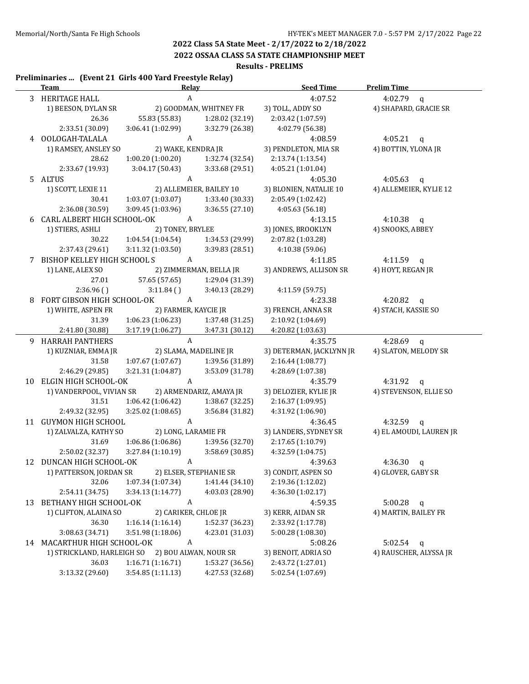**2022 OSSAA CLASS 5A STATE CHAMPIONSHIP MEET**

#### **Results - PRELIMS**

#### **Preliminaries ... (Event 21 Girls 400 Yard Freestyle Relay)**

|   | <u>Team - </u>               | <b>Relay</b>                      |                         | <b>Seed Time</b>                              | <b>Prelim Time</b>      |
|---|------------------------------|-----------------------------------|-------------------------|-----------------------------------------------|-------------------------|
|   | 3 HERITAGE HALL              | $\boldsymbol{A}$                  |                         | 4:07.52                                       | 4:02.79<br>$\mathbf q$  |
|   | 1) BEESON, DYLAN SR          |                                   | 2) GOODMAN, WHITNEY FR  | 3) TOLL, ADDY SO                              | 4) SHAPARD, GRACIE SR   |
|   | 26.36                        | 55.83 (55.83)                     | 1:28.02 (32.19)         | 2:03.42 (1:07.59)                             |                         |
|   | 2:33.51 (30.09)              | 3:06.41 (1:02.99)                 | 3:32.79 (26.38)         | 4:02.79 (56.38)                               |                         |
|   | 4 OOLOGAH-TALALA             | A                                 |                         | 4:08.59                                       | 4:05.21 q               |
|   | 1) RAMSEY, ANSLEY SO         | 2) WAKE, KENDRA JR                |                         | 3) PENDLETON, MIA SR                          | 4) BOTTIN, YLONA JR     |
|   | 28.62                        | 1:00.20(1:00.20)                  | 1:32.74 (32.54)         | 2:13.74 (1:13.54)                             |                         |
|   | 2:33.67 (19.93)              | 3:04.17(50.43)                    | 3:33.68 (29.51)         | 4:05.21 (1:01.04)                             |                         |
|   | 5 ALTUS                      | A                                 |                         | 4:05.30                                       | 4:05.63 q               |
|   | 1) SCOTT, LEXIE 11           |                                   | 2) ALLEMEIER, BAILEY 10 | 3) BLONIEN, NATALIE 10                        | 4) ALLEMEIER, KYLIE 12  |
|   | 30.41                        | 1:03.07 (1:03.07)                 | 1:33.40 (30.33)         | 2:05.49 (1:02.42)                             |                         |
|   | 2:36.08 (30.59)              | 3:09.45 (1:03.96)                 | 3:36.55 (27.10)         | 4:05.63 (56.18)                               |                         |
|   | 6 CARL ALBERT HIGH SCHOOL-OK | A                                 |                         | 4:13.15                                       | 4:10.38 $q$             |
|   | 1) STIERS, ASHLI             | 2) TONEY, BRYLEE                  |                         | 3) JONES, BROOKLYN                            | 4) SNOOKS, ABBEY        |
|   | 30.22                        | 1:04.54 (1:04.54)                 | 1:34.53 (29.99)         | 2:07.82 (1:03.28)                             |                         |
|   | 2:37.43 (29.61)              | 3:11.32 (1:03.50)                 | 3:39.83 (28.51)         | 4:10.38 (59.06)                               |                         |
| 7 | BISHOP KELLEY HIGH SCHOOL S  | $\mathbf{A}$                      |                         | 4:11.85                                       | 4:11.59 $q$             |
|   | 1) LANE, ALEX SO             |                                   | 2) ZIMMERMAN, BELLA JR  | 3) ANDREWS, ALLISON SR                        | 4) HOYT, REGAN JR       |
|   | 27.01                        | 57.65 (57.65)                     | 1:29.04 (31.39)         |                                               |                         |
|   | 2:36.96()                    | 3:11.84()                         | 3:40.13 (28.29)         | 4:11.59 (59.75)                               |                         |
|   | 8 FORT GIBSON HIGH SCHOOL-OK | A                                 |                         | 4:23.38                                       | 4:20.82<br>$\mathbf{q}$ |
|   | 1) WHITE, ASPEN FR           | 2) FARMER, KAYCIE JR              |                         | 3) FRENCH, ANNA SR                            | 4) STACH, KASSIE SO     |
|   | 31.39                        | 1:06.23(1:06.23)                  | 1:37.48 (31.25)         | 2:10.92 (1:04.69)                             |                         |
|   | 2:41.80 (30.88)              | 3:17.19 (1:06.27)<br>$\mathbf{A}$ | 3:47.31 (30.12)         | 4:20.82 (1:03.63)                             |                         |
|   | 9 HARRAH PANTHERS            | 2) SLAMA, MADELINE JR             |                         | 4:35.75                                       | 4:28.69<br>$\mathbf{q}$ |
|   | 1) KUZNIAR, EMMA JR<br>31.58 | 1:07.67 (1:07.67)                 | 1:39.56 (31.89)         | 3) DETERMAN, JACKLYNN JR<br>2:16.44 (1:08.77) | 4) SLATON, MELODY SR    |
|   | 2:46.29 (29.85)              | 3:21.31 (1:04.87)                 | 3:53.09 (31.78)         | 4:28.69 (1:07.38)                             |                         |
|   | 10 ELGIN HIGH SCHOOL-OK      | A                                 |                         | 4:35.79                                       | 4:31.92<br>$\mathsf{q}$ |
|   | 1) VANDERPOOL, VIVIAN SR     |                                   | 2) ARMENDARIZ, AMAYA JR | 3) DELOZIER, KYLIE JR                         | 4) STEVENSON, ELLIE SO  |
|   | 31.51                        | 1:06.42 (1:06.42)                 | 1:38.67 (32.25)         | 2:16.37 (1:09.95)                             |                         |
|   | 2:49.32 (32.95)              | 3:25.02(1:08.65)                  | 3:56.84 (31.82)         | 4:31.92 (1:06.90)                             |                         |
|   | 11 GUYMON HIGH SCHOOL        | $\mathbf{A}$                      |                         | 4:36.45                                       | 4:32.59 $q$             |
|   | 1) ZALVALZA, KATHY SO        | 2) LONG, LARAMIE FR               |                         | 3) LANDERS, SYDNEY SR                         | 4) EL AMOUDI, LAUREN JR |
|   | 31.69                        | 1:06.86 (1:06.86)                 | 1:39.56 (32.70)         | 2:17.65 (1:10.79)                             |                         |
|   | 2:50.02 (32.37)              | 3:27.84 (1:10.19)                 | 3:58.69 (30.85)         | 4:32.59 (1:04.75)                             |                         |
|   | 12 DUNCAN HIGH SCHOOL-OK     | A                                 |                         | 4:39.63                                       | 4:36.30<br>$\mathbf q$  |
|   | 1) PATTERSON, JORDAN SR      | 2) ELSER, STEPHANIE SR            |                         | 3) CONDIT, ASPEN SO                           | 4) GLOVER, GABY SR      |
|   | 32.06                        | 1:07.34 (1:07.34)                 | 1:41.44 (34.10)         | 2:19.36 (1:12.02)                             |                         |
|   | 2:54.11 (34.75)              | 3:34.13 (1:14.77)                 | 4:03.03 (28.90)         | 4:36.30 (1:02.17)                             |                         |
|   | 13 BETHANY HIGH SCHOOL-OK    | A                                 |                         | 4:59.35                                       | 5:00.28<br>q            |
|   | 1) CLIFTON, ALAINA SO        | 2) CARIKER, CHLOE JR              |                         | 3) KERR, AIDAN SR                             | 4) MARTIN, BAILEY FR    |
|   | 36.30                        | 1:16.14(1:16.14)                  | 1:52.37 (36.23)         | 2:33.92 (1:17.78)                             |                         |
|   | 3:08.63 (34.71)              | 3:51.98 (1:18.06)                 | 4:23.01 (31.03)         | 5:00.28 (1:08.30)                             |                         |
|   | 14 MACARTHUR HIGH SCHOOL-OK  | A                                 |                         | 5:08.26                                       | 5:02.54<br>$\mathbf q$  |
|   | 1) STRICKLAND, HARLEIGH SO   | 2) BOU ALWAN, NOUR SR             |                         | 3) BENOIT, ADRIA SO                           | 4) RAUSCHER, ALYSSA JR  |
|   | 36.03                        | 1:16.71 (1:16.71)                 | 1:53.27 (36.56)         | 2:43.72 (1:27.01)                             |                         |
|   | 3:13.32 (29.60)              | 3:54.85(1:11.13)                  | 4:27.53 (32.68)         | 5:02.54 (1:07.69)                             |                         |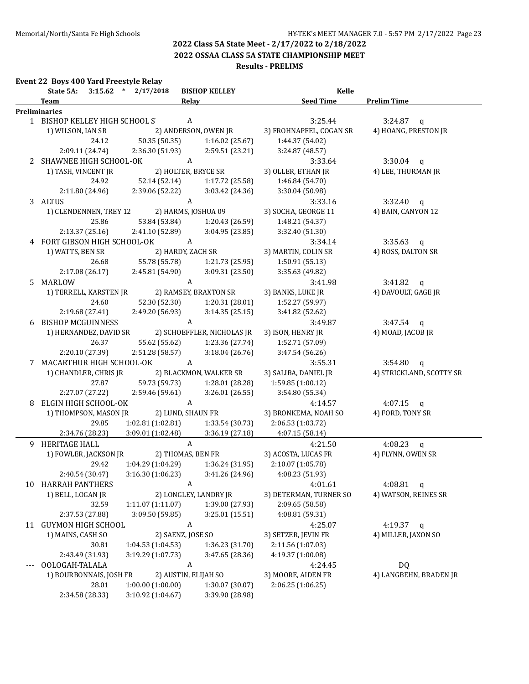**2022 OSSAA CLASS 5A STATE CHAMPIONSHIP MEET**

#### **Results - PRELIMS**

#### **Event 22 Boys 400 Yard Freestyle Relay**

|    | State 5A:                      | $3:15.62$ * $2/17/2018$              | <b>BISHOP KELLEY</b>                                 | Kelle                   |                                 |
|----|--------------------------------|--------------------------------------|------------------------------------------------------|-------------------------|---------------------------------|
|    | <b>Team</b>                    |                                      | Relay                                                | Seed Time               | <b>Prelim Time</b>              |
|    | <b>Preliminaries</b>           |                                      |                                                      |                         |                                 |
|    | 1 BISHOP KELLEY HIGH SCHOOL S  |                                      | A                                                    | 3:25.44                 | $3:24.87$ q                     |
|    | 1) WILSON, IAN SR              |                                      | 2) ANDERSON, OWEN JR                                 | 3) FROHNAPFEL, COGAN SR | 4) HOANG, PRESTON JR            |
|    | 24.12                          | 50.35 (50.35)                        | 1:16.02(25.67)                                       | 1:44.37 (54.02)         |                                 |
|    | 2:09.11 (24.74)                | 2:36.30 (51.93)                      | 2:59.51(23.21)                                       | 3:24.87 (48.57)         |                                 |
| 2  | SHAWNEE HIGH SCHOOL-OK         |                                      | A                                                    | 3:33.64                 | $3:30.04$ q                     |
|    | 1) TASH, VINCENT JR            |                                      | 2) HOLTER, BRYCE SR                                  | 3) OLLER, ETHAN JR      | 4) LEE, THURMAN JR              |
|    | 24.92                          | 52.14 (52.14)                        | 1:17.72 (25.58)                                      | 1:46.84 (54.70)         |                                 |
|    | 2:11.80 (24.96)                | 2:39.06 (52.22)                      | 3:03.42 (24.36)                                      | 3:30.04 (50.98)         |                                 |
|    | 3 ALTUS                        |                                      | A                                                    | 3:33.16                 | $3:32.40$ q                     |
|    | 1) CLENDENNEN, TREY 12         |                                      | 2) HARMS, JOSHUA 09                                  | 3) SOCHA, GEORGE 11     | 4) BAIN, CANYON 12              |
|    | 25.86                          | 53.84 (53.84)                        | 1:20.43 (26.59)                                      | 1:48.21 (54.37)         |                                 |
|    | 2:13.37(25.16)                 | 2:41.10 (52.89)                      | 3:04.95 (23.85)                                      | 3:32.40 (51.30)         |                                 |
|    | 4 FORT GIBSON HIGH SCHOOL-OK   | A                                    |                                                      | 3:34.14                 | $3:35.63$ q                     |
|    | 1) WATTS, BEN SR               |                                      | 2) HARDY, ZACH SR                                    | 3) MARTIN, COLIN SR     | 4) ROSS, DALTON SR              |
|    | 26.68                          | 55.78 (55.78)                        | 1:21.73 (25.95)                                      | 1:50.91 (55.13)         |                                 |
|    | 2:17.08 (26.17)                | 2:45.81 (54.90)                      | 3:09.31 (23.50)                                      | 3:35.63 (49.82)         |                                 |
|    | 5 MARLOW                       |                                      | $\mathbf{A}$                                         | 3:41.98                 | 3:41.82 $q$                     |
|    | 1) TERRELL, KARSTEN JR         |                                      | 2) RAMSEY, BRAXTON SR                                | 3) BANKS, LUKE JR       | 4) DAVOULT, GAGE JR             |
|    | 24.60                          | 52.30 (52.30)                        | 1:20.31(28.01)                                       | 1:52.27 (59.97)         |                                 |
|    | 2:19.68 (27.41)                | 2:49.20 (56.93)                      | 3:14.35(25.15)                                       | 3:41.82 (52.62)         |                                 |
|    | 6 BISHOP MCGUINNESS            |                                      | A                                                    | 3:49.87                 | $3:47.54$ q                     |
|    | 1) HERNANDEZ, DAVID SR         |                                      | 2) SCHOEFFLER, NICHOLAS JR                           | 3) ISON, HENRY JR       | 4) MOAD, JACOB JR               |
|    | 26.37                          | 55.62 (55.62)                        | 1:23.36 (27.74)                                      | 1:52.71 (57.09)         |                                 |
|    | 2:20.10 (27.39)                | 2:51.28 (58.57)                      | 3:18.04(26.76)                                       | 3:47.54 (56.26)         |                                 |
|    | 7 MACARTHUR HIGH SCHOOL-OK     |                                      | A                                                    | 3:55.31                 | $3:54.80$ q                     |
|    | 1) CHANDLER, CHRIS JR          |                                      | 2) BLACKMON, WALKER SR                               | 3) SALIBA, DANIEL JR    | 4) STRICKLAND, SCOTTY SR        |
|    | 27.87                          | 59.73 (59.73)                        | 1:28.01 (28.28)                                      | 1:59.85 (1:00.12)       |                                 |
|    | 2:27.07 (27.22)                | 2:59.46 (59.61)                      | 3:26.01(26.55)                                       | 3:54.80 (55.34)         |                                 |
|    | 8 ELGIN HIGH SCHOOL-OK         |                                      | A                                                    |                         |                                 |
|    |                                |                                      | 2) LUND, SHAUN FR                                    | 4:14.57                 | 4:07.15 $q$<br>4) FORD, TONY SR |
|    | 1) THOMPSON, MASON JR<br>29.85 |                                      | 1:33.54(30.73)                                       | 3) BRONKEMA, NOAH SO    |                                 |
|    |                                | 1:02.81(1:02.81)<br>3:09.01(1:02.48) |                                                      | 2:06.53 (1:03.72)       |                                 |
|    | 2:34.76 (28.23)                |                                      | 3:36.19 (27.18)                                      | 4:07.15 (58.14)         |                                 |
|    | 9 HERITAGE HALL                |                                      | $\mathbf{A}$                                         | 4:21.50                 | 4:08.23 $q$                     |
|    | 1) FOWLER, JACKSON JR          |                                      | 2) THOMAS, BEN FR                                    | 3) ACOSTA, LUCAS FR     | 4) FLYNN, OWEN SR               |
|    | 29.42                          | 1:04.29(1:04.29)                     | 1:36.24 (31.95)                                      | 2:10.07 (1:05.78)       |                                 |
|    | 2:40.54 (30.47)                |                                      | $3:16.30(1:06.23)$ $3:41.26(24.96)$ $4:08.23(51.93)$ |                         |                                 |
| 10 | <b>HARRAH PANTHERS</b>         |                                      | A                                                    | 4:01.61                 | 4:08.81 $q$                     |
|    | 1) BELL, LOGAN JR              |                                      | 2) LONGLEY, LANDRY JR                                | 3) DETERMAN, TURNER SO  | 4) WATSON, REINES SR            |
|    | 32.59                          | 1:11.07 (1:11.07)                    | 1:39.00 (27.93)                                      | 2:09.65 (58.58)         |                                 |
|    | 2:37.53 (27.88)                | 3:09.50 (59.85)                      | 3:25.01 (15.51)                                      | 4:08.81 (59.31)         |                                 |
|    | 11 GUYMON HIGH SCHOOL          |                                      | A                                                    | 4:25.07                 | 4:19.37 $q$                     |
|    | 1) MAINS, CASH SO              |                                      | 2) SAENZ, JOSE SO                                    | 3) SETZER, JEVIN FR     | 4) MILLER, JAXON SO             |
|    | 30.81                          | 1:04.53(1:04.53)                     | 1:36.23 (31.70)                                      | 2:11.56 (1:07.03)       |                                 |
|    | 2:43.49 (31.93)                | 3:19.29 (1:07.73)                    | 3:47.65 (28.36)                                      | 4:19.37 (1:00.08)       |                                 |
|    | OOLOGAH-TALALA                 |                                      | A                                                    | 4:24.45                 | DQ                              |
|    | 1) BOURBONNAIS, JOSH FR        |                                      | 2) AUSTIN, ELIJAH SO                                 | 3) MOORE, AIDEN FR      | 4) LANGBEHN, BRADEN JR          |
|    | 28.01                          | 1:00.00(1:00.00)                     | 1:30.07 (30.07)                                      | 2:06.25 (1:06.25)       |                                 |
|    | 2:34.58 (28.33)                | 3:10.92 (1:04.67)                    | 3:39.90 (28.98)                                      |                         |                                 |